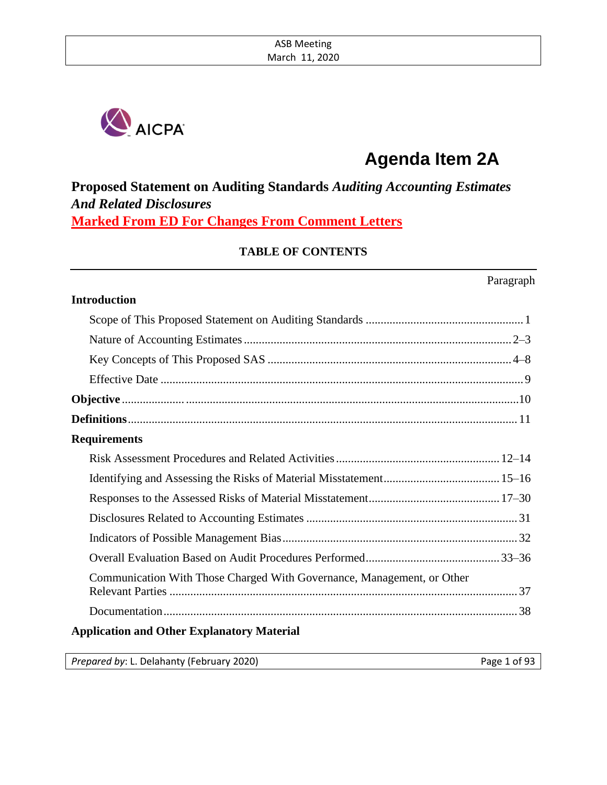

# **Agenda Item 2A**

# **Proposed Statement on Auditing Standards** *Auditing Accounting Estimates And Related Disclosures*

**Marked From ED For Changes From Comment Letters**

# **TABLE OF CONTENTS**

Paragraph

# **Introduction**

| <b>Requirements</b>                                                    |
|------------------------------------------------------------------------|
|                                                                        |
|                                                                        |
|                                                                        |
|                                                                        |
|                                                                        |
|                                                                        |
| Communication With Those Charged With Governance, Management, or Other |
|                                                                        |
| <b>Application and Other Explanatory Material</b>                      |

*Prepared by*: L. Delahanty (February 2020) **Page 1 of 93** Page 1 of 93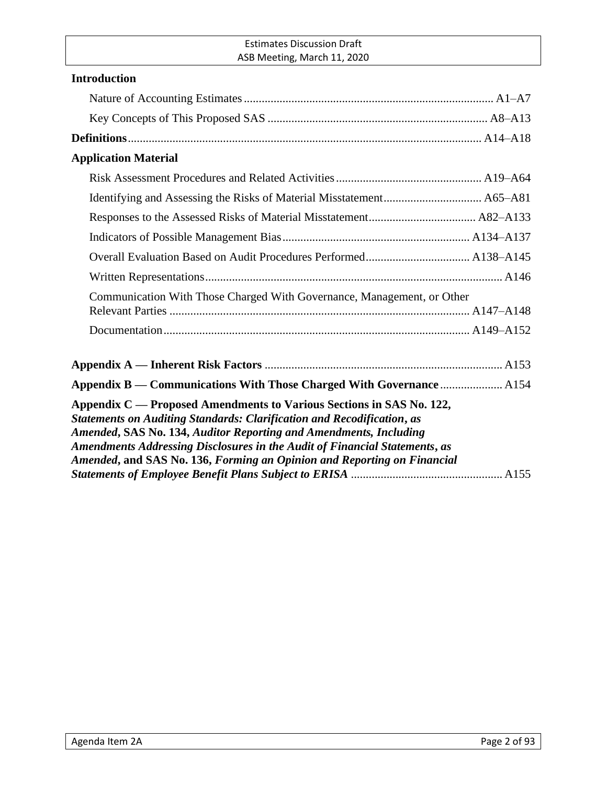| <b>Introduction</b>                                                                                                                                                                                                                                                                                                                                                                 |  |
|-------------------------------------------------------------------------------------------------------------------------------------------------------------------------------------------------------------------------------------------------------------------------------------------------------------------------------------------------------------------------------------|--|
|                                                                                                                                                                                                                                                                                                                                                                                     |  |
|                                                                                                                                                                                                                                                                                                                                                                                     |  |
|                                                                                                                                                                                                                                                                                                                                                                                     |  |
| <b>Application Material</b>                                                                                                                                                                                                                                                                                                                                                         |  |
|                                                                                                                                                                                                                                                                                                                                                                                     |  |
|                                                                                                                                                                                                                                                                                                                                                                                     |  |
|                                                                                                                                                                                                                                                                                                                                                                                     |  |
|                                                                                                                                                                                                                                                                                                                                                                                     |  |
|                                                                                                                                                                                                                                                                                                                                                                                     |  |
|                                                                                                                                                                                                                                                                                                                                                                                     |  |
| Communication With Those Charged With Governance, Management, or Other                                                                                                                                                                                                                                                                                                              |  |
|                                                                                                                                                                                                                                                                                                                                                                                     |  |
|                                                                                                                                                                                                                                                                                                                                                                                     |  |
|                                                                                                                                                                                                                                                                                                                                                                                     |  |
| Appendix C — Proposed Amendments to Various Sections in SAS No. 122,<br><b>Statements on Auditing Standards: Clarification and Recodification, as</b><br>Amended, SAS No. 134, Auditor Reporting and Amendments, Including<br>Amendments Addressing Disclosures in the Audit of Financial Statements, as<br>Amended, and SAS No. 136, Forming an Opinion and Reporting on Financial |  |
|                                                                                                                                                                                                                                                                                                                                                                                     |  |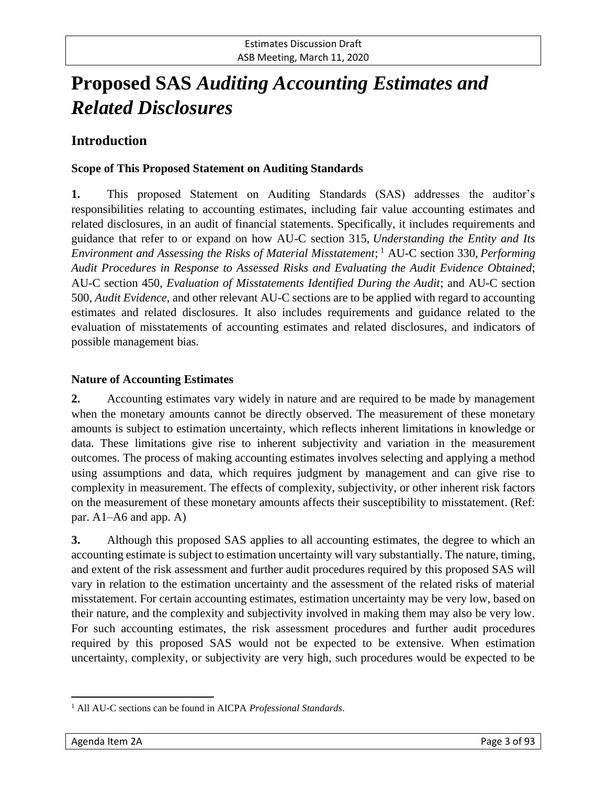# **Proposed SAS** *Auditing Accounting Estimates and Related Disclosures*

# **Introduction**

# **Scope of This Proposed Statement on Auditing Standards**

**1.** This proposed Statement on Auditing Standards (SAS) addresses the auditor's responsibilities relating to accounting estimates, including fair value accounting estimates and related disclosures, in an audit of financial statements. Specifically, it includes requirements and guidance that refer to or expand on how AU-C section 315, *Understanding the Entity and Its Environment and Assessing the Risks of Material Misstatement*; <sup>1</sup> AU-C section 330, *Performing Audit Procedures in Response to Assessed Risks and Evaluating the Audit Evidence Obtained*; AU-C section 450, *Evaluation of Misstatements Identified During the Audit*; and AU-C section 500, *Audit Evidence*, and other relevant AU-C sections are to be applied with regard to accounting estimates and related disclosures. It also includes requirements and guidance related to the evaluation of misstatements of accounting estimates and related disclosures, and indicators of possible management bias.

# **Nature of Accounting Estimates**

**2.** Accounting estimates vary widely in nature and are required to be made by management when the monetary amounts cannot be directly observed. The measurement of these monetary amounts is subject to estimation uncertainty, which reflects inherent limitations in knowledge or data. These limitations give rise to inherent subjectivity and variation in the measurement outcomes. The process of making accounting estimates involves selecting and applying a method using assumptions and data, which requires judgment by management and can give rise to complexity in measurement. The effects of complexity, subjectivity, or other inherent risk factors on the measurement of these monetary amounts affects their susceptibility to misstatement. (Ref: par. [A1–](#page-14-0)[A6](#page-15-0) and app. A)

<span id="page-2-0"></span>**3.** Although this proposed SAS applies to all accounting estimates, the degree to which an accounting estimate is subject to estimation uncertainty will vary substantially. The nature, timing, and extent of the risk assessment and further audit procedures required by this proposed SAS will vary in relation to the estimation uncertainty and the assessment of the related risks of material misstatement. For certain accounting estimates, estimation uncertainty may be very low, based on their nature, and the complexity and subjectivity involved in making them may also be very low. For such accounting estimates, the risk assessment procedures and further audit procedures required by this proposed SAS would not be expected to be extensive. When estimation uncertainty, complexity, or subjectivity are very high, such procedures would be expected to be

<sup>1</sup> All AU-C sections can be found in AICPA *Professional Standards*.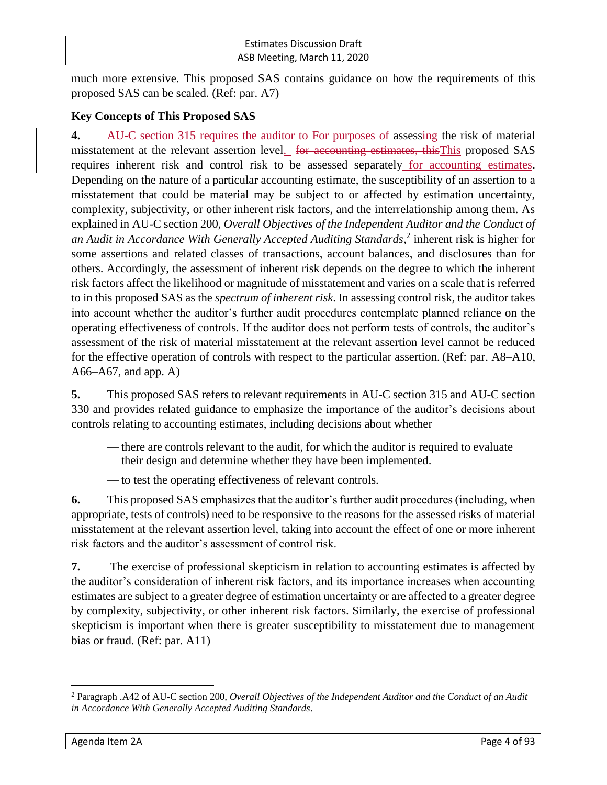much more extensive. This proposed SAS contains guidance on how the requirements of this proposed SAS can be scaled. (Ref: par. [A7\)](#page-15-1)

# **Key Concepts of This Proposed SAS**

<span id="page-3-0"></span>**4.** AU-C section 315 requires the auditor to For purposes of assessing the risk of material misstatement at the relevant assertion level. for accounting estimates, this This proposed SAS requires inherent risk and control risk to be assessed separately for accounting estimates. Depending on the nature of a particular accounting estimate, the susceptibility of an assertion to a misstatement that could be material may be subject to or affected by estimation uncertainty, complexity, subjectivity, or other inherent risk factors, and the interrelationship among them. As explained in AU-C section 200, *Overall Objectives of the Independent Auditor and the Conduct of an Audit in Accordance With Generally Accepted Auditing Standards*, 2 inherent risk is higher for some assertions and related classes of transactions, account balances, and disclosures than for others. Accordingly, the assessment of inherent risk depends on the degree to which the inherent risk factors affect the likelihood or magnitude of misstatement and varies on a scale that is referred to in this proposed SAS as the *spectrum of inherent risk*. In assessing control risk, the auditor takes into account whether the auditor's further audit procedures contemplate planned reliance on the operating effectiveness of controls. If the auditor does not perform tests of controls, the auditor's assessment of the risk of material misstatement at the relevant assertion level cannot be reduced for the effective operation of controls with respect to the particular assertion. (Ref: par. [A8](#page-16-0)[–A10,](#page-16-1) [A66](#page-33-0)[–A67,](#page-33-1) and app. A)

**5.** This proposed SAS refers to relevant requirements in AU-C section 315 and AU-C section 330 and provides related guidance to emphasize the importance of the auditor's decisions about controls relating to accounting estimates, including decisions about whether

- there are controls relevant to the audit, for which the auditor is required to evaluate their design and determine whether they have been implemented.
- to test the operating effectiveness of relevant controls.

**6.** This proposed SAS emphasizes that the auditor's further audit procedures (including, when appropriate, tests of controls) need to be responsive to the reasons for the assessed risks of material misstatement at the relevant assertion level, taking into account the effect of one or more inherent risk factors and the auditor's assessment of control risk.

<span id="page-3-1"></span>**7.** The exercise of professional skepticism in relation to accounting estimates is affected by the auditor's consideration of inherent risk factors, and its importance increases when accounting estimates are subject to a greater degree of estimation uncertainty or are affected to a greater degree by complexity, subjectivity, or other inherent risk factors. Similarly, the exercise of professional skepticism is important when there is greater susceptibility to misstatement due to management bias or fraud. (Ref: par. [A11\)](#page-16-2)

<sup>2</sup> Paragraph .A42 of AU-C section 200*, Overall Objectives of the Independent Auditor and the Conduct of an Audit in Accordance With Generally Accepted Auditing Standards*.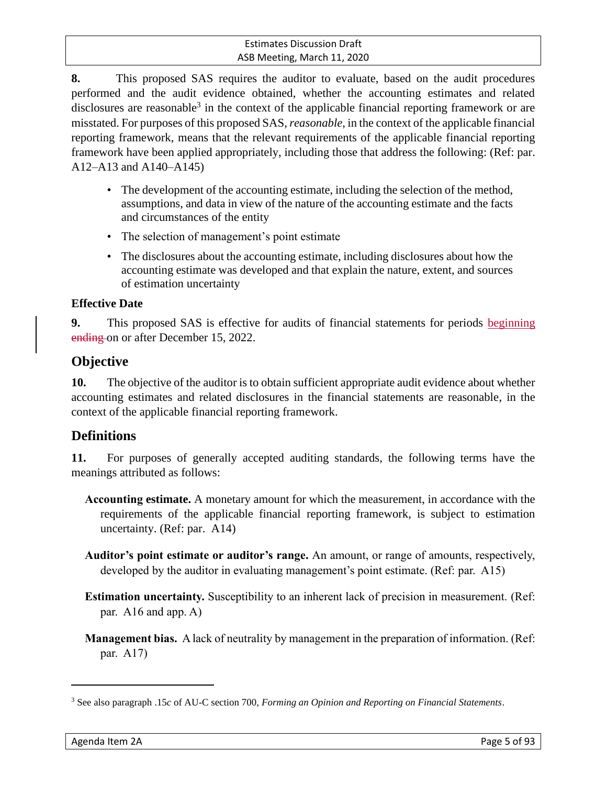<span id="page-4-0"></span>**8.** This proposed SAS requires the auditor to evaluate, based on the audit procedures performed and the audit evidence obtained, whether the accounting estimates and related disclosures are reasonable<sup>3</sup> in the context of the applicable financial reporting framework or are misstated. For purposes of this proposed SAS, *reasonable*, in the context of the applicable financial reporting framework, means that the relevant requirements of the applicable financial reporting framework have been applied appropriately, including those that address the following: (Ref: par. [A12](#page-16-3)[–A13](#page-17-0) and [A140–](#page-55-0)[A145\)](#page-56-0)

- The development of the accounting estimate, including the selection of the method, assumptions, and data in view of the nature of the accounting estimate and the facts and circumstances of the entity
- The selection of management's point estimate
- The disclosures about the accounting estimate, including disclosures about how the accounting estimate was developed and that explain the nature, extent, and sources of estimation uncertainty

# **Effective Date**

**9.** This proposed SAS is effective for audits of financial statements for periods beginning ending on or after December 15, 2022.

# **Objective**

**10.** The objective of the auditor is to obtain sufficient appropriate audit evidence about whether accounting estimates and related disclosures in the financial statements are reasonable, in the context of the applicable financial reporting framework.

# **Definitions**

<span id="page-4-1"></span>**11.** For purposes of generally accepted auditing standards, the following terms have the meanings attributed as follows:

- **Accounting estimate.** A monetary amount for which the measurement, in accordance with the requirements of the applicable financial reporting framework, is subject to estimation uncertainty. (Ref: par. [A14\)](#page-17-1)
- **Auditor's point estimate or auditor's range.** An amount, or range of amounts, respectively, developed by the auditor in evaluating management's point estimate. (Ref: par. [A15\)](#page-17-2)
- **Estimation uncertainty.** Susceptibility to an inherent lack of precision in measurement. (Ref: par. [A16](#page-17-3) and app. A)
- **Management bias.** A lack of neutrality by management in the preparation of information. (Ref: par. [A17\)](#page-17-4)

<sup>3</sup> See also paragraph .15*c* of AU-C section 700, *Forming an Opinion and Reporting on Financial Statements*.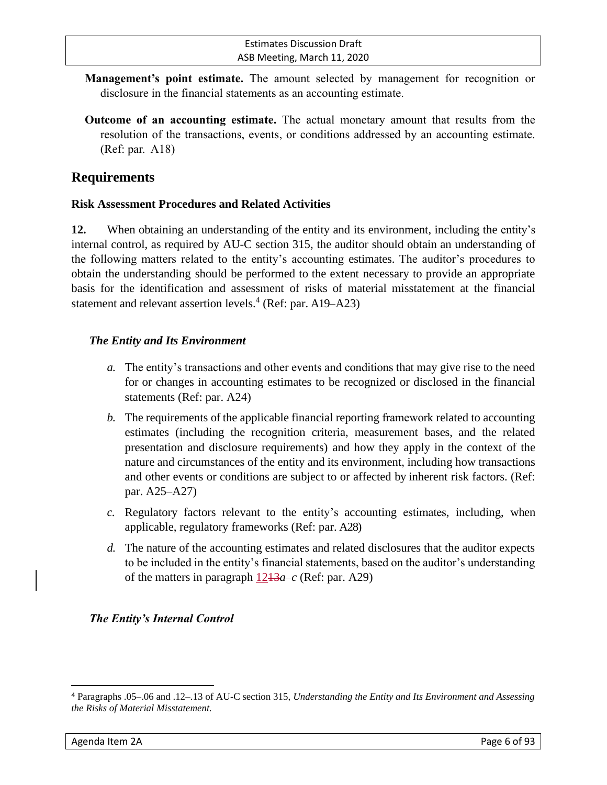- **Management's point estimate.** The amount selected by management for recognition or disclosure in the financial statements as an accounting estimate.
- **Outcome of an accounting estimate.** The actual monetary amount that results from the resolution of the transactions, events, or conditions addressed by an accounting estimate. (Ref: par. [A18\)](#page-17-5)

# **Requirements**

# **Risk Assessment Procedures and Related Activities**

<span id="page-5-0"></span>**12.** When obtaining an understanding of the entity and its environment, including the entity's internal control, as required by AU-C section 315, the auditor should obtain an understanding of the following matters related to the entity's accounting estimates. The auditor's procedures to obtain the understanding should be performed to the extent necessary to provide an appropriate basis for the identification and assessment of risks of material misstatement at the financial statement and relevant assertion levels.<sup>4</sup> (Ref: par. [A19–](#page-18-0)[A23\)](#page-19-0)

# *The Entity and Its Environment*

- *a.* The entity's transactions and other events and conditions that may give rise to the need for or changes in accounting estimates to be recognized or disclosed in the financial statements (Ref: par. [A24\)](#page-19-1)
- *b.* The requirements of the applicable financial reporting framework related to accounting estimates (including the recognition criteria, measurement bases, and the related presentation and disclosure requirements) and how they apply in the context of the nature and circumstances of the entity and its environment, including how transactions and other events or conditions are subject to or affected by inherent risk factors. (Ref: par. [A25–](#page-19-2)[A27\)](#page-20-0)
- *c.* Regulatory factors relevant to the entity's accounting estimates, including, when applicable, regulatory frameworks (Ref: par. [A28\)](#page-20-1)
- *d.* The nature of the accounting estimates and related disclosures that the auditor expects to be included in the entity's financial statements, based on the auditor's understanding of the matters in paragraph 1213*a*–*c* (Ref: par. [A29\)](#page-21-0)

# *The Entity's Internal Control*

<sup>4</sup> Paragraphs .05–.06 and .12–.13 of AU-C section 315, *Understanding the Entity and Its Environment and Assessing the Risks of Material Misstatement.*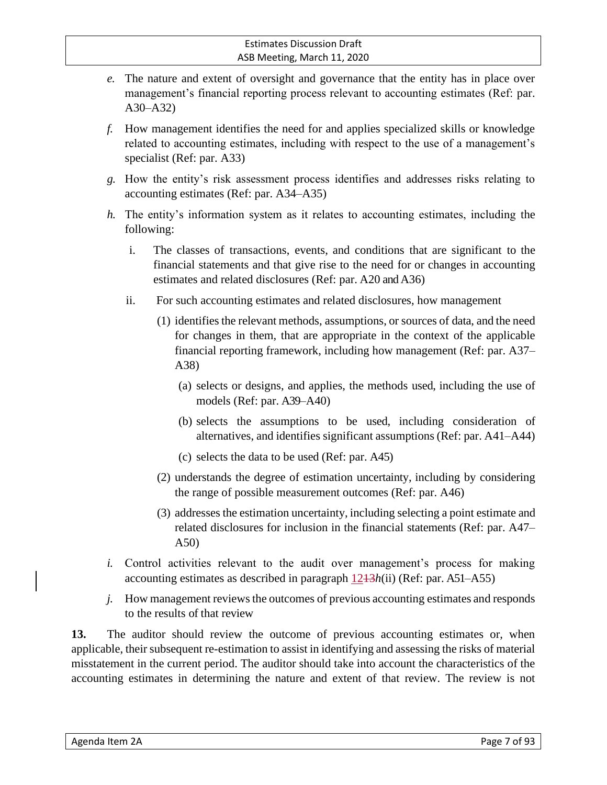- *e.* The nature and extent of oversight and governance that the entity has in place over management's financial reporting process relevant to accounting estimates (Ref: par. [A30](#page-21-1)[–A32\)](#page-22-0)
- *f.* How management identifies the need for and applies specialized skills or knowledge related to accounting estimates, including with respect to the use of a management's specialist (Ref: par. [A33\)](#page-22-1)
- *g.* How the entity's risk assessment process identifies and addresses risks relating to accounting estimates (Ref: par. [A34–](#page-22-2)[A35\)](#page-23-0)
- *h.* The entity's information system as it relates to accounting estimates, including the following:
	- i. The classes of transactions, events, and conditions that are significant to the financial statements and that give rise to the need for or changes in accounting estimates and related disclosures (Ref: par. [A20](#page-18-1) an[d A36\)](#page-23-1)
	- ii. For such accounting estimates and related disclosures, how management
		- (1) identifiesthe relevant methods, assumptions, or sources of data, and the need for changes in them, that are appropriate in the context of the applicable financial reporting framework, including how management (Ref: par. [A37–](#page-23-2) [A38\)](#page-23-3)
			- (a) selects or designs, and applies, the methods used, including the use of models (Ref: par. [A39](#page-24-0)[–A40\)](#page-24-1)
			- (b) selects the assumptions to be used, including consideration of alternatives, and identifies significant assumptions (Ref: par. [A41–](#page-25-0)[A44\)](#page-26-0)
			- (c) selects the data to be used (Ref: par. [A45\)](#page-26-1)
		- (2) understands the degree of estimation uncertainty, including by considering the range of possible measurement outcomes (Ref: par. [A46\)](#page-26-2)
		- (3) addresses the estimation uncertainty, including selecting a point estimate and related disclosures for inclusion in the financial statements (Ref: par. [A47–](#page-27-0) [A50\)](#page-28-0)
- *i.* Control activities relevant to the audit over management's process for making accounting estimates as described in paragraph 1213*h*(ii) (Ref: par. [A51–](#page-29-0)[A55\)](#page-30-0)
- *j.* How management reviews the outcomes of previous accounting estimates and responds to the results of that review

<span id="page-6-0"></span>**13.** The auditor should review the outcome of previous accounting estimates or, when applicable, their subsequent re-estimation to assist in identifying and assessing the risks of material misstatement in the current period. The auditor should take into account the characteristics of the accounting estimates in determining the nature and extent of that review. The review is not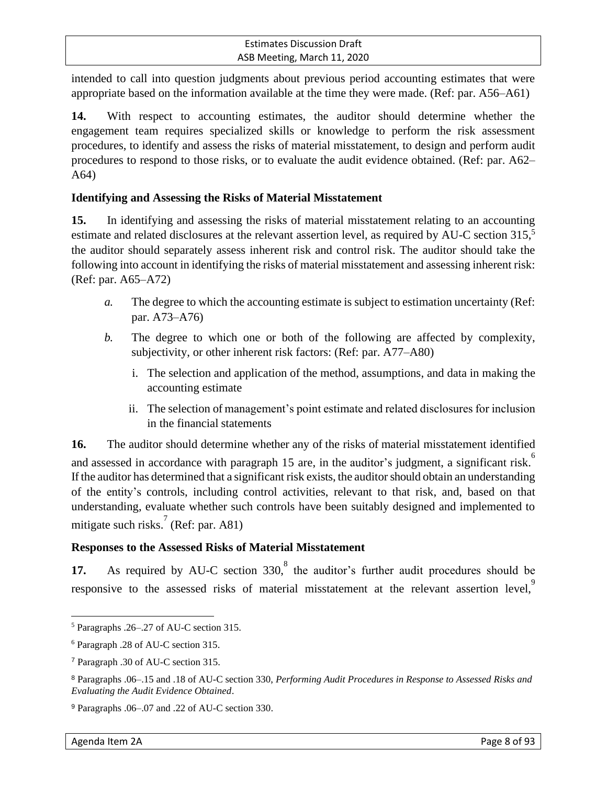intended to call into question judgments about previous period accounting estimates that were appropriate based on the information available at the time they were made. (Ref: par. [A56–](#page-30-1)[A61\)](#page-32-0)

<span id="page-7-1"></span>**14.** With respect to accounting estimates, the auditor should determine whether the engagement team requires specialized skills or knowledge to perform the risk assessment procedures, to identify and assess the risks of material misstatement, to design and perform audit procedures to respond to those risks, or to evaluate the audit evidence obtained. (Ref: par. [A62–](#page-32-1) [A64\)](#page-33-2)

# **Identifying and Assessing the Risks of Material Misstatement**

<span id="page-7-0"></span>**15.** In identifying and assessing the risks of material misstatement relating to an accounting estimate and related disclosures at the relevant assertion level, as required by AU-C section 315,<sup>5</sup> the auditor should separately assess inherent risk and control risk. The auditor should take the following into account in identifying the risks of material misstatement and assessing inherent risk: (Ref: par. [A65–](#page-33-3)[A72\)](#page-35-0)

- *a.* The degree to which the accounting estimate is subject to estimation uncertainty (Ref: par. [A73](#page-35-1)[–A76\)](#page-36-0)
- *b.* The degree to which one or both of the following are affected by complexity, subjectivity, or other inherent risk factors: (Ref: par. [A77–](#page-36-1)[A80\)](#page-37-0)
	- i. The selection and application of the method, assumptions, and data in making the accounting estimate
	- ii. The selection of management's point estimate and related disclosures for inclusion in the financial statements

**16.** The auditor should determine whether any of the risks of material misstatement identified and assessed in accordance with paragraph [15](#page-7-0) are, in the auditor's judgment, a significant risk.<sup>6</sup> If the auditor has determined that a significant risk exists, the auditorshould obtain an understanding of the entity's controls, including control activities, relevant to that risk, and, based on that understanding, evaluate whether such controls have been suitably designed and implemented to mitigate such risks.<sup>7</sup> (Ref: par. [A81\)](#page-37-1)

#### **Responses to the Assessed Risks of Material Misstatement**

**17.** As required by AU-C section  $330<sup>8</sup>$ , the auditor's further audit procedures should be responsive to the assessed risks of material misstatement at the relevant assertion level,<sup>9</sup>

<sup>5</sup> Paragraphs .26–.27 of AU-C section 315.

<sup>6</sup> Paragraph .28 of AU-C section 315.

<sup>7</sup> Paragraph .30 of AU-C section 315.

<sup>8</sup> Paragraphs .06–.15 and .18 of AU-C section 330, *Performing Audit Procedures in Response to Assessed Risks and Evaluating the Audit Evidence Obtained*.

<sup>9</sup> Paragraphs .06–.07 and .22 of AU-C section 330.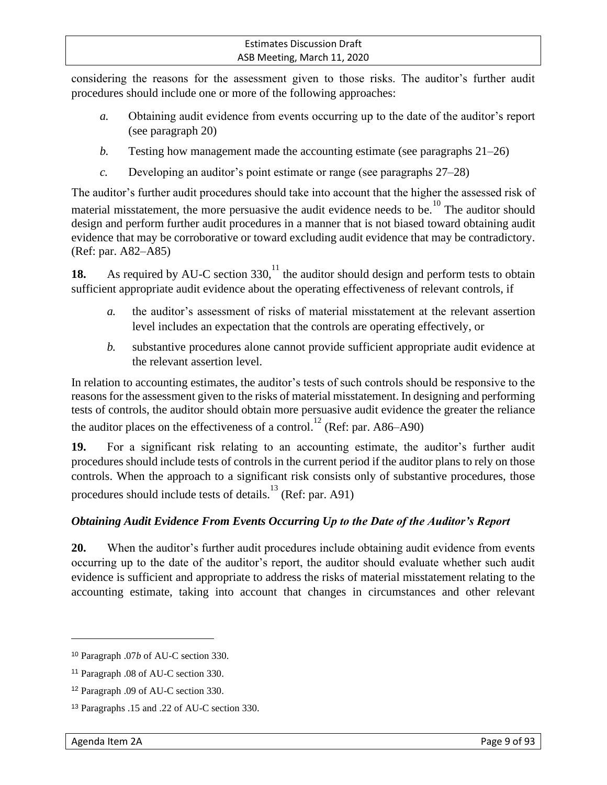considering the reasons for the assessment given to those risks. The auditor's further audit procedures should include one or more of the following approaches:

- *a.* Obtaining audit evidence from events occurring up to the date of the auditor's report (see paragraph [20\)](#page-8-0)
- *b.* Testing how management made the accounting estimate (see paragraphs [21–](#page-9-0)[26\)](#page-11-0)
- *c.* Developing an auditor's point estimate or range (see paragraphs [27–](#page-11-1)[28\)](#page-11-2)

The auditor's further audit procedures should take into account that the higher the assessed risk of material misstatement, the more persuasive the audit evidence needs to be.<sup>10</sup> The auditor should design and perform further audit procedures in a manner that is not biased toward obtaining audit evidence that may be corroborative or toward excluding audit evidence that may be contradictory. (Ref: par. [A82–](#page-38-0)[A85\)](#page-38-1)

**18.** As required by AU-C section 330,<sup>11</sup> the auditor should design and perform tests to obtain sufficient appropriate audit evidence about the operating effectiveness of relevant controls, if

- *a.* the auditor's assessment of risks of material misstatement at the relevant assertion level includes an expectation that the controls are operating effectively, or
- *b.* substantive procedures alone cannot provide sufficient appropriate audit evidence at the relevant assertion level.

In relation to accounting estimates, the auditor's tests of such controls should be responsive to the reasons for the assessment given to the risks of material misstatement. In designing and performing tests of controls, the auditor should obtain more persuasive audit evidence the greater the reliance the auditor places on the effectiveness of a control.<sup>12</sup> (Ref: par. [A86](#page-38-2)[–A90\)](#page-40-0)

**19.** For a significant risk relating to an accounting estimate, the auditor's further audit procedures should include tests of controls in the current period if the auditor plans to rely on those controls. When the approach to a significant risk consists only of substantive procedures, those procedures should include tests of details.<sup>13</sup> (Ref: par. [A91\)](#page-40-1)

# *Obtaining Audit Evidence From Events Occurring Up to the Date of the Auditor's Report*

<span id="page-8-0"></span>**20.** When the auditor's further audit procedures include obtaining audit evidence from events occurring up to the date of the auditor's report, the auditor should evaluate whether such audit evidence is sufficient and appropriate to address the risks of material misstatement relating to the accounting estimate, taking into account that changes in circumstances and other relevant

<sup>10</sup> Paragraph .07*b* of AU-C section 330.

<sup>11</sup> Paragraph .08 of AU-C section 330.

<sup>12</sup> Paragraph .09 of AU-C section 330.

<sup>13</sup> Paragraphs .15 and .22 of AU-C section 330.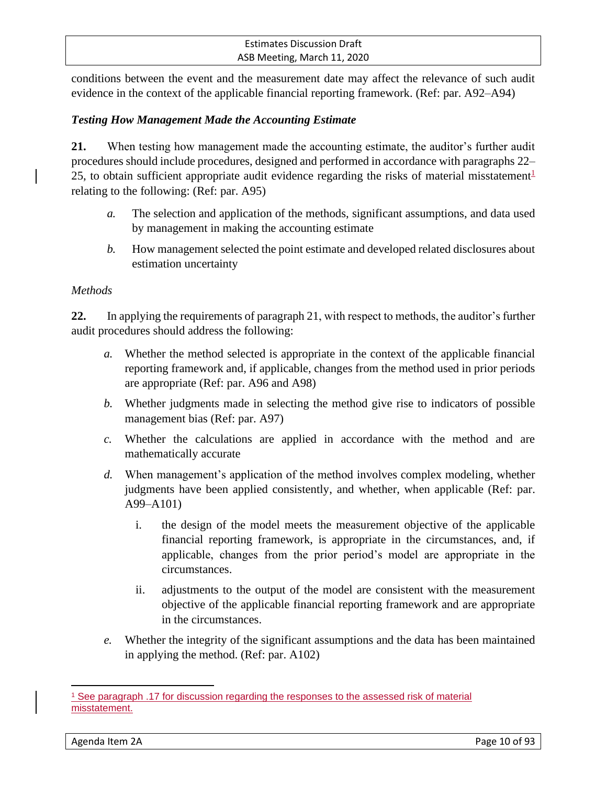conditions between the event and the measurement date may affect the relevance of such audit evidence in the context of the applicable financial reporting framework. (Ref: par. [A92](#page-40-2)[–A94\)](#page-41-0)

# *Testing How Management Made the Accounting Estimate*

<span id="page-9-0"></span>**21.** When testing how management made the accounting estimate, the auditor's further audit procedures should include procedures, designed and performed in accordance with paragraphs [22–](#page-9-1) [25,](#page-10-0) to obtain sufficient appropriate audit evidence regarding the risks of material misstatement<sup>1</sup> relating to the following: (Ref: par. [A95\)](#page-41-1)

- *a.* The selection and application of the methods, significant assumptions, and data used by management in making the accounting estimate
- *b.* How management selected the point estimate and developed related disclosures about estimation uncertainty

# *Methods*

<span id="page-9-1"></span>**22.** In applying the requirements of paragraph [21,](#page-9-0) with respect to methods, the auditor's further audit procedures should address the following:

- *a.* Whether the method selected is appropriate in the context of the applicable financial reporting framework and, if applicable, changes from the method used in prior periods are appropriate (Ref: par. [A96](#page-42-0) and [A98\)](#page-42-1)
- *b.* Whether judgments made in selecting the method give rise to indicators of possible management bias (Ref: par. [A97\)](#page-42-2)
- *c.* Whether the calculations are applied in accordance with the method and are mathematically accurate
- *d.* When management's application of the method involves complex modeling, whether judgments have been applied consistently, and whether, when applicable (Ref: par. [A99](#page-43-0)[–A101\)](#page-43-1)
	- i. the design of the model meets the measurement objective of the applicable financial reporting framework, is appropriate in the circumstances, and, if applicable, changes from the prior period's model are appropriate in the circumstances.
	- ii. adjustments to the output of the model are consistent with the measurement objective of the applicable financial reporting framework and are appropriate in the circumstances.
- *e.* Whether the integrity of the significant assumptions and the data has been maintained in applying the method. (Ref: par. [A102\)](#page-43-2)

<sup>1</sup> See paragraph .17 for discussion regarding the responses to the assessed risk of material misstatement.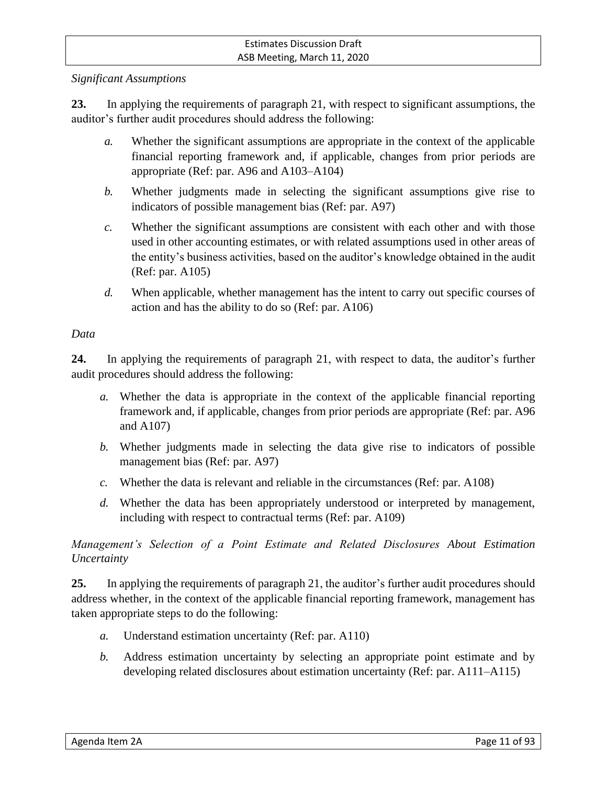# *Significant Assumptions*

**23.** In applying the requirements of paragraph [21,](#page-9-0) with respect to significant assumptions, the auditor's further audit procedures should address the following:

- *a.* Whether the significant assumptions are appropriate in the context of the applicable financial reporting framework and, if applicable, changes from prior periods are appropriate (Ref: par. [A96](#page-42-0) and [A103](#page-44-0)[–A104\)](#page-44-1)
- *b.* Whether judgments made in selecting the significant assumptions give rise to indicators of possible management bias (Ref: par. [A97\)](#page-42-2)
- *c.* Whether the significant assumptions are consistent with each other and with those used in other accounting estimates, or with related assumptions used in other areas of the entity's business activities, based on the auditor's knowledge obtained in the audit (Ref: par. [A105\)](#page-44-2)
- *d.* When applicable, whether management has the intent to carry out specific courses of action and has the ability to do so (Ref: par. [A106\)](#page-44-3)

#### *Data*

<span id="page-10-1"></span>**24.** In applying the requirements of paragraph [21,](#page-9-0) with respect to data, the auditor's further audit procedures should address the following:

- *a.* Whether the data is appropriate in the context of the applicable financial reporting framework and, if applicable, changes from prior periods are appropriate (Ref: par. [A96](#page-42-0) and [A107\)](#page-45-0)
- *b.* Whether judgments made in selecting the data give rise to indicators of possible management bias (Ref: par. [A97\)](#page-42-2)
- *c.* Whether the data is relevant and reliable in the circumstances (Ref: par. [A108\)](#page-45-1)
- *d.* Whether the data has been appropriately understood or interpreted by management, including with respect to contractual terms (Ref: par. [A109\)](#page-46-0)

# *Management's Selection of a Point Estimate and Related Disclosures About Estimation Uncertainty*

<span id="page-10-0"></span>**25.** In applying the requirements of paragraph [21,](#page-9-0) the auditor's further audit procedures should address whether, in the context of the applicable financial reporting framework, management has taken appropriate steps to do the following:

- *a.* Understand estimation uncertainty (Ref: par. [A110\)](#page-46-1)
- *b.* Address estimation uncertainty by selecting an appropriate point estimate and by developing related disclosures about estimation uncertainty (Ref: par. [A111–](#page-47-0)[A115\)](#page-48-0)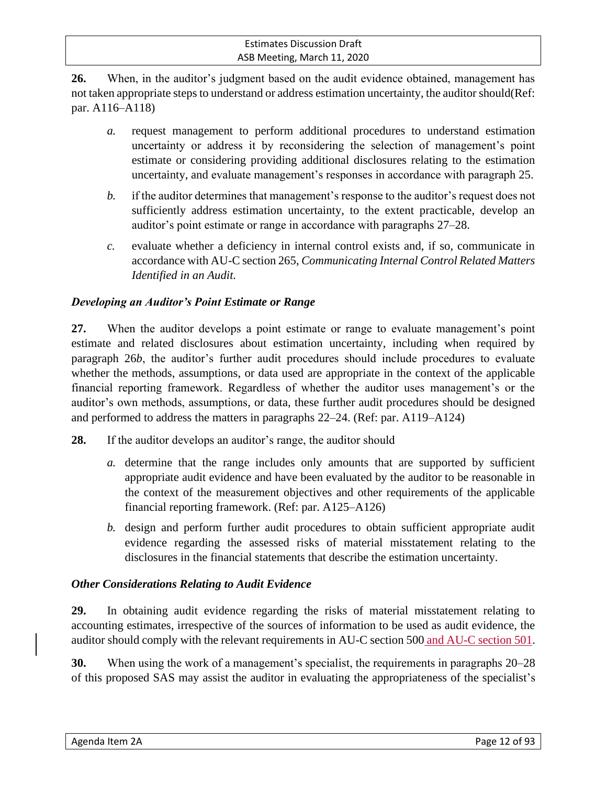<span id="page-11-0"></span>**26.** When, in the auditor's judgment based on the audit evidence obtained, management has not taken appropriate steps to understand or address estimation uncertainty, the auditor should(Ref: par. [A116–](#page-48-1)[A118\)](#page-48-2)

- *a.* request management to perform additional procedures to understand estimation uncertainty or address it by reconsidering the selection of management's point estimate or considering providing additional disclosures relating to the estimation uncertainty, and evaluate management's responses in accordance with paragraph [25.](#page-10-0)
- *b.* if the auditor determines that management's response to the auditor's request does not sufficiently address estimation uncertainty, to the extent practicable, develop an auditor's point estimate or range in accordance with paragraphs [27](#page-11-1)[–28.](#page-11-2)
- *c.* evaluate whether a deficiency in internal control exists and, if so, communicate in accordance with AU-C section 265, *Communicating Internal Control Related Matters Identified in an Audit.*

# *Developing an Auditor's Point Estimate or Range*

<span id="page-11-1"></span>**27.** When the auditor develops a point estimate or range to evaluate management's point estimate and related disclosures about estimation uncertainty, including when required by paragraph [26](#page-11-0)*b*, the auditor's further audit procedures should include procedures to evaluate whether the methods, assumptions, or data used are appropriate in the context of the applicable financial reporting framework. Regardless of whether the auditor uses management's or the auditor's own methods, assumptions, or data, these further audit procedures should be designed and performed to address the matters in paragraphs [22](#page-9-1)[–24.](#page-10-1) (Ref: par. [A119](#page-49-0)[–A124\)](#page-50-0)

- <span id="page-11-2"></span>**28.** If the auditor develops an auditor's range, the auditor should
	- *a.* determine that the range includes only amounts that are supported by sufficient appropriate audit evidence and have been evaluated by the auditor to be reasonable in the context of the measurement objectives and other requirements of the applicable financial reporting framework. (Ref: par. [A125](#page-50-1)[–A126\)](#page-50-2)
	- *b.* design and perform further audit procedures to obtain sufficient appropriate audit evidence regarding the assessed risks of material misstatement relating to the disclosures in the financial statements that describe the estimation uncertainty.

# *Other Considerations Relating to Audit Evidence*

**29.** In obtaining audit evidence regarding the risks of material misstatement relating to accounting estimates, irrespective of the sources of information to be used as audit evidence, the auditor should comply with the relevant requirements in AU-C section 500 and AU-C section 501.

**30.** When using the work of a management's specialist, the requirements in paragraphs [20](#page-8-0)[–28](#page-11-2) of this proposed SAS may assist the auditor in evaluating the appropriateness of the specialist's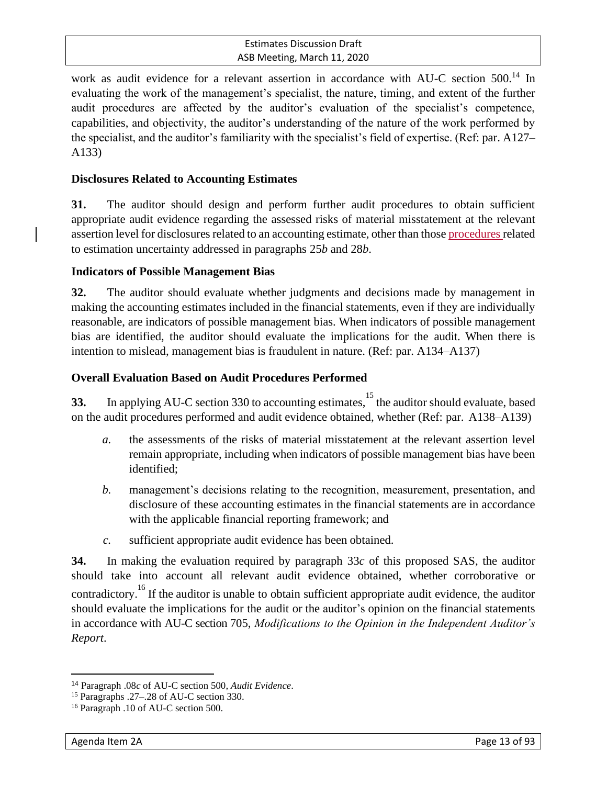work as audit evidence for a relevant assertion in accordance with AU-C section 500.<sup>14</sup> In evaluating the work of the management's specialist, the nature, timing, and extent of the further audit procedures are affected by the auditor's evaluation of the specialist's competence, capabilities, and objectivity, the auditor's understanding of the nature of the work performed by the specialist, and the auditor's familiarity with the specialist's field of expertise. (Ref: par. [A127–](#page-50-3) [A133\)](#page-53-0)

# **Disclosures Related to Accounting Estimates**

**31.** The auditor should design and perform further audit procedures to obtain sufficient appropriate audit evidence regarding the assessed risks of material misstatement at the relevant assertion level for disclosures related to an accounting estimate, other than those procedures related to estimation uncertainty addressed in paragraphs [25](#page-10-0)*b* and [28](#page-11-2)*b*.

# **Indicators of Possible Management Bias**

**32.** The auditor should evaluate whether judgments and decisions made by management in making the accounting estimates included in the financial statements, even if they are individually reasonable, are indicators of possible management bias. When indicators of possible management bias are identified, the auditor should evaluate the implications for the audit. When there is intention to mislead, management bias is fraudulent in nature. (Ref: par. [A134](#page-53-1)[–A137\)](#page-54-0)

# **Overall Evaluation Based on Audit Procedures Performed**

<span id="page-12-0"></span>**33.** In applying AU-C section 330 to accounting estimates, <sup>15</sup> the auditor should evaluate, based on the audit procedures performed and audit evidence obtained, whether (Ref: par. [A138](#page-54-1)[–A139\)](#page-54-2)

- *a.* the assessments of the risks of material misstatement at the relevant assertion level remain appropriate, including when indicators of possible management bias have been identified;
- *b.* management's decisions relating to the recognition, measurement, presentation, and disclosure of these accounting estimates in the financial statements are in accordance with the applicable financial reporting framework; and
- *c.* sufficient appropriate audit evidence has been obtained.

**34.** In making the evaluation required by paragraph [33](#page-12-0)*c* of this proposed SAS, the auditor should take into account all relevant audit evidence obtained, whether corroborative or contradictory.<sup>16</sup> If the auditor is unable to obtain sufficient appropriate audit evidence, the auditor should evaluate the implications for the audit or the auditor's opinion on the financial statements in accordance with AU-C section 705, *Modifications to the Opinion in the Independent Auditor's Report*.

<sup>14</sup> Paragraph .08*c* of AU-C section 500, *Audit Evidence*.

<sup>15</sup> Paragraphs .27–.28 of AU-C section 330.

<sup>&</sup>lt;sup>16</sup> Paragraph .10 of AU-C section 500.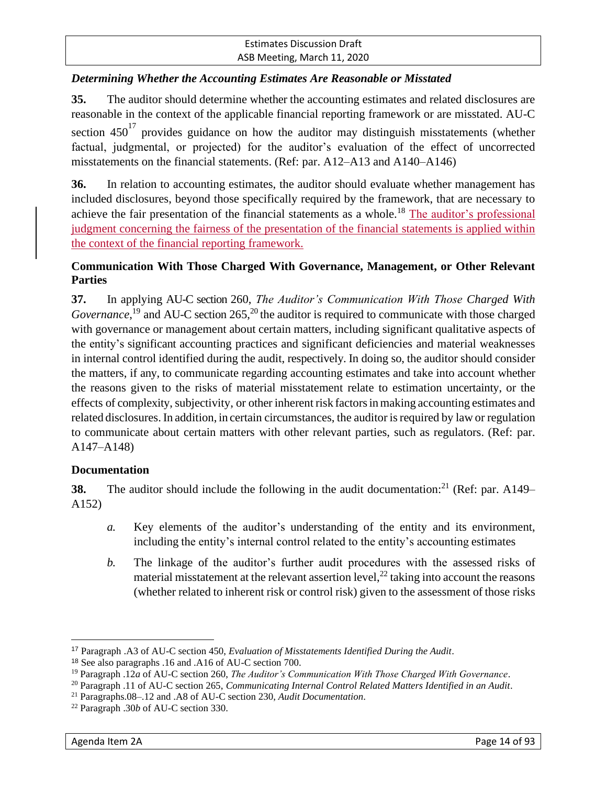# *Determining Whether the Accounting Estimates Are Reasonable or Misstated*

<span id="page-13-0"></span>**35.** The auditor should determine whether the accounting estimates and related disclosures are reasonable in the context of the applicable financial reporting framework or are misstated. AU-C section  $450^{17}$  provides guidance on how the auditor may distinguish misstatements (whether factual, judgmental, or projected) for the auditor's evaluation of the effect of uncorrected misstatements on the financial statements. (Ref: par. [A12–](#page-16-3)[A13](#page-17-0) and [A140–](#page-55-0)[A146\)](#page-56-1)

**36.** In relation to accounting estimates, the auditor should evaluate whether management has included disclosures, beyond those specifically required by the framework, that are necessary to achieve the fair presentation of the financial statements as a whole.<sup>18</sup> The auditor's professional judgment concerning the fairness of the presentation of the financial statements is applied within the context of the financial reporting framework.

# **Communication With Those Charged With Governance, Management, or Other Relevant Parties**

**37.** In applying AU-C section 260, *The Auditor's Communication With Those Charged With*  Governance,<sup>19</sup> and AU-C section 265,<sup>20</sup> the auditor is required to communicate with those charged with governance or management about certain matters, including significant qualitative aspects of the entity's significant accounting practices and significant deficiencies and material weaknesses in internal control identified during the audit, respectively. In doing so, the auditor should consider the matters, if any, to communicate regarding accounting estimates and take into account whether the reasons given to the risks of material misstatement relate to estimation uncertainty, or the effects of complexity, subjectivity, or other inherent risk factorsinmaking accounting estimates and related disclosures. In addition, in certain circumstances, the auditor isrequired by law or regulation to communicate about certain matters with other relevant parties, such as regulators. (Ref: par. [A147](#page-56-2)[–A148\)](#page-56-3)

# **Documentation**

**38.** The auditor should include the following in the audit documentation:<sup>21</sup> (Ref: par. [A149–](#page-57-0) [A152\)](#page-57-1)

- *a.* Key elements of the auditor's understanding of the entity and its environment, including the entity's internal control related to the entity's accounting estimates
- *b.* The linkage of the auditor's further audit procedures with the assessed risks of material misstatement at the relevant assertion level, $^{22}$  taking into account the reasons (whether related to inherent risk or control risk) given to the assessment of those risks

<sup>17</sup> Paragraph .A3 of AU-C section 450, *Evaluation of Misstatements Identified During the Audit*.

<sup>18</sup> See also paragraphs .16 and .A16 of AU-C section 700.

<sup>19</sup> Paragraph .12*a* of AU-C section 260, *The Auditor's Communication With Those Charged With Governance*.

<sup>20</sup> Paragraph .11 of AU-C section 265, *Communicating Internal Control Related Matters Identified in an Audit*.

<sup>21</sup> Paragraphs.08–.12 and .A8 of AU-C section 230, *Audit Documentation*.

<sup>22</sup> Paragraph .30*b* of AU-C section 330.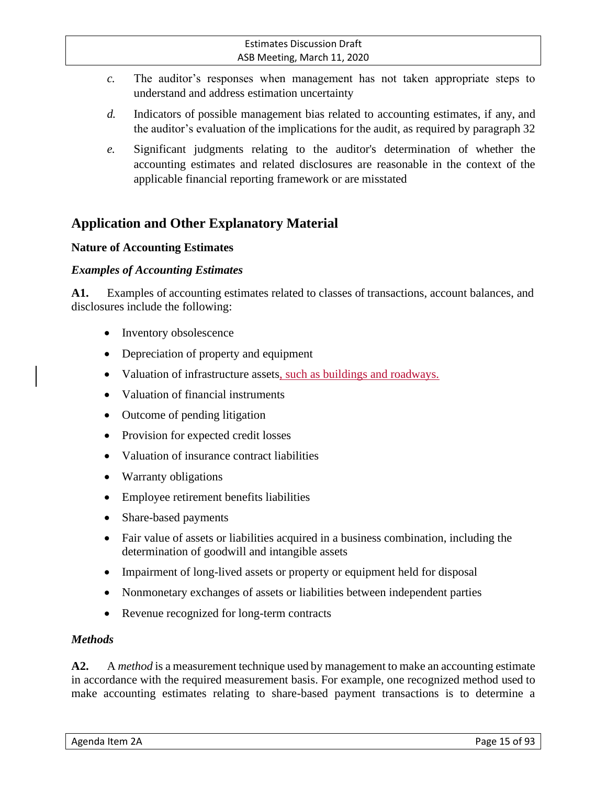- *c.* The auditor's responses when management has not taken appropriate steps to understand and address estimation uncertainty
- *d.* Indicators of possible management bias related to accounting estimates, if any, and the auditor's evaluation of the implications for the audit, as required by paragraph 32
- *e.* Significant judgments relating to the auditor's determination of whether the accounting estimates and related disclosures are reasonable in the context of the applicable financial reporting framework or are misstated

# **Application and Other Explanatory Material**

# **Nature of Accounting Estimates**

# *Examples of Accounting Estimates*

<span id="page-14-0"></span>**A1.** Examples of accounting estimates related to classes of transactions, account balances, and disclosures include the following:

- Inventory obsolescence
- Depreciation of property and equipment
- Valuation of infrastructure assets, such as buildings and roadways.
- Valuation of financial instruments
- Outcome of pending litigation
- Provision for expected credit losses
- Valuation of insurance contract liabilities
- Warranty obligations
- Employee retirement benefits liabilities
- Share-based payments
- Fair value of assets or liabilities acquired in a business combination, including the determination of goodwill and intangible assets
- Impairment of long-lived assets or property or equipment held for disposal
- Nonmonetary exchanges of assets or liabilities between independent parties
- Revenue recognized for long-term contracts

### *Methods*

**A2.** A *method* is a measurement technique used by management to make an accounting estimate in accordance with the required measurement basis. For example, one recognized method used to make accounting estimates relating to share-based payment transactions is to determine a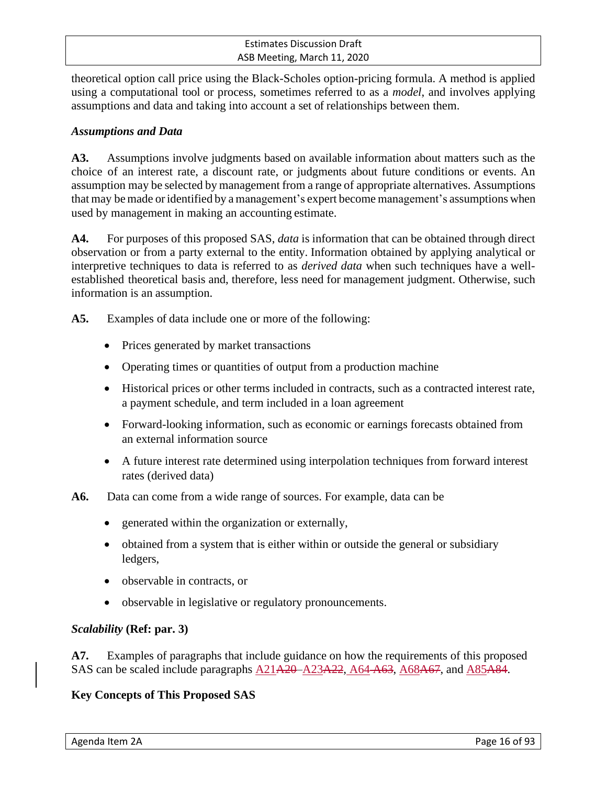theoretical option call price using the Black-Scholes option-pricing formula. A method is applied using a computational tool or process, sometimes referred to as a *model*, and involves applying assumptions and data and taking into account a set of relationships between them.

# *Assumptions and Data*

**A3.** Assumptions involve judgments based on available information about matters such as the choice of an interest rate, a discount rate, or judgments about future conditions or events. An assumption may be selected by management from a range of appropriate alternatives. Assumptions that may be made or identified by a management's expert become management's assumptions when used by management in making an accounting estimate.

**A4.** For purposes of this proposed SAS, *data* is information that can be obtained through direct observation or from a party external to the entity. Information obtained by applying analytical or interpretive techniques to data is referred to as *derived data* when such techniques have a wellestablished theoretical basis and, therefore, less need for management judgment. Otherwise, such information is an assumption.

**A5.** Examples of data include one or more of the following:

- Prices generated by market transactions
- Operating times or quantities of output from a production machine
- Historical prices or other terms included in contracts, such as a contracted interest rate, a payment schedule, and term included in a loan agreement
- Forward-looking information, such as economic or earnings forecasts obtained from an external information source
- A future interest rate determined using interpolation techniques from forward interest rates (derived data)
- <span id="page-15-0"></span>**A6.** Data can come from a wide range of sources. For example, data can be
	- generated within the organization or externally,
	- obtained from a system that is either within or outside the general or subsidiary ledgers,
	- observable in contracts, or
	- observable in legislative or regulatory pronouncements.

#### *Scalability* **(Ref: par. [3\)](#page-2-0)**

<span id="page-15-1"></span>**A7.** Examples of paragraphs that include guidance on how the requirements of this proposed SAS can be scaled include paragraphs A21A20–A23A22, A64 A63, A68A67, and A85A84.

# **Key Concepts of This Proposed SAS**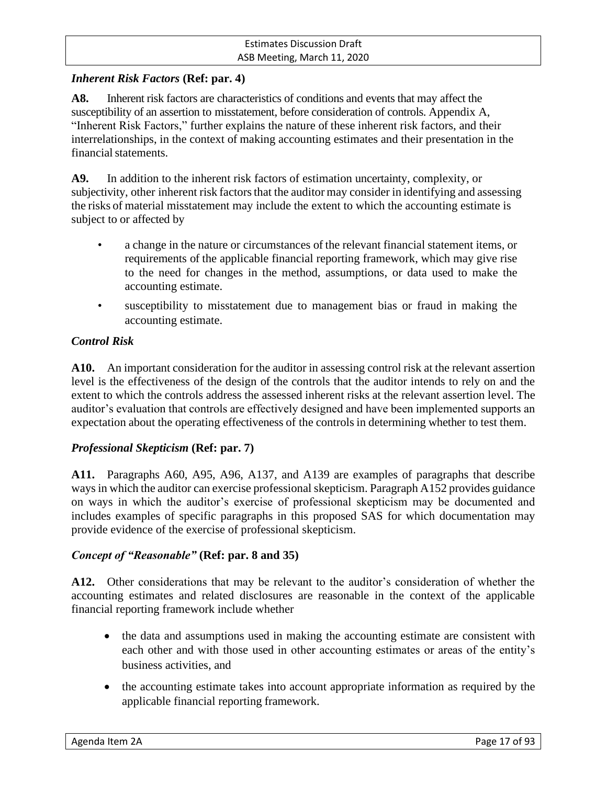# *Inherent Risk Factors* **(Ref: par. [4\)](#page-3-0)**

<span id="page-16-0"></span>**A8.** Inherent risk factors are characteristics of conditions and events that may affect the susceptibility of an assertion to misstatement, before consideration of controls. Appendix A, "Inherent Risk Factors," further explains the nature of these inherent risk factors, and their interrelationships, in the context of making accounting estimates and their presentation in the financial statements.

**A9.** In addition to the inherent risk factors of estimation uncertainty, complexity, or subjectivity, other inherent risk factors that the auditor may consider in identifying and assessing the risks of material misstatement may include the extent to which the accounting estimate is subject to or affected by

- a change in the nature or circumstances of the relevant financial statement items, or requirements of the applicable financial reporting framework, which may give rise to the need for changes in the method, assumptions, or data used to make the accounting estimate.
- susceptibility to misstatement due to management bias or fraud in making the accounting estimate.

# *Control Risk*

<span id="page-16-1"></span>**A10.** An important consideration for the auditor in assessing control risk at the relevant assertion level is the effectiveness of the design of the controls that the auditor intends to rely on and the extent to which the controls address the assessed inherent risks at the relevant assertion level. The auditor's evaluation that controls are effectively designed and have been implemented supports an expectation about the operating effectiveness of the controls in determining whether to test them.

# *Professional Skepticism* **(Ref: par. [7\)](#page-3-1)**

<span id="page-16-2"></span>**A11.** Paragraphs A60, A95, A96, A137, and A139 are examples of paragraphs that describe ways in which the auditor can exercise professional skepticism. Paragraph A152 provides guidance on ways in which the auditor's exercise of professional skepticism may be documented and includes examples of specific paragraphs in this proposed SAS for which documentation may provide evidence of the exercise of professional skepticism.

# *Concept of "Reasonable"* **(Ref: par. [8](#page-4-0) and [35\)](#page-13-0)**

<span id="page-16-3"></span>**A12.** Other considerations that may be relevant to the auditor's consideration of whether the accounting estimates and related disclosures are reasonable in the context of the applicable financial reporting framework include whether

- the data and assumptions used in making the accounting estimate are consistent with each other and with those used in other accounting estimates or areas of the entity's business activities, and
- the accounting estimate takes into account appropriate information as required by the applicable financial reporting framework.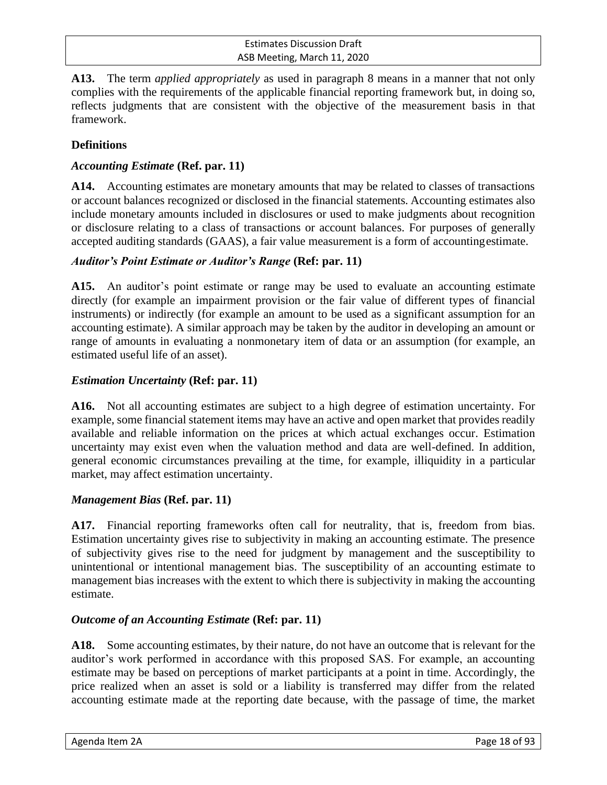<span id="page-17-0"></span>**A13.** The term *applied appropriately* as used in paragraph [8](#page-4-0) means in a manner that not only complies with the requirements of the applicable financial reporting framework but, in doing so, reflects judgments that are consistent with the objective of the measurement basis in that framework.

# **Definitions**

# *Accounting Estimate* **(Ref. par. [11\)](#page-4-1)**

<span id="page-17-1"></span>**A14.** Accounting estimates are monetary amounts that may be related to classes of transactions or account balances recognized or disclosed in the financial statements. Accounting estimates also include monetary amounts included in disclosures or used to make judgments about recognition or disclosure relating to a class of transactions or account balances. For purposes of generally accepted auditing standards (GAAS), a fair value measurement is a form of accountingestimate.

# *Auditor's Point Estimate or Auditor's Range* **(Ref: par. [11\)](#page-4-1)**

<span id="page-17-2"></span>**A15.** An auditor's point estimate or range may be used to evaluate an accounting estimate directly (for example an impairment provision or the fair value of different types of financial instruments) or indirectly (for example an amount to be used as a significant assumption for an accounting estimate). A similar approach may be taken by the auditor in developing an amount or range of amounts in evaluating a nonmonetary item of data or an assumption (for example, an estimated useful life of an asset).

# *Estimation Uncertainty* **(Ref: par. [11\)](#page-4-1)**

<span id="page-17-3"></span>**A16.** Not all accounting estimates are subject to a high degree of estimation uncertainty. For example, some financial statement items may have an active and open market that provides readily available and reliable information on the prices at which actual exchanges occur. Estimation uncertainty may exist even when the valuation method and data are well-defined. In addition, general economic circumstances prevailing at the time, for example, illiquidity in a particular market, may affect estimation uncertainty.

# *Management Bias* **(Ref. par. [11\)](#page-4-1)**

<span id="page-17-4"></span>**A17.** Financial reporting frameworks often call for neutrality, that is, freedom from bias. Estimation uncertainty gives rise to subjectivity in making an accounting estimate. The presence of subjectivity gives rise to the need for judgment by management and the susceptibility to unintentional or intentional management bias. The susceptibility of an accounting estimate to management bias increases with the extent to which there is subjectivity in making the accounting estimate.

# *Outcome of an Accounting Estimate* **(Ref: par. [11\)](#page-4-1)**

<span id="page-17-5"></span>**A18.** Some accounting estimates, by their nature, do not have an outcome that is relevant for the auditor's work performed in accordance with this proposed SAS. For example, an accounting estimate may be based on perceptions of market participants at a point in time. Accordingly, the price realized when an asset is sold or a liability is transferred may differ from the related accounting estimate made at the reporting date because, with the passage of time, the market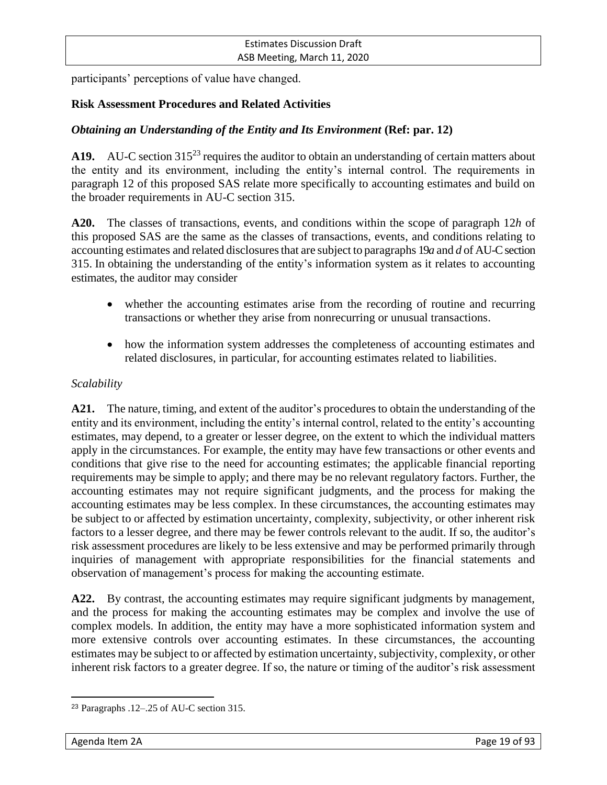participants' perceptions of value have changed.

# **Risk Assessment Procedures and Related Activities**

# *Obtaining an Understanding of the Entity and Its Environment* **(Ref: par. [12\)](#page-5-0)**

<span id="page-18-0"></span>A19. AU-C section 315<sup>23</sup> requires the auditor to obtain an understanding of certain matters about the entity and its environment, including the entity's internal control. The requirements in paragraph [12](#page-5-0) of this proposed SAS relate more specifically to accounting estimates and build on the broader requirements in AU-C section 315.

<span id="page-18-1"></span>**A20.** The classes of transactions, events, and conditions within the scope of paragraph [12](#page-5-0)*h* of this proposed SAS are the same as the classes of transactions, events, and conditions relating to accounting estimates and related disclosures that are subject to paragraphs 19*a* and *d* of AU-C section 315. In obtaining the understanding of the entity's information system as it relates to accounting estimates, the auditor may consider

- whether the accounting estimates arise from the recording of routine and recurring transactions or whether they arise from nonrecurring or unusual transactions.
- how the information system addresses the completeness of accounting estimates and related disclosures, in particular, for accounting estimates related to liabilities.

# *Scalability*

A21. The nature, timing, and extent of the auditor's procedures to obtain the understanding of the entity and its environment, including the entity's internal control, related to the entity's accounting estimates, may depend, to a greater or lesser degree, on the extent to which the individual matters apply in the circumstances. For example, the entity may have few transactions or other events and conditions that give rise to the need for accounting estimates; the applicable financial reporting requirements may be simple to apply; and there may be no relevant regulatory factors. Further, the accounting estimates may not require significant judgments, and the process for making the accounting estimates may be less complex. In these circumstances, the accounting estimates may be subject to or affected by estimation uncertainty, complexity, subjectivity, or other inherent risk factors to a lesser degree, and there may be fewer controls relevant to the audit. If so, the auditor's risk assessment procedures are likely to be less extensive and may be performed primarily through inquiries of management with appropriate responsibilities for the financial statements and observation of management's process for making the accounting estimate.

**A22.** By contrast, the accounting estimates may require significant judgments by management, and the process for making the accounting estimates may be complex and involve the use of complex models. In addition, the entity may have a more sophisticated information system and more extensive controls over accounting estimates. In these circumstances, the accounting estimates may be subject to or affected by estimation uncertainty, subjectivity, complexity, or other inherent risk factors to a greater degree. If so, the nature or timing of the auditor's risk assessment

<sup>23</sup> Paragraphs .12–.25 of AU-C section 315.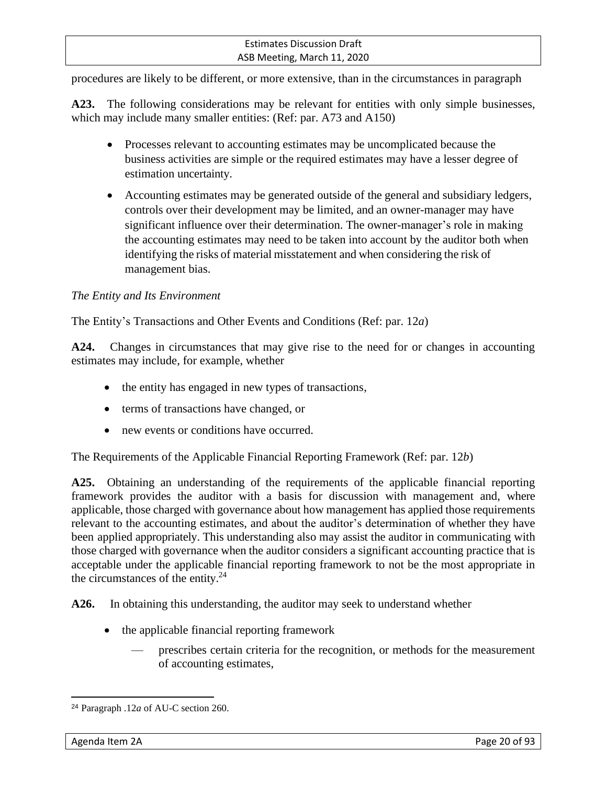procedures are likely to be different, or more extensive, than in the circumstances in paragraph

<span id="page-19-0"></span>A23. The following considerations may be relevant for entities with only simple businesses, which may include many smaller entities: (Ref: par. [A73](#page-35-1) and [A150\)](#page-57-2)

- Processes relevant to accounting estimates may be uncomplicated because the business activities are simple or the required estimates may have a lesser degree of estimation uncertainty.
- Accounting estimates may be generated outside of the general and subsidiary ledgers, controls over their development may be limited, and an owner-manager may have significant influence over their determination. The owner-manager's role in making the accounting estimates may need to be taken into account by the auditor both when identifying the risks of material misstatement and when considering the risk of management bias.

# *The Entity and Its Environment*

The Entity's Transactions and Other Events and Conditions (Ref: par. [12](#page-5-0)*a*)

<span id="page-19-1"></span>**A24.** Changes in circumstances that may give rise to the need for or changes in accounting estimates may include, for example, whether

- the entity has engaged in new types of transactions,
- terms of transactions have changed, or
- new events or conditions have occurred.

The Requirements of the Applicable Financial Reporting Framework (Ref: par. [12](#page-5-0)*b*)

<span id="page-19-2"></span>**A25.** Obtaining an understanding of the requirements of the applicable financial reporting framework provides the auditor with a basis for discussion with management and, where applicable, those charged with governance about how management has applied those requirements relevant to the accounting estimates, and about the auditor's determination of whether they have been applied appropriately. This understanding also may assist the auditor in communicating with those charged with governance when the auditor considers a significant accounting practice that is acceptable under the applicable financial reporting framework to not be the most appropriate in the circumstances of the entity.<sup>24</sup>

**A26.** In obtaining this understanding, the auditor may seek to understand whether

- the applicable financial reporting framework
	- prescribes certain criteria for the recognition, or methods for the measurement of accounting estimates,

<sup>24</sup> Paragraph .12*a* of AU-C section 260.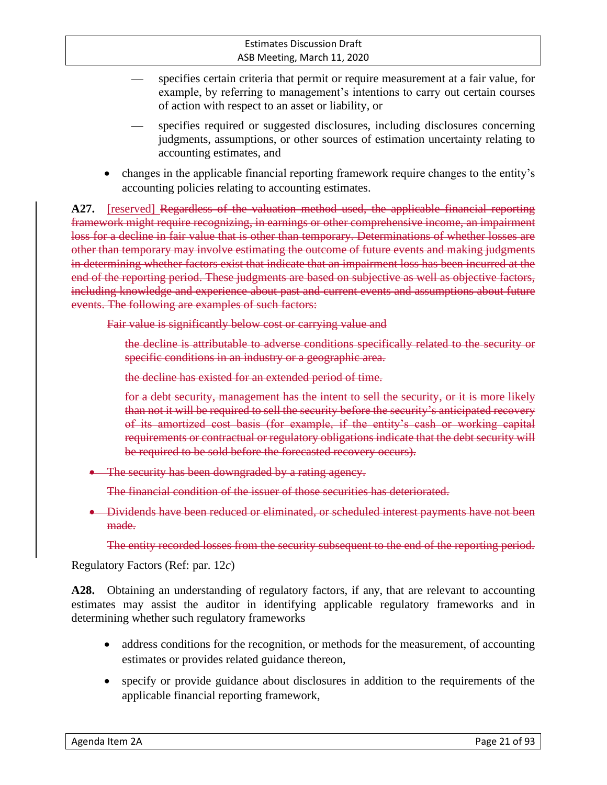- specifies certain criteria that permit or require measurement at a fair value, for example, by referring to management's intentions to carry out certain courses of action with respect to an asset or liability, or
- specifies required or suggested disclosures, including disclosures concerning judgments, assumptions, or other sources of estimation uncertainty relating to accounting estimates, and
- changes in the applicable financial reporting framework require changes to the entity's accounting policies relating to accounting estimates.

<span id="page-20-0"></span>**A27.** [reserved] Regardless of the valuation method used, the applicable financial reporting framework might require recognizing, in earnings or other comprehensive income, an impairment loss for a decline in fair value that is other than temporary. Determinations of whether losses are other than temporary may involve estimating the outcome of future events and making judgments in determining whether factors exist that indicate that an impairment loss has been incurred at the end of the reporting period. These judgments are based on subjective as well as objective factors, including knowledge and experience about past and current events and assumptions about future events. The following are examples of such factors:

Fair value is significantly below cost or carrying value and

- the decline is attributable to adverse conditions specifically related to the security or specific conditions in an industry or a geographic area.
- the decline has existed for an extended period of time.
- for a debt security, management has the intent to sell the security, or it is more likely than not it will be required to sell the security before the security's anticipated recovery of its amortized cost basis (for example, if the entity's cash or working capital requirements or contractual or regulatory obligations indicate that the debt security will be required to be sold before the forecasted recovery occurs).
- The security has been downgraded by a rating agency.

The financial condition of the issuer of those securities has deteriorated.

• Dividends have been reduced or eliminated, or scheduled interest payments have not been made.

The entity recorded losses from the security subsequent to the end of the reporting period.

Regulatory Factors (Ref: par. [12](#page-5-0)*c*)

<span id="page-20-1"></span>**A28.** Obtaining an understanding of regulatory factors, if any, that are relevant to accounting estimates may assist the auditor in identifying applicable regulatory frameworks and in determining whether such regulatory frameworks

- address conditions for the recognition, or methods for the measurement, of accounting estimates or provides related guidance thereon,
- specify or provide guidance about disclosures in addition to the requirements of the applicable financial reporting framework,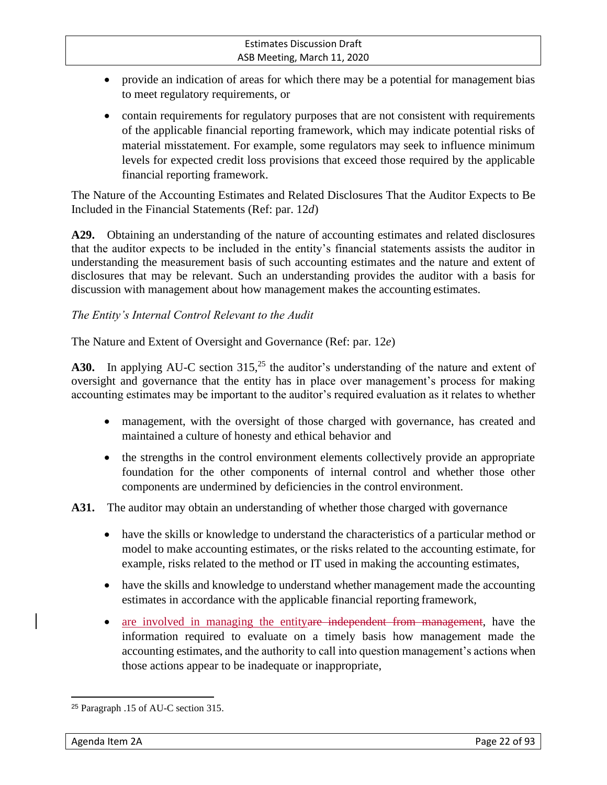- provide an indication of areas for which there may be a potential for management bias to meet regulatory requirements, or
- contain requirements for regulatory purposes that are not consistent with requirements of the applicable financial reporting framework, which may indicate potential risks of material misstatement. For example, some regulators may seek to influence minimum levels for expected credit loss provisions that exceed those required by the applicable financial reporting framework.

The Nature of the Accounting Estimates and Related Disclosures That the Auditor Expects to Be Included in the Financial Statements (Ref: par. [12](#page-5-0)*d*)

<span id="page-21-0"></span>**A29.** Obtaining an understanding of the nature of accounting estimates and related disclosures that the auditor expects to be included in the entity's financial statements assists the auditor in understanding the measurement basis of such accounting estimates and the nature and extent of disclosures that may be relevant. Such an understanding provides the auditor with a basis for discussion with management about how management makes the accounting estimates.

# *The Entity's Internal Control Relevant to the Audit*

The Nature and Extent of Oversight and Governance (Ref: par. [12](#page-5-0)*e*)

<span id="page-21-1"></span>A30. In applying AU-C section 315,<sup>25</sup> the auditor's understanding of the nature and extent of oversight and governance that the entity has in place over management's process for making accounting estimates may be important to the auditor's required evaluation as it relates to whether

- management, with the oversight of those charged with governance, has created and maintained a culture of honesty and ethical behavior and
- the strengths in the control environment elements collectively provide an appropriate foundation for the other components of internal control and whether those other components are undermined by deficiencies in the control environment.

A31. The auditor may obtain an understanding of whether those charged with governance

- have the skills or knowledge to understand the characteristics of a particular method or model to make accounting estimates, or the risks related to the accounting estimate, for example, risks related to the method or IT used in making the accounting estimates,
- have the skills and knowledge to understand whether management made the accounting estimates in accordance with the applicable financial reporting framework,
- are involved in managing the entity are independent from management, have the information required to evaluate on a timely basis how management made the accounting estimates, and the authority to call into question management's actions when those actions appear to be inadequate or inappropriate,

<sup>25</sup> Paragraph .15 of AU-C section 315.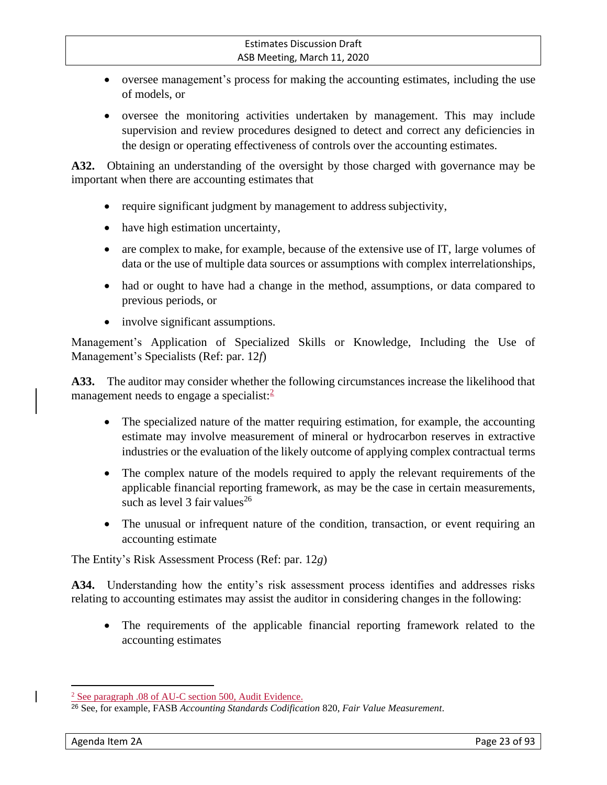- oversee management's process for making the accounting estimates, including the use of models, or
- oversee the monitoring activities undertaken by management. This may include supervision and review procedures designed to detect and correct any deficiencies in the design or operating effectiveness of controls over the accounting estimates.

<span id="page-22-0"></span>**A32.** Obtaining an understanding of the oversight by those charged with governance may be important when there are accounting estimates that

- require significant judgment by management to address subjectivity,
- have high estimation uncertainty,
- are complex to make, for example, because of the extensive use of IT, large volumes of data or the use of multiple data sources or assumptions with complex interrelationships,
- had or ought to have had a change in the method, assumptions, or data compared to previous periods, or
- involve significant assumptions.

Management's Application of Specialized Skills or Knowledge, Including the Use of Management's Specialists (Ref: par. [12](#page-5-0)*f*)

<span id="page-22-1"></span>**A33.** The auditor may consider whether the following circumstances increase the likelihood that management needs to engage a specialist:<sup>2</sup>

- The specialized nature of the matter requiring estimation, for example, the accounting estimate may involve measurement of mineral or hydrocarbon reserves in extractive industries or the evaluation of the likely outcome of applying complex contractual terms
- The complex nature of the models required to apply the relevant requirements of the applicable financial reporting framework, as may be the case in certain measurements, such as level 3 fair values<sup>26</sup>
- The unusual or infrequent nature of the condition, transaction, or event requiring an accounting estimate

The Entity's Risk Assessment Process (Ref: par. [12](#page-5-0)*g*)

<span id="page-22-2"></span>**A34.** Understanding how the entity's risk assessment process identifies and addresses risks relating to accounting estimates may assist the auditor in considering changes in the following:

The requirements of the applicable financial reporting framework related to the accounting estimates

<sup>&</sup>lt;sup>2</sup> See paragraph .08 of AU-C section 500, Audit Evidence.

<sup>26</sup> See, for example, FASB *Accounting Standards Codification* 820, *Fair Value Measurement*.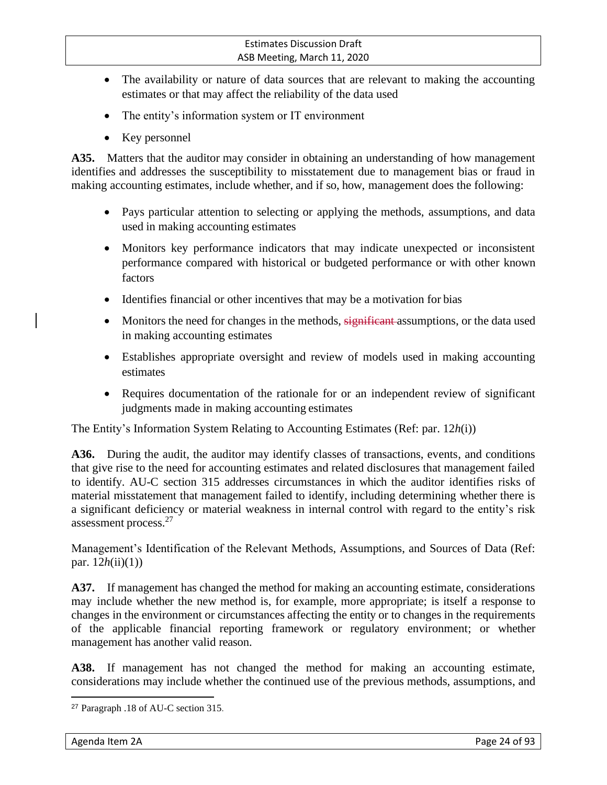- The availability or nature of data sources that are relevant to making the accounting estimates or that may affect the reliability of the data used
- The entity's information system or IT environment
- Key personnel

<span id="page-23-0"></span>**A35.** Matters that the auditor may consider in obtaining an understanding of how management identifies and addresses the susceptibility to misstatement due to management bias or fraud in making accounting estimates, include whether, and if so, how, management does the following:

- Pays particular attention to selecting or applying the methods, assumptions, and data used in making accounting estimates
- Monitors key performance indicators that may indicate unexpected or inconsistent performance compared with historical or budgeted performance or with other known factors
- Identifies financial or other incentives that may be a motivation for bias
- Monitors the need for changes in the methods, significant assumptions, or the data used in making accounting estimates
- Establishes appropriate oversight and review of models used in making accounting estimates
- Requires documentation of the rationale for or an independent review of significant judgments made in making accounting estimates

The Entity's Information System Relating to Accounting Estimates (Ref: par. [12](#page-5-0)*h*(i))

<span id="page-23-1"></span>**A36.** During the audit, the auditor may identify classes of transactions, events, and conditions that give rise to the need for accounting estimates and related disclosures that management failed to identify. AU-C section 315 addresses circumstances in which the auditor identifies risks of material misstatement that management failed to identify, including determining whether there is a significant deficiency or material weakness in internal control with regard to the entity's risk assessment process.<sup>27</sup>

Management's Identification of the Relevant Methods, Assumptions, and Sources of Data (Ref: par.  $12h(ii)(1)$  $12h(ii)(1)$ )

<span id="page-23-2"></span>**A37.** If management has changed the method for making an accounting estimate, considerations may include whether the new method is, for example, more appropriate; is itself a response to changes in the environment or circumstances affecting the entity or to changes in the requirements of the applicable financial reporting framework or regulatory environment; or whether management has another valid reason.

<span id="page-23-3"></span>**A38.** If management has not changed the method for making an accounting estimate, considerations may include whether the continued use of the previous methods, assumptions, and

<sup>27</sup> Paragraph .18 of AU-C section 315.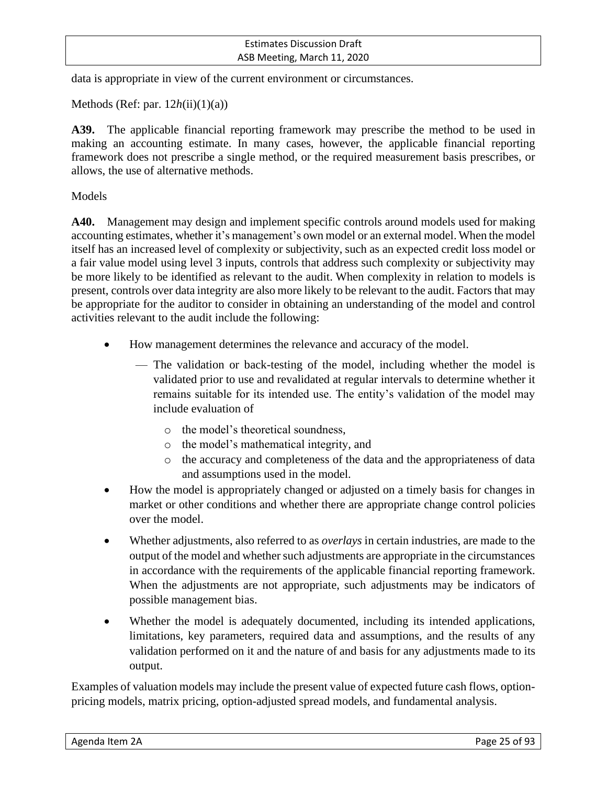data is appropriate in view of the current environment or circumstances.

Methods (Ref: par. [12](#page-5-0)*h*(ii)(1)(a))

<span id="page-24-0"></span>**A39.** The applicable financial reporting framework may prescribe the method to be used in making an accounting estimate. In many cases, however, the applicable financial reporting framework does not prescribe a single method, or the required measurement basis prescribes, or allows, the use of alternative methods.

Models

<span id="page-24-1"></span>**A40.** Management may design and implement specific controls around models used for making accounting estimates, whether it's management's own model or an external model. When the model itself has an increased level of complexity or subjectivity, such as an expected credit loss model or a fair value model using level 3 inputs, controls that address such complexity or subjectivity may be more likely to be identified as relevant to the audit. When complexity in relation to models is present, controls over data integrity are also more likely to be relevant to the audit. Factors that may be appropriate for the auditor to consider in obtaining an understanding of the model and control activities relevant to the audit include the following:

- How management determines the relevance and accuracy of the model.
	- The validation or back-testing of the model, including whether the model is validated prior to use and revalidated at regular intervals to determine whether it remains suitable for its intended use. The entity's validation of the model may include evaluation of
		- o the model's theoretical soundness,
		- o the model's mathematical integrity, and
		- o the accuracy and completeness of the data and the appropriateness of data and assumptions used in the model.
- How the model is appropriately changed or adjusted on a timely basis for changes in market or other conditions and whether there are appropriate change control policies over the model.
- Whether adjustments, also referred to as *overlays* in certain industries, are made to the output of the model and whether such adjustments are appropriate in the circumstances in accordance with the requirements of the applicable financial reporting framework. When the adjustments are not appropriate, such adjustments may be indicators of possible management bias.
- Whether the model is adequately documented, including its intended applications, limitations, key parameters, required data and assumptions, and the results of any validation performed on it and the nature of and basis for any adjustments made to its output.

Examples of valuation models may include the present value of expected future cash flows, optionpricing models, matrix pricing, option-adjusted spread models, and fundamental analysis.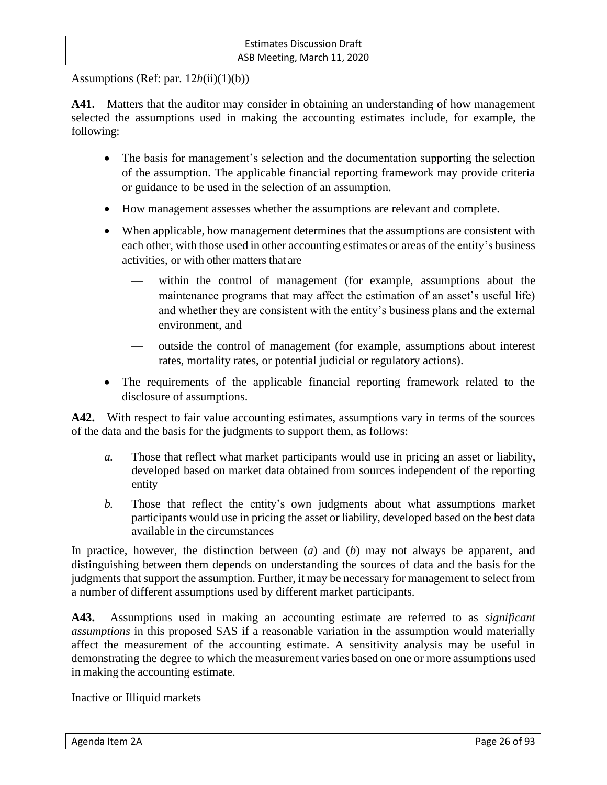Assumptions (Ref: par.  $12h(ii)(1)(b)$  $12h(ii)(1)(b)$ )

<span id="page-25-0"></span>**A41.** Matters that the auditor may consider in obtaining an understanding of how management selected the assumptions used in making the accounting estimates include, for example, the following:

- The basis for management's selection and the documentation supporting the selection of the assumption. The applicable financial reporting framework may provide criteria or guidance to be used in the selection of an assumption.
- How management assesses whether the assumptions are relevant and complete.
- When applicable, how management determines that the assumptions are consistent with each other, with those used in other accounting estimates or areas of the entity's business activities, or with other matters that are
	- within the control of management (for example, assumptions about the maintenance programs that may affect the estimation of an asset's useful life) and whether they are consistent with the entity's business plans and the external environment, and
	- outside the control of management (for example, assumptions about interest rates, mortality rates, or potential judicial or regulatory actions).
- The requirements of the applicable financial reporting framework related to the disclosure of assumptions.

**A42.** With respect to fair value accounting estimates, assumptions vary in terms of the sources of the data and the basis for the judgments to support them, as follows:

- *a.* Those that reflect what market participants would use in pricing an asset or liability, developed based on market data obtained from sources independent of the reporting entity
- *b.* Those that reflect the entity's own judgments about what assumptions market participants would use in pricing the asset or liability, developed based on the best data available in the circumstances

In practice, however, the distinction between (*a*) and (*b*) may not always be apparent, and distinguishing between them depends on understanding the sources of data and the basis for the judgments that support the assumption. Further, it may be necessary for management to select from a number of different assumptions used by different market participants.

**A43.** Assumptions used in making an accounting estimate are referred to as *significant assumptions* in this proposed SAS if a reasonable variation in the assumption would materially affect the measurement of the accounting estimate. A sensitivity analysis may be useful in demonstrating the degree to which the measurement varies based on one or more assumptions used in making the accounting estimate.

Inactive or Illiquid markets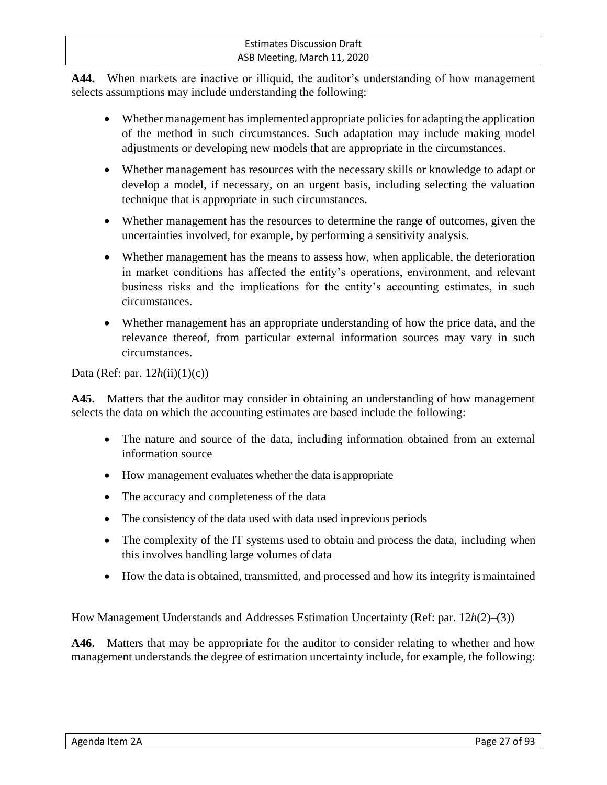<span id="page-26-0"></span>**A44.** When markets are inactive or illiquid, the auditor's understanding of how management selects assumptions may include understanding the following:

- Whether management has implemented appropriate policies for adapting the application of the method in such circumstances. Such adaptation may include making model adjustments or developing new models that are appropriate in the circumstances.
- Whether management has resources with the necessary skills or knowledge to adapt or develop a model, if necessary, on an urgent basis, including selecting the valuation technique that is appropriate in such circumstances.
- Whether management has the resources to determine the range of outcomes, given the uncertainties involved, for example, by performing a sensitivity analysis.
- Whether management has the means to assess how, when applicable, the deterioration in market conditions has affected the entity's operations, environment, and relevant business risks and the implications for the entity's accounting estimates, in such circumstances.
- Whether management has an appropriate understanding of how the price data, and the relevance thereof, from particular external information sources may vary in such circumstances.

Data (Ref: par. [12](#page-5-0)*h*(ii)(1)(c))

<span id="page-26-1"></span>**A45.** Matters that the auditor may consider in obtaining an understanding of how management selects the data on which the accounting estimates are based include the following:

- The nature and source of the data, including information obtained from an external information source
- How management evaluates whether the data is appropriate
- The accuracy and completeness of the data
- The consistency of the data used with data used in previous periods
- The complexity of the IT systems used to obtain and process the data, including when this involves handling large volumes of data
- How the data is obtained, transmitted, and processed and how its integrity is maintained

How Management Understands and Addresses Estimation Uncertainty (Ref: par. [12](#page-5-0)*h*(2)–(3))

<span id="page-26-2"></span>**A46.** Matters that may be appropriate for the auditor to consider relating to whether and how management understands the degree of estimation uncertainty include, for example, the following: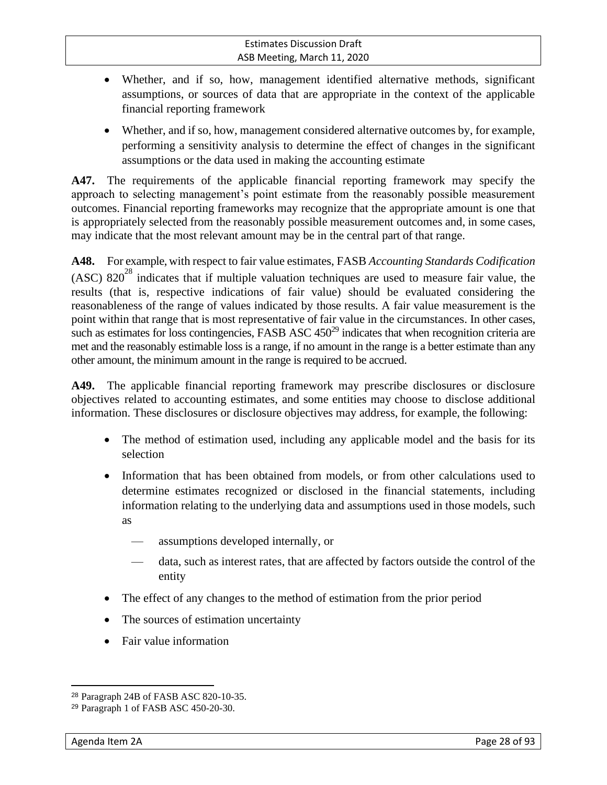- Whether, and if so, how, management identified alternative methods, significant assumptions, or sources of data that are appropriate in the context of the applicable financial reporting framework
- Whether, and if so, how, management considered alternative outcomes by, for example, performing a sensitivity analysis to determine the effect of changes in the significant assumptions or the data used in making the accounting estimate

<span id="page-27-0"></span>**A47.** The requirements of the applicable financial reporting framework may specify the approach to selecting management's point estimate from the reasonably possible measurement outcomes. Financial reporting frameworks may recognize that the appropriate amount is one that is appropriately selected from the reasonably possible measurement outcomes and, in some cases, may indicate that the most relevant amount may be in the central part of that range.

**A48.** For example, with respect to fair value estimates, FASB *Accounting Standards Codification* (ASC)  $820^{28}$  indicates that if multiple valuation techniques are used to measure fair value, the results (that is, respective indications of fair value) should be evaluated considering the reasonableness of the range of values indicated by those results. A fair value measurement is the point within that range that is most representative of fair value in the circumstances. In other cases, such as estimates for loss contingencies, FASB ASC 450<sup>29</sup> indicates that when recognition criteria are met and the reasonably estimable loss is a range, if no amount in the range is a better estimate than any other amount, the minimum amount in the range is required to be accrued.

**A49.** The applicable financial reporting framework may prescribe disclosures or disclosure objectives related to accounting estimates, and some entities may choose to disclose additional information. These disclosures or disclosure objectives may address, for example, the following:

- The method of estimation used, including any applicable model and the basis for its selection
- Information that has been obtained from models, or from other calculations used to determine estimates recognized or disclosed in the financial statements, including information relating to the underlying data and assumptions used in those models, such as
	- assumptions developed internally, or
	- data, such as interest rates, that are affected by factors outside the control of the entity
- The effect of any changes to the method of estimation from the prior period
- The sources of estimation uncertainty
- Fair value information

<sup>28</sup> Paragraph 24B of FASB ASC 820-10-35.

<sup>29</sup> Paragraph 1 of FASB ASC 450-20-30.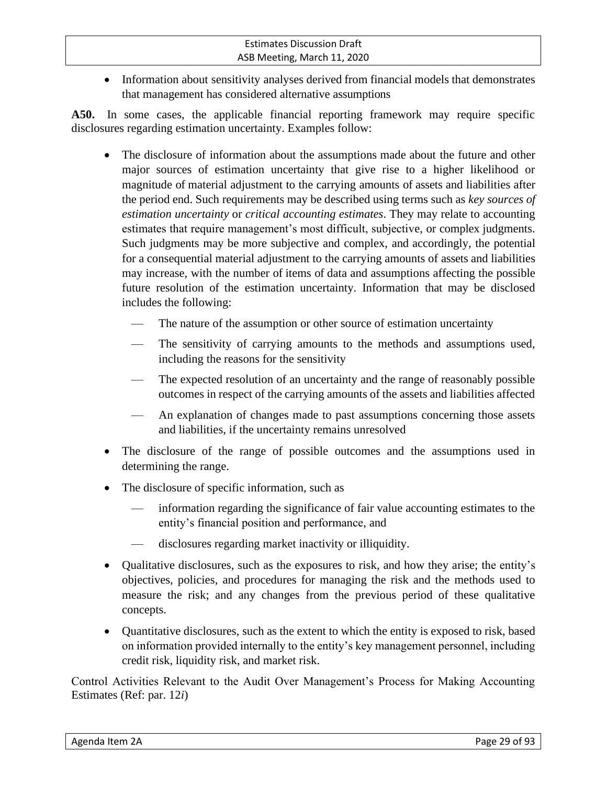• Information about sensitivity analyses derived from financial models that demonstrates that management has considered alternative assumptions

<span id="page-28-0"></span>**A50.** In some cases, the applicable financial reporting framework may require specific disclosures regarding estimation uncertainty. Examples follow:

- The disclosure of information about the assumptions made about the future and other major sources of estimation uncertainty that give rise to a higher likelihood or magnitude of material adjustment to the carrying amounts of assets and liabilities after the period end. Such requirements may be described using terms such as *key sources of estimation uncertainty* or *critical accounting estimates*. They may relate to accounting estimates that require management's most difficult, subjective, or complex judgments. Such judgments may be more subjective and complex, and accordingly, the potential for a consequential material adjustment to the carrying amounts of assets and liabilities may increase, with the number of items of data and assumptions affecting the possible future resolution of the estimation uncertainty. Information that may be disclosed includes the following:
	- The nature of the assumption or other source of estimation uncertainty
	- The sensitivity of carrying amounts to the methods and assumptions used, including the reasons for the sensitivity
	- The expected resolution of an uncertainty and the range of reasonably possible outcomes in respect of the carrying amounts of the assets and liabilities affected
	- An explanation of changes made to past assumptions concerning those assets and liabilities, if the uncertainty remains unresolved
- The disclosure of the range of possible outcomes and the assumptions used in determining the range.
- The disclosure of specific information, such as
	- information regarding the significance of fair value accounting estimates to the entity's financial position and performance, and
	- disclosures regarding market inactivity or illiquidity.
- Qualitative disclosures, such as the exposures to risk, and how they arise; the entity's objectives, policies, and procedures for managing the risk and the methods used to measure the risk; and any changes from the previous period of these qualitative concepts.
- Quantitative disclosures, such as the extent to which the entity is exposed to risk, based on information provided internally to the entity's key management personnel, including credit risk, liquidity risk, and market risk.

Control Activities Relevant to the Audit Over Management's Process for Making Accounting Estimates (Ref: par. [12](#page-5-0)*i*)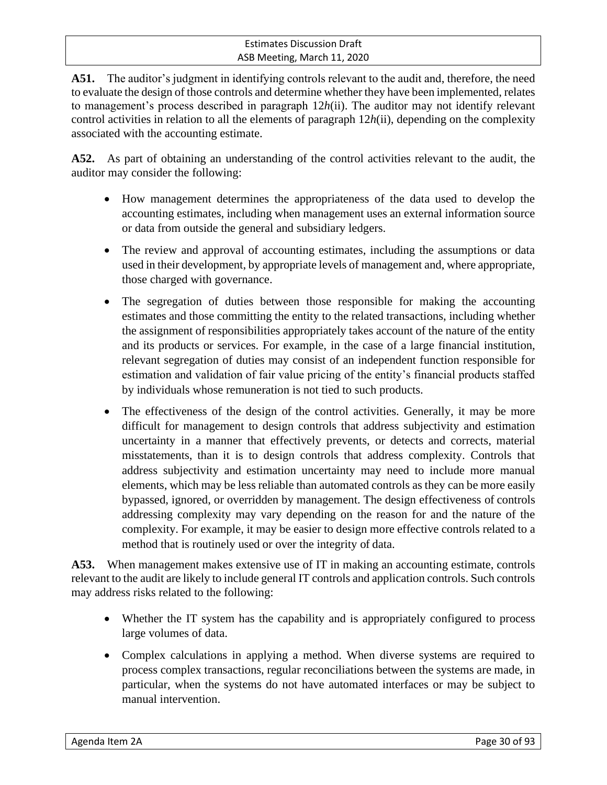<span id="page-29-0"></span>**A51.** The auditor's judgment in identifying controls relevant to the audit and, therefore, the need to evaluate the design of those controls and determine whether they have been implemented, relates to management's process described in paragraph [12](#page-5-0)*h*(ii). The auditor may not identify relevant control activities in relation to all the elements of paragraph [12](#page-5-0)*h*(ii), depending on the complexity associated with the accounting estimate.

**A52.** As part of obtaining an understanding of the control activities relevant to the audit, the auditor may consider the following:

- How management determines the appropriateness of the data used to develop the accounting estimates, including when management uses an external information source or data from outside the general and subsidiary ledgers.
- The review and approval of accounting estimates, including the assumptions or data used in their development, by appropriate levels of management and, where appropriate, those charged with governance.
- The segregation of duties between those responsible for making the accounting estimates and those committing the entity to the related transactions, including whether the assignment of responsibilities appropriately takes account of the nature of the entity and its products or services. For example, in the case of a large financial institution, relevant segregation of duties may consist of an independent function responsible for estimation and validation of fair value pricing of the entity's financial products staffed by individuals whose remuneration is not tied to such products.
- The effectiveness of the design of the control activities. Generally, it may be more difficult for management to design controls that address subjectivity and estimation uncertainty in a manner that effectively prevents, or detects and corrects, material misstatements, than it is to design controls that address complexity. Controls that address subjectivity and estimation uncertainty may need to include more manual elements, which may be less reliable than automated controls as they can be more easily bypassed, ignored, or overridden by management. The design effectiveness of controls addressing complexity may vary depending on the reason for and the nature of the complexity. For example, it may be easier to design more effective controls related to a method that is routinely used or over the integrity of data.

**A53.** When management makes extensive use of IT in making an accounting estimate, controls relevant to the audit are likely to include general IT controls and application controls. Such controls may address risks related to the following:

- Whether the IT system has the capability and is appropriately configured to process large volumes of data.
- Complex calculations in applying a method. When diverse systems are required to process complex transactions, regular reconciliations between the systems are made, in particular, when the systems do not have automated interfaces or may be subject to manual intervention.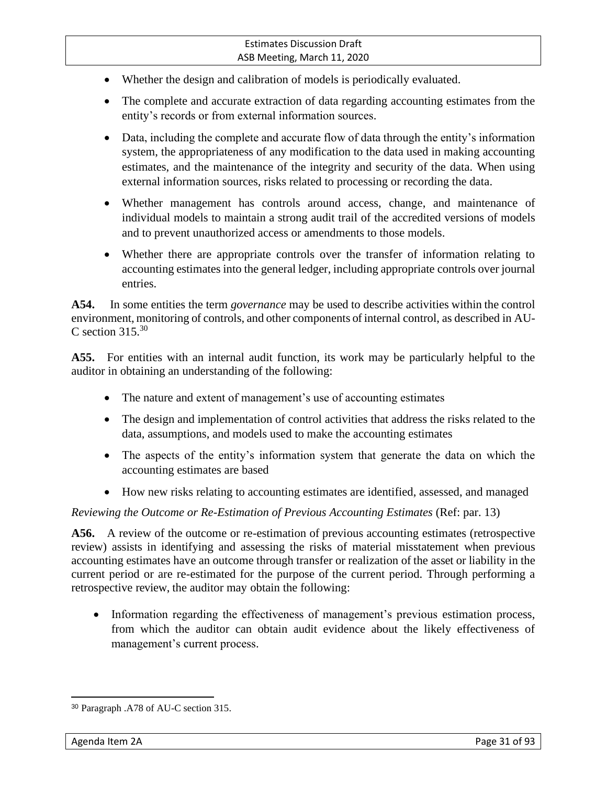- Whether the design and calibration of models is periodically evaluated.
- The complete and accurate extraction of data regarding accounting estimates from the entity's records or from external information sources.
- Data, including the complete and accurate flow of data through the entity's information system, the appropriateness of any modification to the data used in making accounting estimates, and the maintenance of the integrity and security of the data. When using external information sources, risks related to processing or recording the data.
- Whether management has controls around access, change, and maintenance of individual models to maintain a strong audit trail of the accredited versions of models and to prevent unauthorized access or amendments to those models.
- Whether there are appropriate controls over the transfer of information relating to accounting estimates into the general ledger, including appropriate controls over journal entries.

**A54.** In some entities the term *governance* may be used to describe activities within the control environment, monitoring of controls, and other components of internal control, as described in AU-C section  $315^{30}$ 

<span id="page-30-0"></span>**A55.** For entities with an internal audit function, its work may be particularly helpful to the auditor in obtaining an understanding of the following:

- The nature and extent of management's use of accounting estimates
- The design and implementation of control activities that address the risks related to the data, assumptions, and models used to make the accounting estimates
- The aspects of the entity's information system that generate the data on which the accounting estimates are based
- How new risks relating to accounting estimates are identified, assessed, and managed

*Reviewing the Outcome or Re-Estimation of Previous Accounting Estimates (Ref: par. [13\)](#page-6-0)* 

<span id="page-30-1"></span>**A56.** A review of the outcome or re-estimation of previous accounting estimates (retrospective review) assists in identifying and assessing the risks of material misstatement when previous accounting estimates have an outcome through transfer or realization of the asset or liability in the current period or are re-estimated for the purpose of the current period. Through performing a retrospective review, the auditor may obtain the following:

• Information regarding the effectiveness of management's previous estimation process, from which the auditor can obtain audit evidence about the likely effectiveness of management's current process.

<sup>30</sup> Paragraph .A78 of AU-C section 315.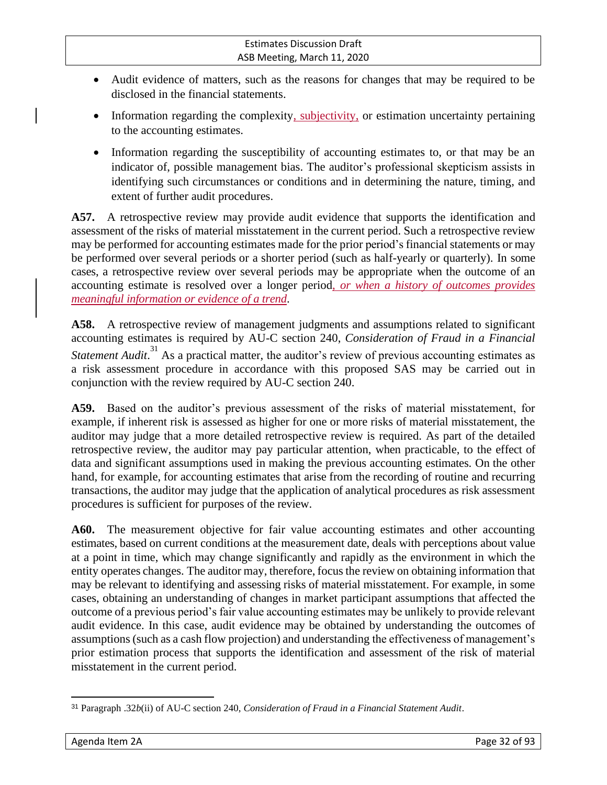- Audit evidence of matters, such as the reasons for changes that may be required to be disclosed in the financial statements.
- Information regarding the complexity, subjectivity, or estimation uncertainty pertaining to the accounting estimates.
- Information regarding the susceptibility of accounting estimates to, or that may be an indicator of, possible management bias. The auditor's professional skepticism assists in identifying such circumstances or conditions and in determining the nature, timing, and extent of further audit procedures.

**A57.** A retrospective review may provide audit evidence that supports the identification and assessment of the risks of material misstatement in the current period. Such a retrospective review may be performed for accounting estimates made for the prior period's financial statements or may be performed over several periods or a shorter period (such as half-yearly or quarterly). In some cases, a retrospective review over several periods may be appropriate when the outcome of an accounting estimate is resolved over a longer period, *or when a history of outcomes provides meaningful information or evidence of a trend*.

**A58.** A retrospective review of management judgments and assumptions related to significant accounting estimates is required by AU-C section 240, *Consideration of Fraud in a Financial Statement Audit*.<sup>31</sup> As a practical matter, the auditor's review of previous accounting estimates as a risk assessment procedure in accordance with this proposed SAS may be carried out in conjunction with the review required by AU-C section 240.

**A59.** Based on the auditor's previous assessment of the risks of material misstatement, for example, if inherent risk is assessed as higher for one or more risks of material misstatement, the auditor may judge that a more detailed retrospective review is required. As part of the detailed retrospective review, the auditor may pay particular attention, when practicable, to the effect of data and significant assumptions used in making the previous accounting estimates. On the other hand, for example, for accounting estimates that arise from the recording of routine and recurring transactions, the auditor may judge that the application of analytical procedures as risk assessment procedures is sufficient for purposes of the review.

**A60.** The measurement objective for fair value accounting estimates and other accounting estimates, based on current conditions at the measurement date, deals with perceptions about value at a point in time, which may change significantly and rapidly as the environment in which the entity operates changes. The auditor may, therefore, focus the review on obtaining information that may be relevant to identifying and assessing risks of material misstatement. For example, in some cases, obtaining an understanding of changes in market participant assumptions that affected the outcome of a previous period's fair value accounting estimates may be unlikely to provide relevant audit evidence. In this case, audit evidence may be obtained by understanding the outcomes of assumptions (such as a cash flow projection) and understanding the effectiveness of management's prior estimation process that supports the identification and assessment of the risk of material misstatement in the current period.

<sup>31</sup> Paragraph .32*b*(ii) of AU-C section 240, *Consideration of Fraud in a Financial Statement Audit*.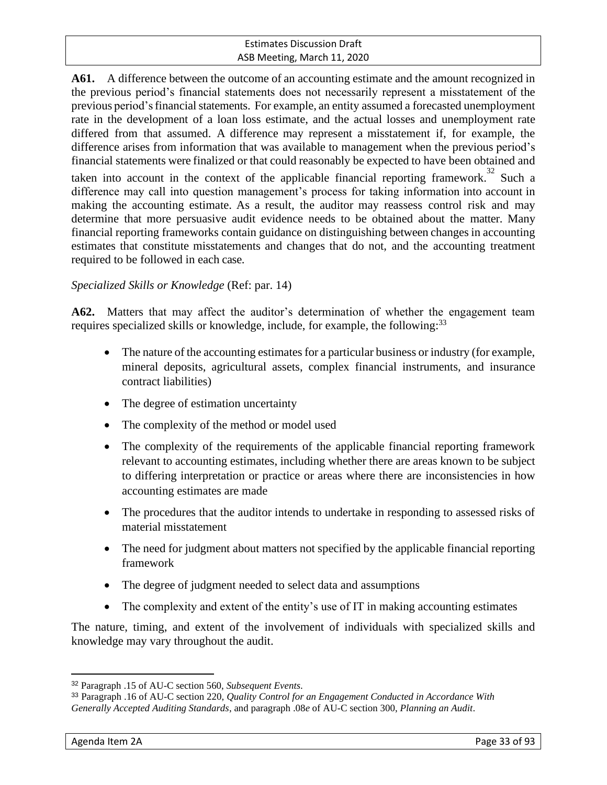<span id="page-32-0"></span>**A61.** A difference between the outcome of an accounting estimate and the amount recognized in the previous period's financial statements does not necessarily represent a misstatement of the previous period's financial statements. For example, an entity assumed a forecasted unemployment rate in the development of a loan loss estimate, and the actual losses and unemployment rate differed from that assumed. A difference may represent a misstatement if, for example, the difference arises from information that was available to management when the previous period's financial statements were finalized or that could reasonably be expected to have been obtained and taken into account in the context of the applicable financial reporting framework.<sup>32</sup> Such a difference may call into question management's process for taking information into account in making the accounting estimate. As a result, the auditor may reassess control risk and may determine that more persuasive audit evidence needs to be obtained about the matter. Many financial reporting frameworks contain guidance on distinguishing between changes in accounting estimates that constitute misstatements and changes that do not, and the accounting treatment required to be followed in each case.

#### *Specialized Skills or Knowledge* (Ref: par. [14\)](#page-7-1)

<span id="page-32-1"></span>**A62.** Matters that may affect the auditor's determination of whether the engagement team requires specialized skills or knowledge, include, for example, the following.<sup>33</sup>

- The nature of the accounting estimates for a particular business or industry (for example, mineral deposits, agricultural assets, complex financial instruments, and insurance contract liabilities)
- The degree of estimation uncertainty
- The complexity of the method or model used
- The complexity of the requirements of the applicable financial reporting framework relevant to accounting estimates, including whether there are areas known to be subject to differing interpretation or practice or areas where there are inconsistencies in how accounting estimates are made
- The procedures that the auditor intends to undertake in responding to assessed risks of material misstatement
- The need for judgment about matters not specified by the applicable financial reporting framework
- The degree of judgment needed to select data and assumptions
- The complexity and extent of the entity's use of IT in making accounting estimates

The nature, timing, and extent of the involvement of individuals with specialized skills and knowledge may vary throughout the audit.

<sup>32</sup> Paragraph .15 of AU-C section 560, *Subsequent Events*.

<sup>33</sup> Paragraph .16 of AU-C section 220, *Quality Control for an Engagement Conducted in Accordance With Generally Accepted Auditing Standards*, and paragraph .08*e* of AU-C section 300, *Planning an Audit*.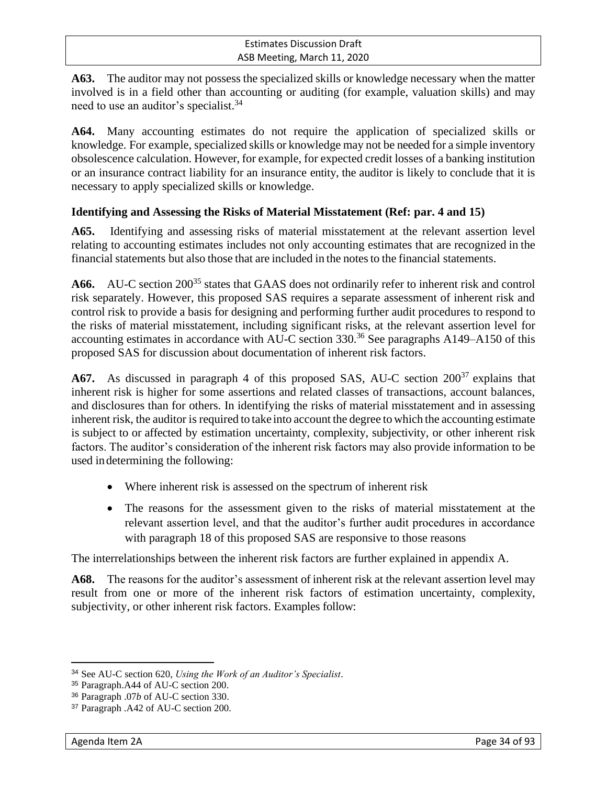**A63.** The auditor may not possess the specialized skills or knowledge necessary when the matter involved is in a field other than accounting or auditing (for example, valuation skills) and may need to use an auditor's specialist.<sup>34</sup>

<span id="page-33-2"></span>**A64.** Many accounting estimates do not require the application of specialized skills or knowledge. For example, specialized skills or knowledge may not be needed for a simple inventory obsolescence calculation. However, for example, for expected credit losses of a banking institution or an insurance contract liability for an insurance entity, the auditor is likely to conclude that it is necessary to apply specialized skills or knowledge.

# **Identifying and Assessing the Risks of Material Misstatement (Ref: par. [4](#page-3-0) and [15\)](#page-7-0)**

<span id="page-33-3"></span>**A65.** Identifying and assessing risks of material misstatement at the relevant assertion level relating to accounting estimates includes not only accounting estimates that are recognized in the financial statements but also those that are included in the notesto the financial statements.

<span id="page-33-0"></span>A66. AU-C section 200<sup>35</sup> states that GAAS does not ordinarily refer to inherent risk and control risk separately. However, this proposed SAS requires a separate assessment of inherent risk and control risk to provide a basis for designing and performing further audit procedures to respond to the risks of material misstatement, including significant risks, at the relevant assertion level for accounting estimates in accordance with AU-C section  $330<sup>36</sup>$  See paragraphs [A149–](#page-57-0)[A150](#page-57-2) of this proposed SAS for discussion about documentation of inherent risk factors.

<span id="page-33-1"></span>A67. As discussed in paragraph 4 of this proposed SAS, AU-C section 200<sup>37</sup> explains that inherent risk is higher for some assertions and related classes of transactions, account balances, and disclosures than for others. In identifying the risks of material misstatement and in assessing inherent risk, the auditor is required to take into account the degree to which the accounting estimate is subject to or affected by estimation uncertainty, complexity, subjectivity, or other inherent risk factors. The auditor's consideration of the inherent risk factors may also provide information to be used indetermining the following:

- Where inherent risk is assessed on the spectrum of inherent risk
- The reasons for the assessment given to the risks of material misstatement at the relevant assertion level, and that the auditor's further audit procedures in accordance with paragraph 18 of this proposed SAS are responsive to those reasons

The interrelationships between the inherent risk factors are further explained in appendix A.

**A68.** The reasons for the auditor's assessment of inherent risk at the relevant assertion level may result from one or more of the inherent risk factors of estimation uncertainty, complexity, subjectivity, or other inherent risk factors. Examples follow:

<sup>34</sup> See AU-C section 620, *Using the Work of an Auditor's Specialist*.

<sup>35</sup> Paragraph.A44 of AU-C section 200.

<sup>36</sup> Paragraph .07*b* of AU-C section 330.

<sup>37</sup> Paragraph .A42 of AU-C section 200.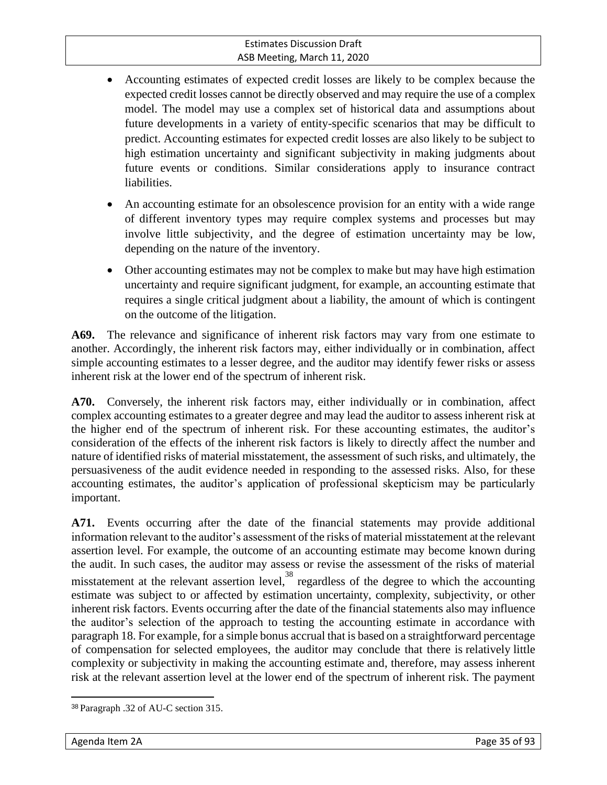- Accounting estimates of expected credit losses are likely to be complex because the expected credit losses cannot be directly observed and may require the use of a complex model. The model may use a complex set of historical data and assumptions about future developments in a variety of entity-specific scenarios that may be difficult to predict. Accounting estimates for expected credit losses are also likely to be subject to high estimation uncertainty and significant subjectivity in making judgments about future events or conditions. Similar considerations apply to insurance contract liabilities.
- An accounting estimate for an obsolescence provision for an entity with a wide range of different inventory types may require complex systems and processes but may involve little subjectivity, and the degree of estimation uncertainty may be low, depending on the nature of the inventory.
- Other accounting estimates may not be complex to make but may have high estimation uncertainty and require significant judgment, for example, an accounting estimate that requires a single critical judgment about a liability, the amount of which is contingent on the outcome of the litigation.

**A69.** The relevance and significance of inherent risk factors may vary from one estimate to another. Accordingly, the inherent risk factors may, either individually or in combination, affect simple accounting estimates to a lesser degree, and the auditor may identify fewer risks or assess inherent risk at the lower end of the spectrum of inherent risk.

**A70.** Conversely, the inherent risk factors may, either individually or in combination, affect complex accounting estimates to a greater degree and may lead the auditor to assessinherent risk at the higher end of the spectrum of inherent risk. For these accounting estimates, the auditor's consideration of the effects of the inherent risk factors is likely to directly affect the number and nature of identified risks of material misstatement, the assessment of such risks, and ultimately, the persuasiveness of the audit evidence needed in responding to the assessed risks. Also, for these accounting estimates, the auditor's application of professional skepticism may be particularly important.

**A71.** Events occurring after the date of the financial statements may provide additional information relevant to the auditor's assessment of the risks of material misstatement at the relevant assertion level. For example, the outcome of an accounting estimate may become known during the audit. In such cases, the auditor may assess or revise the assessment of the risks of material misstatement at the relevant assertion level, $38$  regardless of the degree to which the accounting estimate was subject to or affected by estimation uncertainty, complexity, subjectivity, or other inherent risk factors. Events occurring after the date of the financial statements also may influence the auditor's selection of the approach to testing the accounting estimate in accordance with paragraph 18. For example, for a simple bonus accrual that is based on a straightforward percentage of compensation for selected employees, the auditor may conclude that there is relatively little complexity or subjectivity in making the accounting estimate and, therefore, may assess inherent risk at the relevant assertion level at the lower end of the spectrum of inherent risk. The payment

<sup>38</sup> Paragraph .32 of AU-C section 315.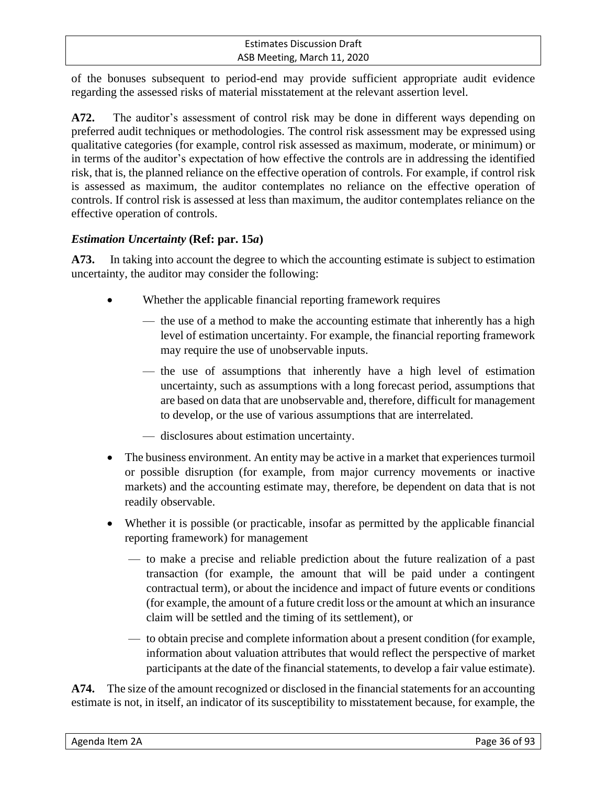of the bonuses subsequent to period-end may provide sufficient appropriate audit evidence regarding the assessed risks of material misstatement at the relevant assertion level.

<span id="page-35-0"></span>**A72.** The auditor's assessment of control risk may be done in different ways depending on preferred audit techniques or methodologies. The control risk assessment may be expressed using qualitative categories (for example, control risk assessed as maximum, moderate, or minimum) or in terms of the auditor's expectation of how effective the controls are in addressing the identified risk, that is, the planned reliance on the effective operation of controls. For example, if control risk is assessed as maximum, the auditor contemplates no reliance on the effective operation of controls. If control risk is assessed at less than maximum, the auditor contemplates reliance on the effective operation of controls.

# *Estimation Uncertainty* **(Ref: par. [15](#page-7-0)***a***)**

<span id="page-35-1"></span>**A73.** In taking into account the degree to which the accounting estimate is subject to estimation uncertainty, the auditor may consider the following:

- Whether the applicable financial reporting framework requires
	- the use of a method to make the accounting estimate that inherently has a high level of estimation uncertainty. For example, the financial reporting framework may require the use of unobservable inputs.
	- the use of assumptions that inherently have a high level of estimation uncertainty, such as assumptions with a long forecast period, assumptions that are based on data that are unobservable and, therefore, difficult for management to develop, or the use of various assumptions that are interrelated.
	- disclosures about estimation uncertainty.
- The business environment. An entity may be active in a market that experiences turmoil or possible disruption (for example, from major currency movements or inactive markets) and the accounting estimate may, therefore, be dependent on data that is not readily observable.
- Whether it is possible (or practicable, insofar as permitted by the applicable financial reporting framework) for management
	- to make a precise and reliable prediction about the future realization of a past transaction (for example, the amount that will be paid under a contingent contractual term), or about the incidence and impact of future events or conditions (for example, the amount of a future credit loss or the amount at which an insurance claim will be settled and the timing of its settlement), or
	- to obtain precise and complete information about a present condition (for example, information about valuation attributes that would reflect the perspective of market participants at the date of the financial statements, to develop a fair value estimate).

**A74.** The size of the amount recognized or disclosed in the financial statements for an accounting estimate is not, in itself, an indicator of its susceptibility to misstatement because, for example, the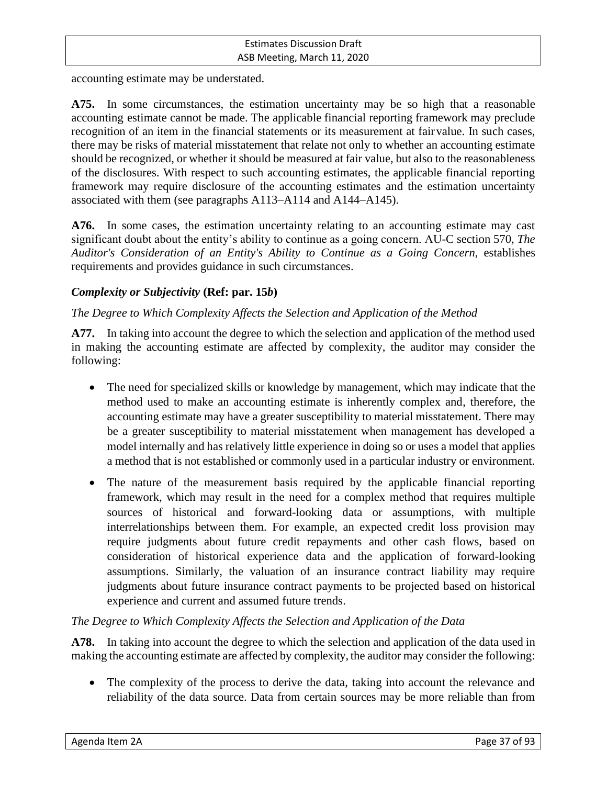accounting estimate may be understated.

**A75.** In some circumstances, the estimation uncertainty may be so high that a reasonable accounting estimate cannot be made. The applicable financial reporting framework may preclude recognition of an item in the financial statements or its measurement at fairvalue. In such cases, there may be risks of material misstatement that relate not only to whether an accounting estimate should be recognized, or whether it should be measured at fair value, but also to the reasonableness of the disclosures. With respect to such accounting estimates, the applicable financial reporting framework may require disclosure of the accounting estimates and the estimation uncertainty associated with them (see paragraphs [A113–](#page-47-0)[A114](#page-48-0) and [A144–](#page-55-0)[A145\)](#page-56-0).

**A76.** In some cases, the estimation uncertainty relating to an accounting estimate may cast significant doubt about the entity's ability to continue as a going concern. AU-C section 570, *The Auditor's Consideration of an Entity's Ability to Continue as a Going Concern*, establishes requirements and provides guidance in such circumstances.

# *Complexity or Subjectivity* **(Ref: par. [15](#page-7-0)***b***)**

# *The Degree to Which Complexity Affects the Selection and Application of the Method*

**A77.** In taking into account the degree to which the selection and application of the method used in making the accounting estimate are affected by complexity, the auditor may consider the following:

- The need for specialized skills or knowledge by management, which may indicate that the method used to make an accounting estimate is inherently complex and, therefore, the accounting estimate may have a greater susceptibility to material misstatement. There may be a greater susceptibility to material misstatement when management has developed a model internally and has relatively little experience in doing so or uses a model that applies a method that is not established or commonly used in a particular industry or environment.
- The nature of the measurement basis required by the applicable financial reporting framework, which may result in the need for a complex method that requires multiple sources of historical and forward-looking data or assumptions, with multiple interrelationships between them. For example, an expected credit loss provision may require judgments about future credit repayments and other cash flows, based on consideration of historical experience data and the application of forward-looking assumptions. Similarly, the valuation of an insurance contract liability may require judgments about future insurance contract payments to be projected based on historical experience and current and assumed future trends.

# *The Degree to Which Complexity Affects the Selection and Application of the Data*

**A78.** In taking into account the degree to which the selection and application of the data used in making the accounting estimate are affected by complexity, the auditor may consider the following:

• The complexity of the process to derive the data, taking into account the relevance and reliability of the data source. Data from certain sources may be more reliable than from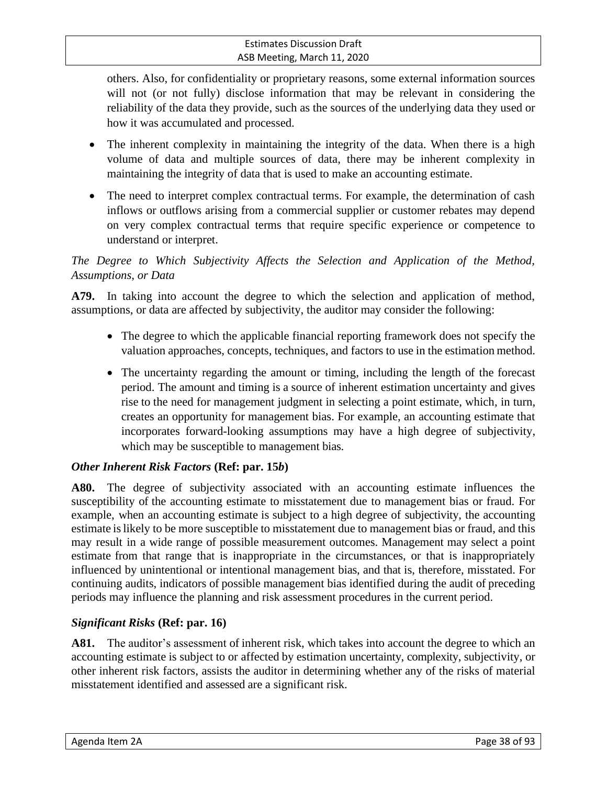others. Also, for confidentiality or proprietary reasons, some external information sources will not (or not fully) disclose information that may be relevant in considering the reliability of the data they provide, such as the sources of the underlying data they used or how it was accumulated and processed.

- The inherent complexity in maintaining the integrity of the data. When there is a high volume of data and multiple sources of data, there may be inherent complexity in maintaining the integrity of data that is used to make an accounting estimate.
- The need to interpret complex contractual terms. For example, the determination of cash inflows or outflows arising from a commercial supplier or customer rebates may depend on very complex contractual terms that require specific experience or competence to understand or interpret.

# *The Degree to Which Subjectivity Affects the Selection and Application of the Method, Assumptions, or Data*

**A79.** In taking into account the degree to which the selection and application of method, assumptions, or data are affected by subjectivity, the auditor may consider the following:

- The degree to which the applicable financial reporting framework does not specify the valuation approaches, concepts, techniques, and factors to use in the estimation method.
- The uncertainty regarding the amount or timing, including the length of the forecast period. The amount and timing is a source of inherent estimation uncertainty and gives rise to the need for management judgment in selecting a point estimate, which, in turn, creates an opportunity for management bias. For example, an accounting estimate that incorporates forward-looking assumptions may have a high degree of subjectivity, which may be susceptible to management bias.

# *Other Inherent Risk Factors* **(Ref: par. [15](#page-7-0)***b***)**

**A80.** The degree of subjectivity associated with an accounting estimate influences the susceptibility of the accounting estimate to misstatement due to management bias or fraud. For example, when an accounting estimate is subject to a high degree of subjectivity, the accounting estimate is likely to be more susceptible to misstatement due to management bias or fraud, and this may result in a wide range of possible measurement outcomes. Management may select a point estimate from that range that is inappropriate in the circumstances, or that is inappropriately influenced by unintentional or intentional management bias, and that is, therefore, misstated. For continuing audits, indicators of possible management bias identified during the audit of preceding periods may influence the planning and risk assessment procedures in the current period.

# *Significant Risks* **(Ref: par. [16\)](#page-7-1)**

A81. The auditor's assessment of inherent risk, which takes into account the degree to which an accounting estimate is subject to or affected by estimation uncertainty, complexity, subjectivity, or other inherent risk factors, assists the auditor in determining whether any of the risks of material misstatement identified and assessed are a significant risk.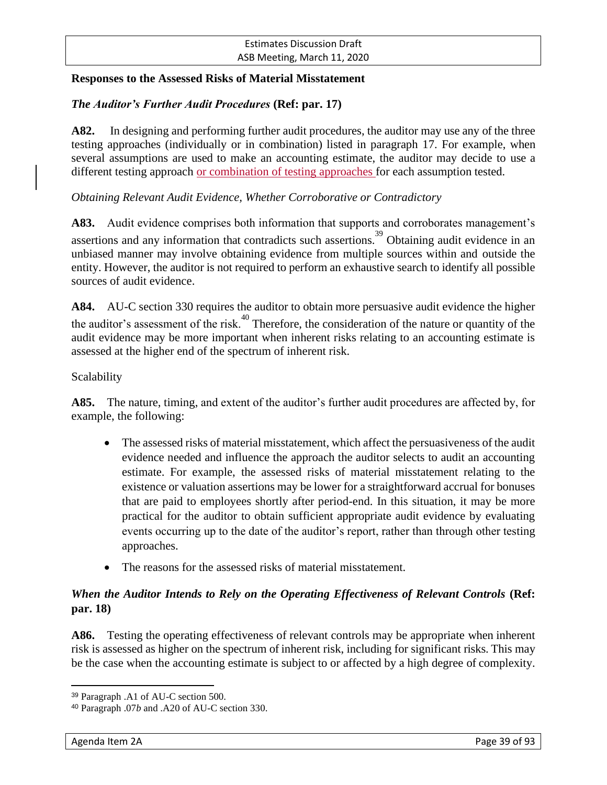## **Responses to the Assessed Risks of Material Misstatement**

## *The Auditor's Further Audit Procedures* **(Ref: par. [17\)](#page-7-2)**

**A82.** In designing and performing further audit procedures, the auditor may use any of the three testing approaches (individually or in combination) listed in paragraph [17.](#page-7-2) For example, when several assumptions are used to make an accounting estimate, the auditor may decide to use a different testing approach or combination of testing approaches for each assumption tested.

## *Obtaining Relevant Audit Evidence, Whether Corroborative or Contradictory*

**A83.** Audit evidence comprises both information that supports and corroborates management's assertions and any information that contradicts such assertions.<sup>39</sup> Obtaining audit evidence in an unbiased manner may involve obtaining evidence from multiple sources within and outside the entity. However, the auditor is not required to perform an exhaustive search to identify all possible sources of audit evidence.

**A84.** AU-C section 330 requires the auditor to obtain more persuasive audit evidence the higher the auditor's assessment of the risk.<sup>40</sup> Therefore, the consideration of the nature or quantity of the audit evidence may be more important when inherent risks relating to an accounting estimate is assessed at the higher end of the spectrum of inherent risk.

#### Scalability

**A85.** The nature, timing, and extent of the auditor's further audit procedures are affected by, for example, the following:

- The assessed risks of material misstatement, which affect the persuasiveness of the audit evidence needed and influence the approach the auditor selects to audit an accounting estimate. For example, the assessed risks of material misstatement relating to the existence or valuation assertions may be lower for a straightforward accrual for bonuses that are paid to employees shortly after period-end. In this situation, it may be more practical for the auditor to obtain sufficient appropriate audit evidence by evaluating events occurring up to the date of the auditor's report, rather than through other testing approaches.
- The reasons for the assessed risks of material misstatement.

# *When the Auditor Intends to Rely on the Operating Effectiveness of Relevant Controls* **(Ref: par. [18\)](#page-8-0)**

**A86.** Testing the operating effectiveness of relevant controls may be appropriate when inherent risk is assessed as higher on the spectrum of inherent risk, including for significant risks. This may be the case when the accounting estimate is subject to or affected by a high degree of complexity.

<sup>39</sup> Paragraph .A1 of AU-C section 500.

<sup>40</sup> Paragraph .07*b* and .A20 of AU-C section 330.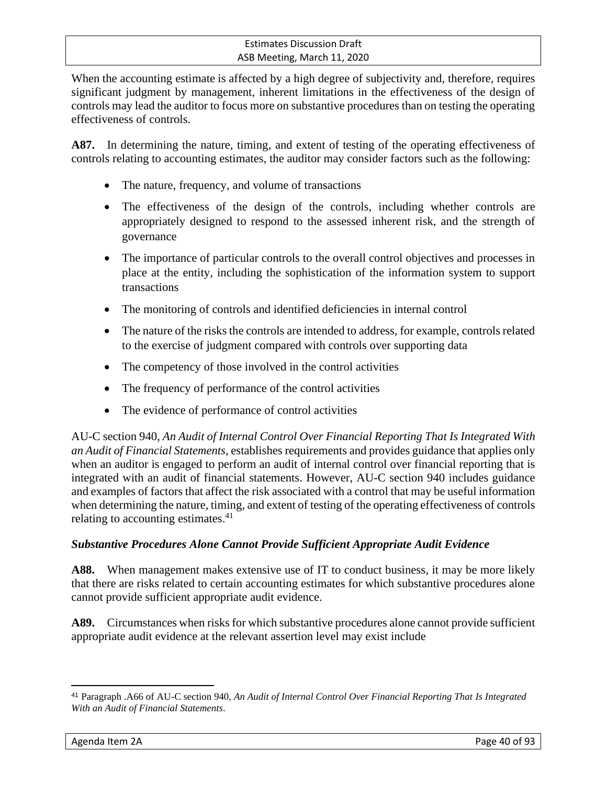When the accounting estimate is affected by a high degree of subjectivity and, therefore, requires significant judgment by management, inherent limitations in the effectiveness of the design of controls may lead the auditor to focus more on substantive procedures than on testing the operating effectiveness of controls.

**A87.** In determining the nature, timing, and extent of testing of the operating effectiveness of controls relating to accounting estimates, the auditor may consider factors such as the following:

- The nature, frequency, and volume of transactions
- The effectiveness of the design of the controls, including whether controls are appropriately designed to respond to the assessed inherent risk, and the strength of governance
- The importance of particular controls to the overall control objectives and processes in place at the entity, including the sophistication of the information system to support transactions
- The monitoring of controls and identified deficiencies in internal control
- The nature of the risks the controls are intended to address, for example, controls related to the exercise of judgment compared with controls over supporting data
- The competency of those involved in the control activities
- The frequency of performance of the control activities
- The evidence of performance of control activities

AU-C section 940, *An Audit of Internal Control Over Financial Reporting That Is Integrated With an Audit of Financial Statements*, establishes requirements and provides guidance that applies only when an auditor is engaged to perform an audit of internal control over financial reporting that is integrated with an audit of financial statements. However, AU-C section 940 includes guidance and examples of factors that affect the risk associated with a control that may be useful information when determining the nature, timing, and extent of testing of the operating effectiveness of controls relating to accounting estimates.<sup>41</sup>

## *Substantive Procedures Alone Cannot Provide Sufficient Appropriate Audit Evidence*

A88. When management makes extensive use of IT to conduct business, it may be more likely that there are risks related to certain accounting estimates for which substantive procedures alone cannot provide sufficient appropriate audit evidence.

**A89.** Circumstances when risks for which substantive procedures alone cannot provide sufficient appropriate audit evidence at the relevant assertion level may exist include

<sup>41</sup> Paragraph .A66 of AU-C section 940, *An Audit of Internal Control Over Financial Reporting That Is Integrated With an Audit of Financial Statements*.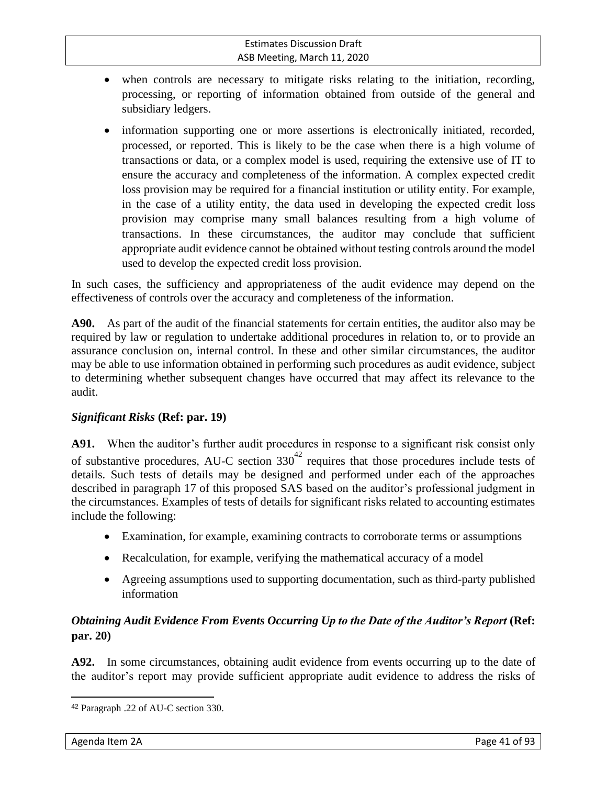- when controls are necessary to mitigate risks relating to the initiation, recording, processing, or reporting of information obtained from outside of the general and subsidiary ledgers.
- information supporting one or more assertions is electronically initiated, recorded, processed, or reported. This is likely to be the case when there is a high volume of transactions or data, or a complex model is used, requiring the extensive use of IT to ensure the accuracy and completeness of the information. A complex expected credit loss provision may be required for a financial institution or utility entity. For example, in the case of a utility entity, the data used in developing the expected credit loss provision may comprise many small balances resulting from a high volume of transactions. In these circumstances, the auditor may conclude that sufficient appropriate audit evidence cannot be obtained without testing controls around the model used to develop the expected credit loss provision.

In such cases, the sufficiency and appropriateness of the audit evidence may depend on the effectiveness of controls over the accuracy and completeness of the information.

**A90.** As part of the audit of the financial statements for certain entities, the auditor also may be required by law or regulation to undertake additional procedures in relation to, or to provide an assurance conclusion on, internal control. In these and other similar circumstances, the auditor may be able to use information obtained in performing such procedures as audit evidence, subject to determining whether subsequent changes have occurred that may affect its relevance to the audit.

# *Significant Risks* **(Ref: par. [19\)](#page-8-1)**

**A91.** When the auditor's further audit procedures in response to a significant risk consist only of substantive procedures, AU-C section  $330^{42}$  requires that those procedures include tests of details. Such tests of details may be designed and performed under each of the approaches described in paragraph [17](#page-7-2) of this proposed SAS based on the auditor's professional judgment in the circumstances. Examples of tests of details for significant risks related to accounting estimates include the following:

- Examination, for example, examining contracts to corroborate terms or assumptions
- Recalculation, for example, verifying the mathematical accuracy of a model
- Agreeing assumptions used to supporting documentation, such as third-party published information

# *Obtaining Audit Evidence From Events Occurring Up to the Date of the Auditor's Report* (Ref: **par. [20\)](#page-8-2)**

**A92.** In some circumstances, obtaining audit evidence from events occurring up to the date of the auditor's report may provide sufficient appropriate audit evidence to address the risks of

<sup>42</sup> Paragraph .22 of AU-C section 330.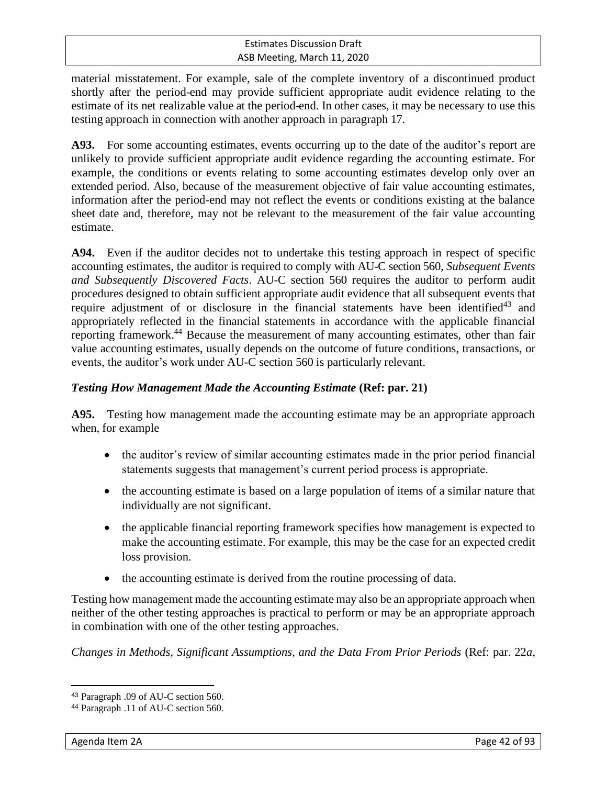material misstatement. For example, sale of the complete inventory of a discontinued product shortly after the period-end may provide sufficient appropriate audit evidence relating to the estimate of its net realizable value at the period-end. In other cases, it may be necessary to use this testing approach in connection with another approach in paragraph [17.](#page-7-2)

**A93.** For some accounting estimates, events occurring up to the date of the auditor's report are unlikely to provide sufficient appropriate audit evidence regarding the accounting estimate. For example, the conditions or events relating to some accounting estimates develop only over an extended period. Also, because of the measurement objective of fair value accounting estimates, information after the period-end may not reflect the events or conditions existing at the balance sheet date and, therefore, may not be relevant to the measurement of the fair value accounting estimate.

**A94.** Even if the auditor decides not to undertake this testing approach in respect of specific accounting estimates, the auditor is required to comply with AU-C section 560, *Subsequent Events and Subsequently Discovered Facts*. AU-C section 560 requires the auditor to perform audit procedures designed to obtain sufficient appropriate audit evidence that all subsequent events that require adjustment of or disclosure in the financial statements have been identified<sup>43</sup> and appropriately reflected in the financial statements in accordance with the applicable financial reporting framework.<sup>44</sup> Because the measurement of many accounting estimates, other than fair value accounting estimates, usually depends on the outcome of future conditions, transactions, or events, the auditor's work under AU-C section 560 is particularly relevant.

# *Testing How Management Made the Accounting Estimate* **(Ref: par. [21\)](#page-9-0)**

**A95.** Testing how management made the accounting estimate may be an appropriate approach when, for example

- the auditor's review of similar accounting estimates made in the prior period financial statements suggests that management's current period process is appropriate.
- the accounting estimate is based on a large population of items of a similar nature that individually are not significant.
- the applicable financial reporting framework specifies how management is expected to make the accounting estimate. For example, this may be the case for an expected credit loss provision.
- the accounting estimate is derived from the routine processing of data.

Testing how management made the accounting estimate may also be an appropriate approach when neither of the other testing approaches is practical to perform or may be an appropriate approach in combination with one of the other testing approaches.

*Changes in Methods, Significant Assumptions, and the Data From Prior Periods* (Ref: par. [22](#page-9-1)*a*,

<sup>43</sup> Paragraph .09 of AU-C section 560.

<sup>44</sup> Paragraph .11 of AU-C section 560.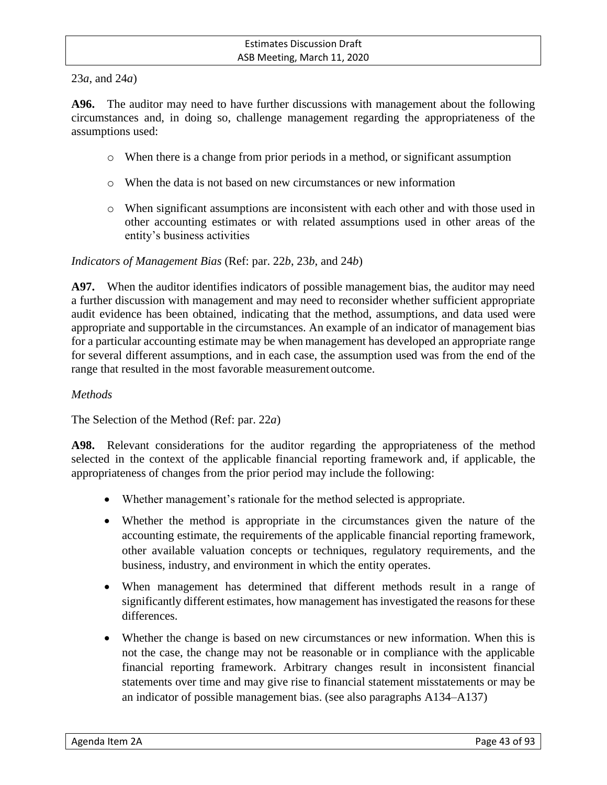[23](#page-10-0)*a*, and [24](#page-10-1)*a*)

**A96.** The auditor may need to have further discussions with management about the following circumstances and, in doing so, challenge management regarding the appropriateness of the assumptions used:

- o When there is a change from prior periods in a method, or significant assumption
- o When the data is not based on new circumstances or new information
- o When significant assumptions are inconsistent with each other and with those used in other accounting estimates or with related assumptions used in other areas of the entity's business activities

## *Indicators of Management Bias* (Ref: par. [22](#page-9-1)*b*, [23](#page-10-0)*b*, and [24](#page-10-1)*b*)

**A97.** When the auditor identifies indicators of possible management bias, the auditor may need a further discussion with management and may need to reconsider whether sufficient appropriate audit evidence has been obtained, indicating that the method, assumptions, and data used were appropriate and supportable in the circumstances. An example of an indicator of management bias for a particular accounting estimate may be when management has developed an appropriate range for several different assumptions, and in each case, the assumption used was from the end of the range that resulted in the most favorable measurement outcome.

#### *Methods*

The Selection of the Method (Ref: par. [22](#page-9-1)*a*)

**A98.** Relevant considerations for the auditor regarding the appropriateness of the method selected in the context of the applicable financial reporting framework and, if applicable, the appropriateness of changes from the prior period may include the following:

- Whether management's rationale for the method selected is appropriate.
- Whether the method is appropriate in the circumstances given the nature of the accounting estimate, the requirements of the applicable financial reporting framework, other available valuation concepts or techniques, regulatory requirements, and the business, industry, and environment in which the entity operates.
- When management has determined that different methods result in a range of significantly different estimates, how management has investigated the reasons for these differences.
- Whether the change is based on new circumstances or new information. When this is not the case, the change may not be reasonable or in compliance with the applicable financial reporting framework. Arbitrary changes result in inconsistent financial statements over time and may give rise to financial statement misstatements or may be an indicator of possible management bias. (see also paragraphs [A134](#page-53-0)[–A137\)](#page-54-0)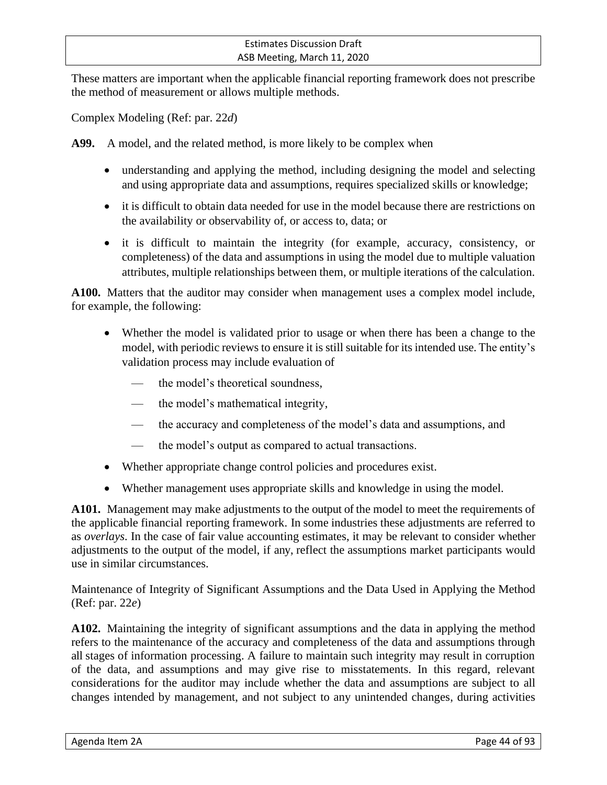These matters are important when the applicable financial reporting framework does not prescribe the method of measurement or allows multiple methods.

Complex Modeling (Ref: par. [22](#page-9-1)*d*)

**A99.** A model, and the related method, is more likely to be complex when

- understanding and applying the method, including designing the model and selecting and using appropriate data and assumptions, requires specialized skills or knowledge;
- it is difficult to obtain data needed for use in the model because there are restrictions on the availability or observability of, or access to, data; or
- it is difficult to maintain the integrity (for example, accuracy, consistency, or completeness) of the data and assumptions in using the model due to multiple valuation attributes, multiple relationships between them, or multiple iterations of the calculation.

**A100.** Matters that the auditor may consider when management uses a complex model include, for example, the following:

- Whether the model is validated prior to usage or when there has been a change to the model, with periodic reviews to ensure it is still suitable for its intended use. The entity's validation process may include evaluation of
	- the model's theoretical soundness,
	- the model's mathematical integrity,
	- the accuracy and completeness of the model's data and assumptions, and
	- the model's output as compared to actual transactions.
- Whether appropriate change control policies and procedures exist.
- Whether management uses appropriate skills and knowledge in using the model.

**A101.** Management may make adjustments to the output of the model to meet the requirements of the applicable financial reporting framework. In some industries these adjustments are referred to as *overlays*. In the case of fair value accounting estimates, it may be relevant to consider whether adjustments to the output of the model, if any, reflect the assumptions market participants would use in similar circumstances.

Maintenance of Integrity of Significant Assumptions and the Data Used in Applying the Method (Ref: par. [22](#page-9-1)*e*)

**A102.** Maintaining the integrity of significant assumptions and the data in applying the method refers to the maintenance of the accuracy and completeness of the data and assumptions through all stages of information processing. A failure to maintain such integrity may result in corruption of the data, and assumptions and may give rise to misstatements. In this regard, relevant considerations for the auditor may include whether the data and assumptions are subject to all changes intended by management, and not subject to any unintended changes, during activities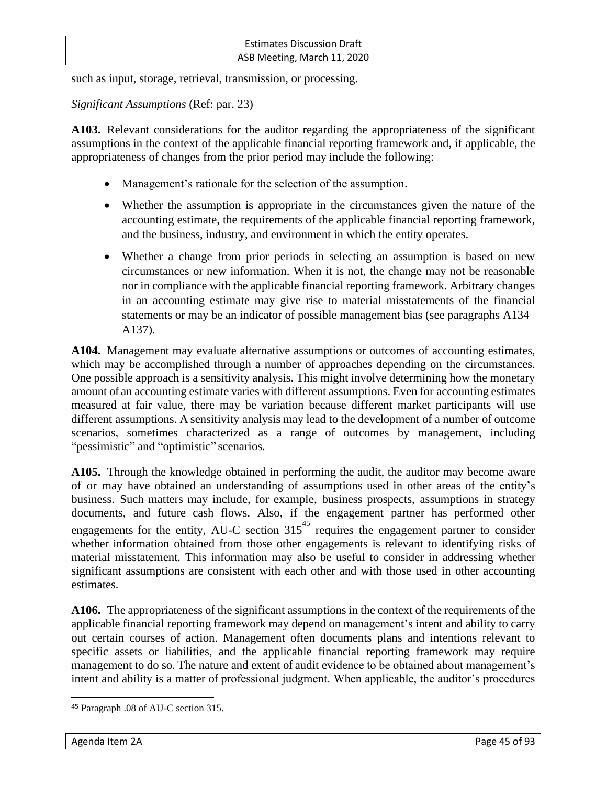such as input, storage, retrieval, transmission, or processing.

*Significant Assumptions* (Ref: par. [23\)](#page-10-0)

**A103.** Relevant considerations for the auditor regarding the appropriateness of the significant assumptions in the context of the applicable financial reporting framework and, if applicable, the appropriateness of changes from the prior period may include the following:

- Management's rationale for the selection of the assumption.
- Whether the assumption is appropriate in the circumstances given the nature of the accounting estimate, the requirements of the applicable financial reporting framework, and the business, industry, and environment in which the entity operates.
- Whether a change from prior periods in selecting an assumption is based on new circumstances or new information. When it is not, the change may not be reasonable nor in compliance with the applicable financial reporting framework. Arbitrary changes in an accounting estimate may give rise to material misstatements of the financial statements or may be an indicator of possible management bias (see paragraphs [A134–](#page-53-0) [A137\)](#page-54-0).

**A104.** Management may evaluate alternative assumptions or outcomes of accounting estimates, which may be accomplished through a number of approaches depending on the circumstances. One possible approach is a sensitivity analysis. This might involve determining how the monetary amount of an accounting estimate varies with different assumptions. Even for accounting estimates measured at fair value, there may be variation because different market participants will use different assumptions. A sensitivity analysis may lead to the development of a number of outcome scenarios, sometimes characterized as a range of outcomes by management, including "pessimistic" and "optimistic" scenarios.

**A105.** Through the knowledge obtained in performing the audit, the auditor may become aware of or may have obtained an understanding of assumptions used in other areas of the entity's business. Such matters may include, for example, business prospects, assumptions in strategy documents, and future cash flows. Also, if the engagement partner has performed other engagements for the entity, AU-C section  $315<sup>45</sup>$  requires the engagement partner to consider whether information obtained from those other engagements is relevant to identifying risks of material misstatement. This information may also be useful to consider in addressing whether significant assumptions are consistent with each other and with those used in other accounting estimates.

**A106.** The appropriateness of the significant assumptions in the context of the requirements of the applicable financial reporting framework may depend on management's intent and ability to carry out certain courses of action. Management often documents plans and intentions relevant to specific assets or liabilities, and the applicable financial reporting framework may require management to do so. The nature and extent of audit evidence to be obtained about management's intent and ability is a matter of professional judgment. When applicable, the auditor's procedures

<sup>45</sup> Paragraph .08 of AU-C section 315.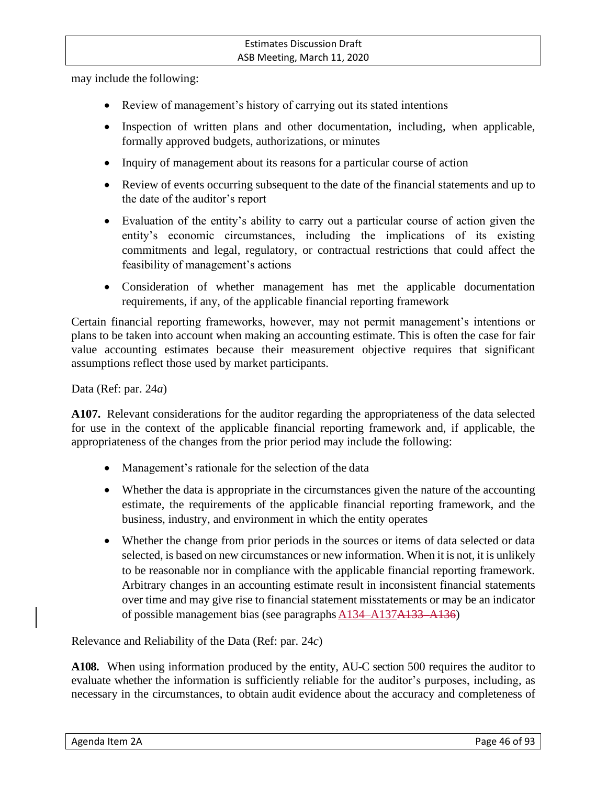may include the following:

- Review of management's history of carrying out its stated intentions
- Inspection of written plans and other documentation, including, when applicable, formally approved budgets, authorizations, or minutes
- Inquiry of management about its reasons for a particular course of action
- Review of events occurring subsequent to the date of the financial statements and up to the date of the auditor's report
- Evaluation of the entity's ability to carry out a particular course of action given the entity's economic circumstances, including the implications of its existing commitments and legal, regulatory, or contractual restrictions that could affect the feasibility of management's actions
- Consideration of whether management has met the applicable documentation requirements, if any, of the applicable financial reporting framework

Certain financial reporting frameworks, however, may not permit management's intentions or plans to be taken into account when making an accounting estimate. This is often the case for fair value accounting estimates because their measurement objective requires that significant assumptions reflect those used by market participants.

Data (Ref: par. [24](#page-10-1)*a*)

**A107.** Relevant considerations for the auditor regarding the appropriateness of the data selected for use in the context of the applicable financial reporting framework and, if applicable, the appropriateness of the changes from the prior period may include the following:

- Management's rationale for the selection of the data
- Whether the data is appropriate in the circumstances given the nature of the accounting estimate, the requirements of the applicable financial reporting framework, and the business, industry, and environment in which the entity operates
- Whether the change from prior periods in the sources or items of data selected or data selected, is based on new circumstances or new information. When it is not, it is unlikely to be reasonable nor in compliance with the applicable financial reporting framework. Arbitrary changes in an accounting estimate result in inconsistent financial statements over time and may give rise to financial statement misstatements or may be an indicator of possible management bias (see paragraphs A134–A137A133–A136)

Relevance and Reliability of the Data (Ref: par. [24](#page-10-1)*c*)

**A108.** When using information produced by the entity, AU-C section 500 requires the auditor to evaluate whether the information is sufficiently reliable for the auditor's purposes, including, as necessary in the circumstances, to obtain audit evidence about the accuracy and completeness of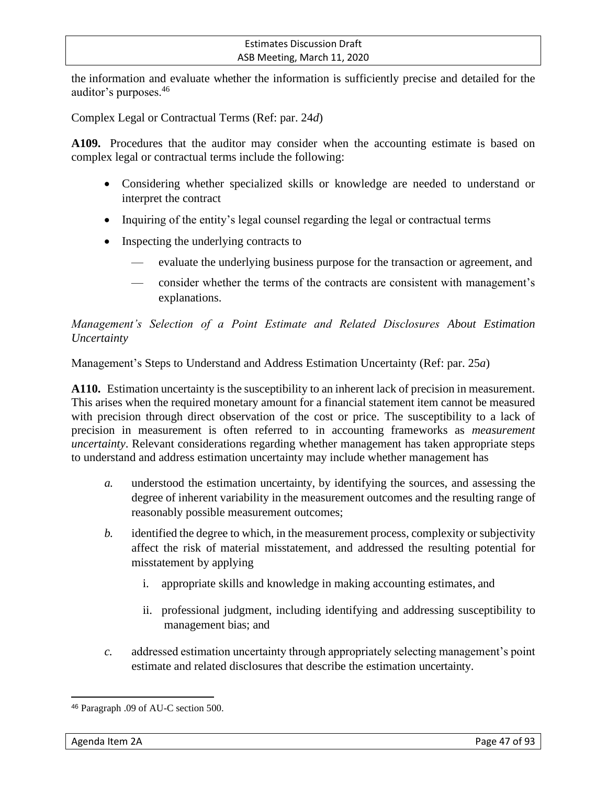the information and evaluate whether the information is sufficiently precise and detailed for the auditor's purposes.<sup>46</sup>

Complex Legal or Contractual Terms (Ref: par. [24](#page-10-1)*d*)

**A109.** Procedures that the auditor may consider when the accounting estimate is based on complex legal or contractual terms include the following:

- Considering whether specialized skills or knowledge are needed to understand or interpret the contract
- Inquiring of the entity's legal counsel regarding the legal or contractual terms
- Inspecting the underlying contracts to
	- evaluate the underlying business purpose for the transaction or agreement, and
	- consider whether the terms of the contracts are consistent with management's explanations.

# *Management's Selection of a Point Estimate and Related Disclosures About Estimation Uncertainty*

Management's Steps to Understand and Address Estimation Uncertainty (Ref: par. [25](#page-10-2)*a*)

**A110.** Estimation uncertainty is the susceptibility to an inherent lack of precision in measurement. This arises when the required monetary amount for a financial statement item cannot be measured with precision through direct observation of the cost or price. The susceptibility to a lack of precision in measurement is often referred to in accounting frameworks as *measurement uncertainty*. Relevant considerations regarding whether management has taken appropriate steps to understand and address estimation uncertainty may include whether management has

- *a.* understood the estimation uncertainty, by identifying the sources, and assessing the degree of inherent variability in the measurement outcomes and the resulting range of reasonably possible measurement outcomes;
- *b.* identified the degree to which, in the measurement process, complexity or subjectivity affect the risk of material misstatement, and addressed the resulting potential for misstatement by applying
	- i. appropriate skills and knowledge in making accounting estimates, and
	- ii. professional judgment, including identifying and addressing susceptibility to management bias; and
- *c.* addressed estimation uncertainty through appropriately selecting management's point estimate and related disclosures that describe the estimation uncertainty.

<sup>46</sup> Paragraph .09 of AU-C section 500.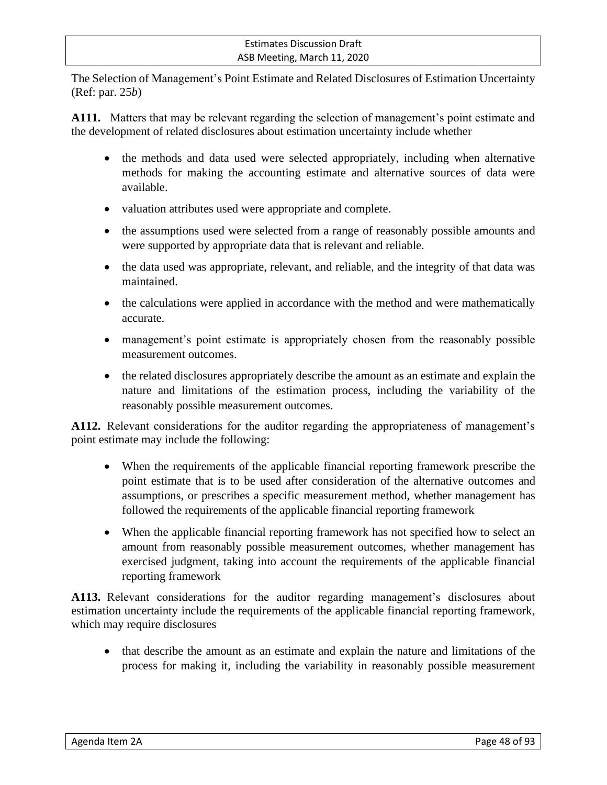The Selection of Management's Point Estimate and Related Disclosures of Estimation Uncertainty (Ref: par. [25](#page-10-2)*b*)

<span id="page-47-1"></span>**A111.** Matters that may be relevant regarding the selection of management's point estimate and the development of related disclosures about estimation uncertainty include whether

- the methods and data used were selected appropriately, including when alternative methods for making the accounting estimate and alternative sources of data were available.
- valuation attributes used were appropriate and complete.
- the assumptions used were selected from a range of reasonably possible amounts and were supported by appropriate data that is relevant and reliable.
- the data used was appropriate, relevant, and reliable, and the integrity of that data was maintained.
- the calculations were applied in accordance with the method and were mathematically accurate.
- management's point estimate is appropriately chosen from the reasonably possible measurement outcomes.
- the related disclosures appropriately describe the amount as an estimate and explain the nature and limitations of the estimation process, including the variability of the reasonably possible measurement outcomes.

**A112.** Relevant considerations for the auditor regarding the appropriateness of management's point estimate may include the following:

- When the requirements of the applicable financial reporting framework prescribe the point estimate that is to be used after consideration of the alternative outcomes and assumptions, or prescribes a specific measurement method, whether management has followed the requirements of the applicable financial reporting framework
- When the applicable financial reporting framework has not specified how to select an amount from reasonably possible measurement outcomes, whether management has exercised judgment, taking into account the requirements of the applicable financial reporting framework

<span id="page-47-0"></span>**A113.** Relevant considerations for the auditor regarding management's disclosures about estimation uncertainty include the requirements of the applicable financial reporting framework, which may require disclosures

• that describe the amount as an estimate and explain the nature and limitations of the process for making it, including the variability in reasonably possible measurement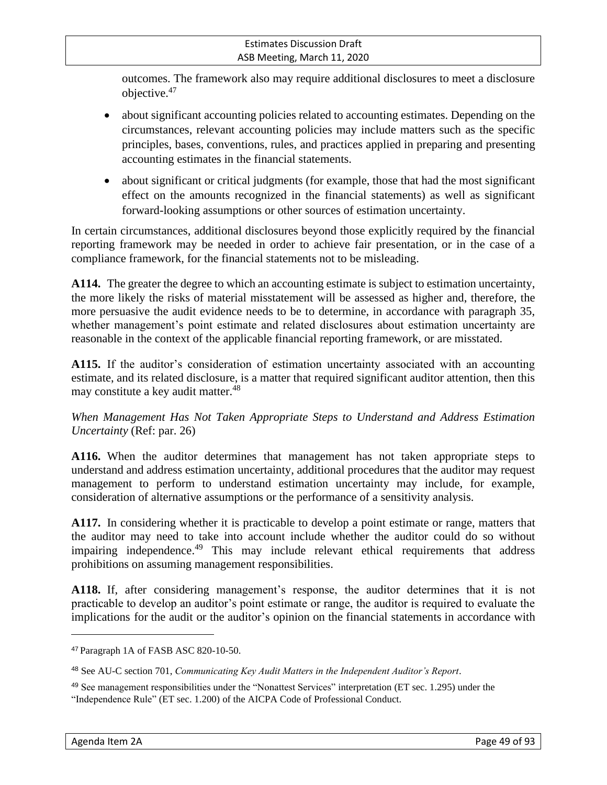outcomes. The framework also may require additional disclosures to meet a disclosure objective.<sup>47</sup>

- about significant accounting policies related to accounting estimates. Depending on the circumstances, relevant accounting policies may include matters such as the specific principles, bases, conventions, rules, and practices applied in preparing and presenting accounting estimates in the financial statements.
- about significant or critical judgments (for example, those that had the most significant effect on the amounts recognized in the financial statements) as well as significant forward-looking assumptions or other sources of estimation uncertainty.

In certain circumstances, additional disclosures beyond those explicitly required by the financial reporting framework may be needed in order to achieve fair presentation, or in the case of a compliance framework, for the financial statements not to be misleading.

<span id="page-48-0"></span>**A114.** The greater the degree to which an accounting estimate is subject to estimation uncertainty, the more likely the risks of material misstatement will be assessed as higher and, therefore, the more persuasive the audit evidence needs to be to determine, in accordance with paragraph 35, whether management's point estimate and related disclosures about estimation uncertainty are reasonable in the context of the applicable financial reporting framework, or are misstated.

<span id="page-48-1"></span>**A115.** If the auditor's consideration of estimation uncertainty associated with an accounting estimate, and its related disclosure, is a matter that required significant auditor attention, then this may constitute a key audit matter.<sup>48</sup>

# *When Management Has Not Taken Appropriate Steps to Understand and Address Estimation Uncertainty* (Ref: par. [26\)](#page-11-0)

**A116.** When the auditor determines that management has not taken appropriate steps to understand and address estimation uncertainty, additional procedures that the auditor may request management to perform to understand estimation uncertainty may include, for example, consideration of alternative assumptions or the performance of a sensitivity analysis.

**A117.** In considering whether it is practicable to develop a point estimate or range, matters that the auditor may need to take into account include whether the auditor could do so without impairing independence.<sup>49</sup> This may include relevant ethical requirements that address prohibitions on assuming management responsibilities.

**A118.** If, after considering management's response, the auditor determines that it is not practicable to develop an auditor's point estimate or range, the auditor is required to evaluate the implications for the audit or the auditor's opinion on the financial statements in accordance with

<sup>47</sup> Paragraph 1A of FASB ASC 820-10-50.

<sup>48</sup> See AU-C section 701, *Communicating Key Audit Matters in the Independent Auditor's Report*.

<sup>49</sup> See management responsibilities under the "Nonattest Services" interpretation (ET sec. 1.295) under the "Independence Rule" (ET sec. 1.200) of the AICPA Code of Professional Conduct.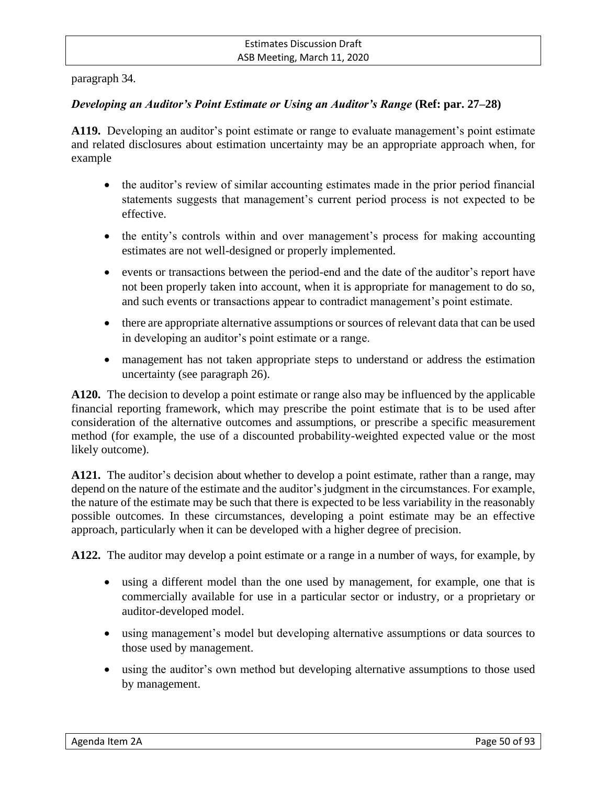paragraph [34.](#page-12-0)

## *Developing an Auditor's Point Estimate or Using an Auditor's Range* **(Ref: par. [27](#page-11-1)[–28\)](#page-11-2)**

**A119.** Developing an auditor's point estimate or range to evaluate management's point estimate and related disclosures about estimation uncertainty may be an appropriate approach when, for example

- the auditor's review of similar accounting estimates made in the prior period financial statements suggests that management's current period process is not expected to be effective.
- the entity's controls within and over management's process for making accounting estimates are not well-designed or properly implemented.
- events or transactions between the period-end and the date of the auditor's report have not been properly taken into account, when it is appropriate for management to do so, and such events or transactions appear to contradict management's point estimate.
- there are appropriate alternative assumptions or sources of relevant data that can be used in developing an auditor's point estimate or a range.
- management has not taken appropriate steps to understand or address the estimation uncertainty (see paragraph [26\)](#page-11-0).

**A120.** The decision to develop a point estimate or range also may be influenced by the applicable financial reporting framework, which may prescribe the point estimate that is to be used after consideration of the alternative outcomes and assumptions, or prescribe a specific measurement method (for example, the use of a discounted probability-weighted expected value or the most likely outcome).

**A121.** The auditor's decision about whether to develop a point estimate, rather than a range, may depend on the nature of the estimate and the auditor's judgment in the circumstances. For example, the nature of the estimate may be such that there is expected to be less variability in the reasonably possible outcomes. In these circumstances, developing a point estimate may be an effective approach, particularly when it can be developed with a higher degree of precision.

**A122.** The auditor may develop a point estimate or a range in a number of ways, for example, by

- using a different model than the one used by management, for example, one that is commercially available for use in a particular sector or industry, or a proprietary or auditor-developed model.
- using management's model but developing alternative assumptions or data sources to those used by management.
- using the auditor's own method but developing alternative assumptions to those used by management.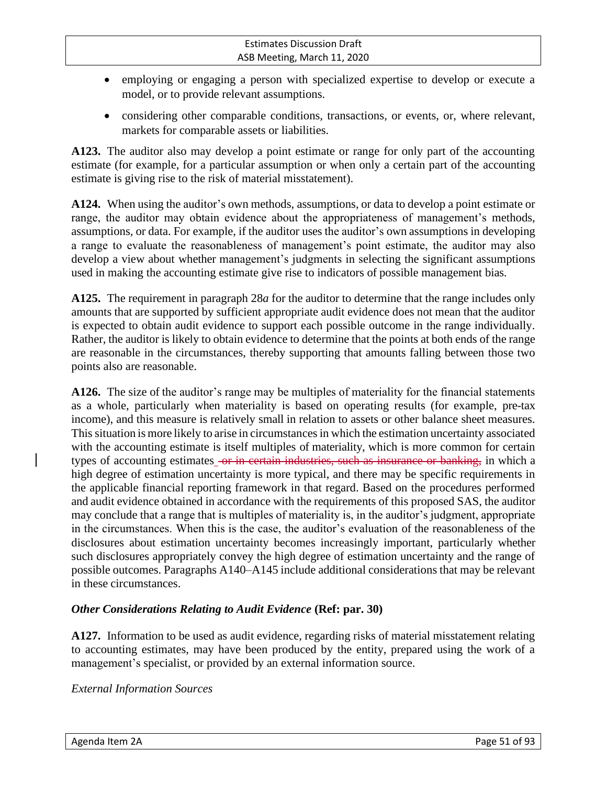- employing or engaging a person with specialized expertise to develop or execute a model, or to provide relevant assumptions.
- considering other comparable conditions, transactions, or events, or, where relevant, markets for comparable assets or liabilities.

**A123.** The auditor also may develop a point estimate or range for only part of the accounting estimate (for example, for a particular assumption or when only a certain part of the accounting estimate is giving rise to the risk of material misstatement).

**A124.** When using the auditor's own methods, assumptions, or data to develop a point estimate or range, the auditor may obtain evidence about the appropriateness of management's methods, assumptions, or data. For example, if the auditor uses the auditor's own assumptions in developing a range to evaluate the reasonableness of management's point estimate, the auditor may also develop a view about whether management's judgments in selecting the significant assumptions used in making the accounting estimate give rise to indicators of possible management bias.

**A125.** The requirement in paragraph [28](#page-11-2)*a* for the auditor to determine that the range includes only amounts that are supported by sufficient appropriate audit evidence does not mean that the auditor is expected to obtain audit evidence to support each possible outcome in the range individually. Rather, the auditor is likely to obtain evidence to determine that the points at both ends of the range are reasonable in the circumstances, thereby supporting that amounts falling between those two points also are reasonable.

**A126.** The size of the auditor's range may be multiples of materiality for the financial statements as a whole, particularly when materiality is based on operating results (for example, pre-tax income), and this measure is relatively small in relation to assets or other balance sheet measures. This situation is more likely to arise in circumstances in which the estimation uncertainty associated with the accounting estimate is itself multiples of materiality, which is more common for certain types of accounting estimates -or in certain industries, such as insurance or banking, in which a high degree of estimation uncertainty is more typical, and there may be specific requirements in the applicable financial reporting framework in that regard. Based on the procedures performed and audit evidence obtained in accordance with the requirements of this proposed SAS, the auditor may conclude that a range that is multiples of materiality is, in the auditor's judgment, appropriate in the circumstances. When this is the case, the auditor's evaluation of the reasonableness of the disclosures about estimation uncertainty becomes increasingly important, particularly whether such disclosures appropriately convey the high degree of estimation uncertainty and the range of possible outcomes. Paragraphs [A140–](#page-55-1)[A145](#page-56-0) include additional considerations that may be relevant in these circumstances.

# *Other Considerations Relating to Audit Evidence* **(Ref: par. 30)**

**A127.** Information to be used as audit evidence, regarding risks of material misstatement relating to accounting estimates, may have been produced by the entity, prepared using the work of a management's specialist, or provided by an external information source.

# *External Information Sources*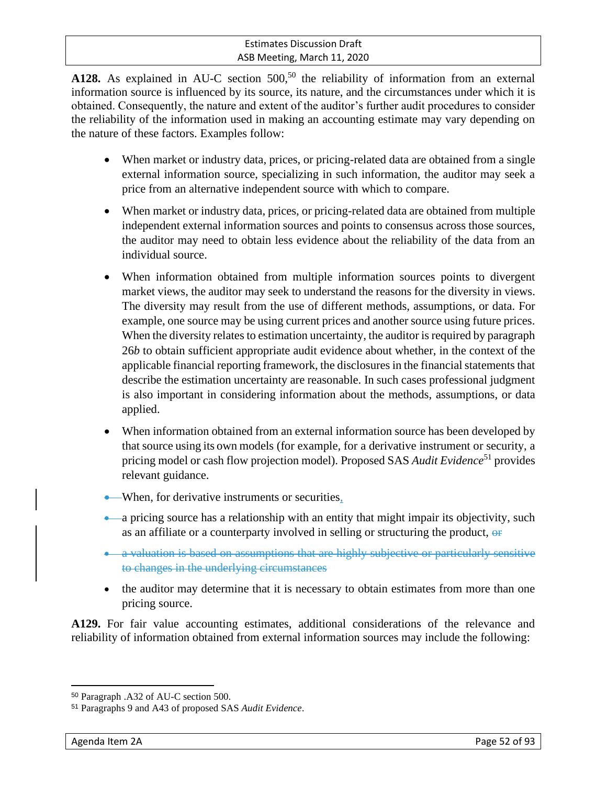**A128.** As explained in AU-C section  $500$ ,<sup>50</sup> the reliability of information from an external information source is influenced by its source, its nature, and the circumstances under which it is obtained. Consequently, the nature and extent of the auditor's further audit procedures to consider the reliability of the information used in making an accounting estimate may vary depending on the nature of these factors. Examples follow:

- When market or industry data, prices, or pricing-related data are obtained from a single external information source, specializing in such information, the auditor may seek a price from an alternative independent source with which to compare.
- When market or industry data, prices, or pricing-related data are obtained from multiple independent external information sources and points to consensus across those sources, the auditor may need to obtain less evidence about the reliability of the data from an individual source.
- When information obtained from multiple information sources points to divergent market views, the auditor may seek to understand the reasons for the diversity in views. The diversity may result from the use of different methods, assumptions, or data. For example, one source may be using current prices and another source using future prices. When the diversity relates to estimation uncertainty, the auditor is required by paragraph 26*b* to obtain sufficient appropriate audit evidence about whether, in the context of the applicable financial reporting framework, the disclosures in the financial statements that describe the estimation uncertainty are reasonable. In such cases professional judgment is also important in considering information about the methods, assumptions, or data applied.
- When information obtained from an external information source has been developed by that source using its own models (for example, for a derivative instrument or security, a pricing model or cash flow projection model). Proposed SAS *Audit Evidence*<sup>51</sup> provides relevant guidance.
- When, for derivative instruments or securities,
- a pricing source has a relationship with an entity that might impair its objectivity, such as an affiliate or a counterparty involved in selling or structuring the product, or
- a valuation is based on assumptions that are highly subjective or particularly sensitive to changes in the underlying circumstances
- the auditor may determine that it is necessary to obtain estimates from more than one pricing source.

**A129.** For fair value accounting estimates, additional considerations of the relevance and reliability of information obtained from external information sources may include the following:

<sup>50</sup> Paragraph .A32 of AU-C section 500.

<sup>51</sup> Paragraphs 9 and A43 of proposed SAS *Audit Evidence*.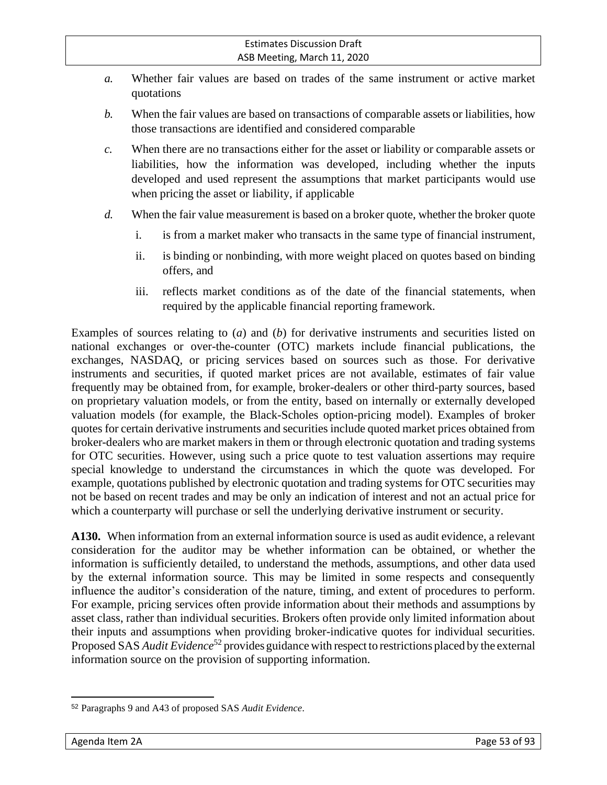- *a.* Whether fair values are based on trades of the same instrument or active market quotations
- *b.* When the fair values are based on transactions of comparable assets or liabilities, how those transactions are identified and considered comparable
- *c.* When there are no transactions either for the asset or liability or comparable assets or liabilities, how the information was developed, including whether the inputs developed and used represent the assumptions that market participants would use when pricing the asset or liability, if applicable
- *d.* When the fair value measurement is based on a broker quote, whether the broker quote
	- i. is from a market maker who transacts in the same type of financial instrument,
	- ii. is binding or nonbinding, with more weight placed on quotes based on binding offers, and
	- iii. reflects market conditions as of the date of the financial statements, when required by the applicable financial reporting framework.

Examples of sources relating to (*a*) and (*b*) for derivative instruments and securities listed on national exchanges or over-the-counter (OTC) markets include financial publications, the exchanges, NASDAQ, or pricing services based on sources such as those. For derivative instruments and securities, if quoted market prices are not available, estimates of fair value frequently may be obtained from, for example, broker-dealers or other third-party sources, based on proprietary valuation models, or from the entity, based on internally or externally developed valuation models (for example, the Black-Scholes option-pricing model). Examples of broker quotes for certain derivative instruments and securities include quoted market prices obtained from broker-dealers who are market makers in them or through electronic quotation and trading systems for OTC securities. However, using such a price quote to test valuation assertions may require special knowledge to understand the circumstances in which the quote was developed. For example, quotations published by electronic quotation and trading systems for OTC securities may not be based on recent trades and may be only an indication of interest and not an actual price for which a counterparty will purchase or sell the underlying derivative instrument or security.

**A130.** When information from an external information source is used as audit evidence, a relevant consideration for the auditor may be whether information can be obtained, or whether the information is sufficiently detailed, to understand the methods, assumptions, and other data used by the external information source. This may be limited in some respects and consequently influence the auditor's consideration of the nature, timing, and extent of procedures to perform. For example, pricing services often provide information about their methods and assumptions by asset class, rather than individual securities. Brokers often provide only limited information about their inputs and assumptions when providing broker-indicative quotes for individual securities. Proposed SAS *Audit Evidence*<sup>52</sup> provides guidance with respect to restrictions placed by the external information source on the provision of supporting information.

<sup>52</sup> Paragraphs 9 and A43 of proposed SAS *Audit Evidence*.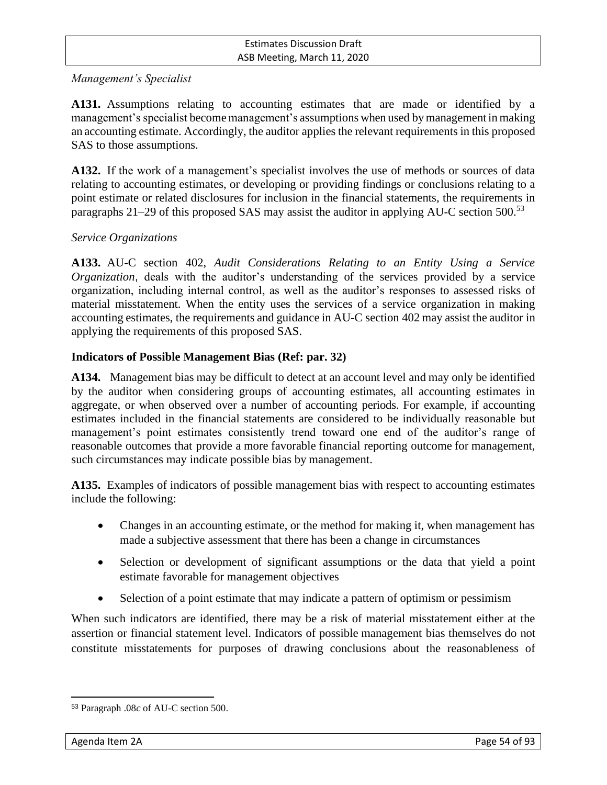## *Management's Specialist*

**A131.** Assumptions relating to accounting estimates that are made or identified by a management's specialist become management's assumptions when used bymanagement in making an accounting estimate. Accordingly, the auditor applies the relevant requirements in this proposed SAS to those assumptions.

**A132.** If the work of a management's specialist involves the use of methods or sources of data relating to accounting estimates, or developing or providing findings or conclusions relating to a point estimate or related disclosures for inclusion in the financial statements, the requirements in paragraphs 21–29 of this proposed SAS may assist the auditor in applying AU-C section 500.<sup>53</sup>

## *Service Organizations*

**A133.** AU-C section 402, *Audit Considerations Relating to an Entity Using a Service Organization*, deals with the auditor's understanding of the services provided by a service organization, including internal control, as well as the auditor's responses to assessed risks of material misstatement. When the entity uses the services of a service organization in making accounting estimates, the requirements and guidance in AU-C section 402 may assist the auditor in applying the requirements of this proposed SAS.

## **Indicators of Possible Management Bias (Ref: par. [32\)](#page-12-1)**

<span id="page-53-0"></span>**A134.** Management bias may be difficult to detect at an account level and may only be identified by the auditor when considering groups of accounting estimates, all accounting estimates in aggregate, or when observed over a number of accounting periods. For example, if accounting estimates included in the financial statements are considered to be individually reasonable but management's point estimates consistently trend toward one end of the auditor's range of reasonable outcomes that provide a more favorable financial reporting outcome for management, such circumstances may indicate possible bias by management.

**A135.** Examples of indicators of possible management bias with respect to accounting estimates include the following:

- Changes in an accounting estimate, or the method for making it, when management has made a subjective assessment that there has been a change in circumstances
- Selection or development of significant assumptions or the data that yield a point estimate favorable for management objectives
- Selection of a point estimate that may indicate a pattern of optimism or pessimism

When such indicators are identified, there may be a risk of material misstatement either at the assertion or financial statement level. Indicators of possible management bias themselves do not constitute misstatements for purposes of drawing conclusions about the reasonableness of

<sup>53</sup> Paragraph .08*c* of AU-C section 500.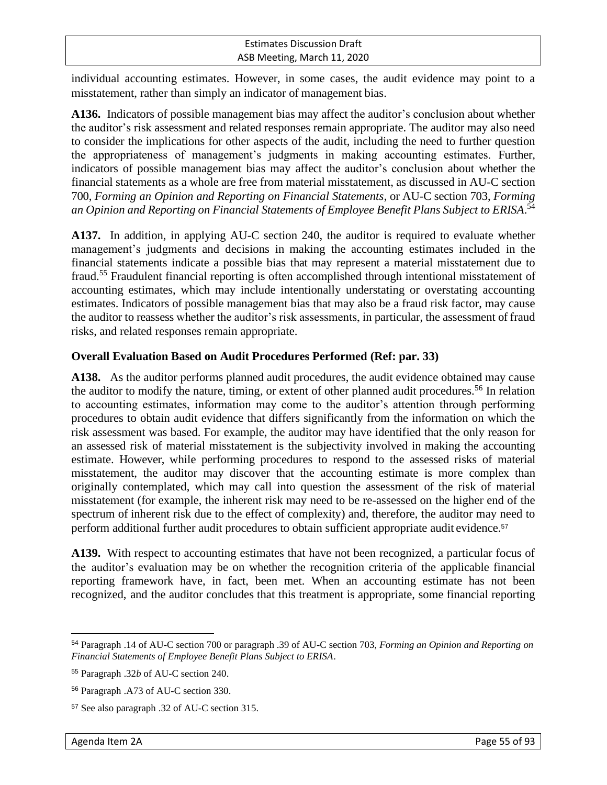individual accounting estimates. However, in some cases, the audit evidence may point to a misstatement, rather than simply an indicator of management bias.

**A136.** Indicators of possible management bias may affect the auditor's conclusion about whether the auditor's risk assessment and related responses remain appropriate. The auditor may also need to consider the implications for other aspects of the audit, including the need to further question the appropriateness of management's judgments in making accounting estimates. Further, indicators of possible management bias may affect the auditor's conclusion about whether the financial statements as a whole are free from material misstatement, as discussed in AU-C section 700, *Forming an Opinion and Reporting on Financial Statements*, or AU-C section 703, *Forming an Opinion and Reporting on Financial Statements of Employee Benefit Plans Subject to ERISA*. 54

<span id="page-54-0"></span>**A137.** In addition, in applying AU-C section 240, the auditor is required to evaluate whether management's judgments and decisions in making the accounting estimates included in the financial statements indicate a possible bias that may represent a material misstatement due to fraud.<sup>55</sup> Fraudulent financial reporting is often accomplished through intentional misstatement of accounting estimates, which may include intentionally understating or overstating accounting estimates. Indicators of possible management bias that may also be a fraud risk factor, may cause the auditor to reassess whether the auditor's risk assessments, in particular, the assessment of fraud risks, and related responses remain appropriate.

# **Overall Evaluation Based on Audit Procedures Performed (Ref: par. [33\)](#page-12-2)**

**A138.** As the auditor performs planned audit procedures, the audit evidence obtained may cause the auditor to modify the nature, timing, or extent of other planned audit procedures.<sup>56</sup> In relation to accounting estimates, information may come to the auditor's attention through performing procedures to obtain audit evidence that differs significantly from the information on which the risk assessment was based. For example, the auditor may have identified that the only reason for an assessed risk of material misstatement is the subjectivity involved in making the accounting estimate. However, while performing procedures to respond to the assessed risks of material misstatement, the auditor may discover that the accounting estimate is more complex than originally contemplated, which may call into question the assessment of the risk of material misstatement (for example, the inherent risk may need to be re-assessed on the higher end of the spectrum of inherent risk due to the effect of complexity) and, therefore, the auditor may need to perform additional further audit procedures to obtain sufficient appropriate audit evidence.<sup>57</sup>

**A139.** With respect to accounting estimates that have not been recognized, a particular focus of the auditor's evaluation may be on whether the recognition criteria of the applicable financial reporting framework have, in fact, been met. When an accounting estimate has not been recognized, and the auditor concludes that this treatment is appropriate, some financial reporting

<sup>54</sup> Paragraph .14 of AU-C section 700 or paragraph .39 of AU-C section 703, *Forming an Opinion and Reporting on Financial Statements of Employee Benefit Plans Subject to ERISA*.

<sup>55</sup> Paragraph .32*b* of AU-C section 240.

<sup>56</sup> Paragraph .A73 of AU-C section 330.

<sup>57</sup> See also paragraph .32 of AU-C section 315.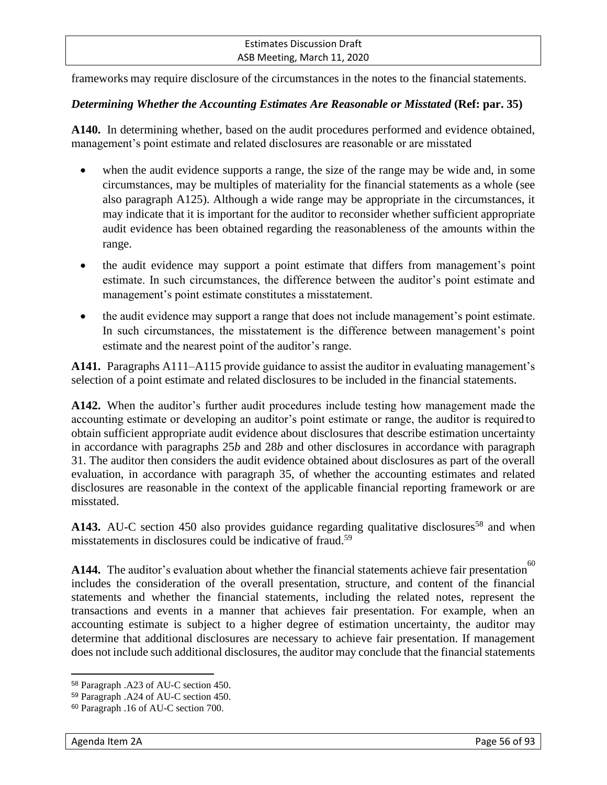frameworks may require disclosure of the circumstances in the notes to the financial statements.

## *Determining Whether the Accounting Estimates Are Reasonable or Misstated* **(Ref: par. [35\)](#page-13-0)**

<span id="page-55-1"></span>**A140.** In determining whether, based on the audit procedures performed and evidence obtained, management's point estimate and related disclosures are reasonable or are misstated

- when the audit evidence supports a range, the size of the range may be wide and, in some circumstances, may be multiples of materiality for the financial statements as a whole (see also paragraph A125). Although a wide range may be appropriate in the circumstances, it may indicate that it is important for the auditor to reconsider whether sufficient appropriate audit evidence has been obtained regarding the reasonableness of the amounts within the range.
- the audit evidence may support a point estimate that differs from management's point estimate. In such circumstances, the difference between the auditor's point estimate and management's point estimate constitutes a misstatement.
- the audit evidence may support a range that does not include management's point estimate. In such circumstances, the misstatement is the difference between management's point estimate and the nearest point of the auditor's range.

**A141.** Paragraphs [A111–](#page-47-1)[A115](#page-48-1) provide guidance to assist the auditor in evaluating management's selection of a point estimate and related disclosures to be included in the financial statements.

**A142.** When the auditor's further audit procedures include testing how management made the accounting estimate or developing an auditor's point estimate or range, the auditor is required to obtain sufficient appropriate audit evidence about disclosures that describe estimation uncertainty in accordance with paragraphs [25](#page-10-2)*b* and [28](#page-11-2)*b* and other disclosures in accordance with paragraph [31.](#page-12-3) The auditor then considers the audit evidence obtained about disclosures as part of the overall evaluation, in accordance with paragraph [35,](#page-13-0) of whether the accounting estimates and related disclosures are reasonable in the context of the applicable financial reporting framework or are misstated.

A143. AU-C section 450 also provides guidance regarding qualitative disclosures<sup>58</sup> and when misstatements in disclosures could be indicative of fraud.<sup>59</sup>

<span id="page-55-0"></span>**A144.** The auditor's evaluation about whether the financial statements achieve fair presentation includes the consideration of the overall presentation, structure, and content of the financial statements and whether the financial statements, including the related notes, represent the transactions and events in a manner that achieves fair presentation. For example, when an accounting estimate is subject to a higher degree of estimation uncertainty, the auditor may determine that additional disclosures are necessary to achieve fair presentation. If management does not include such additional disclosures, the auditor may conclude that the financial statements

<sup>58</sup> Paragraph .A23 of AU-C section 450.

<sup>59</sup> Paragraph .A24 of AU-C section 450.

<sup>60</sup> Paragraph .16 of AU-C section 700.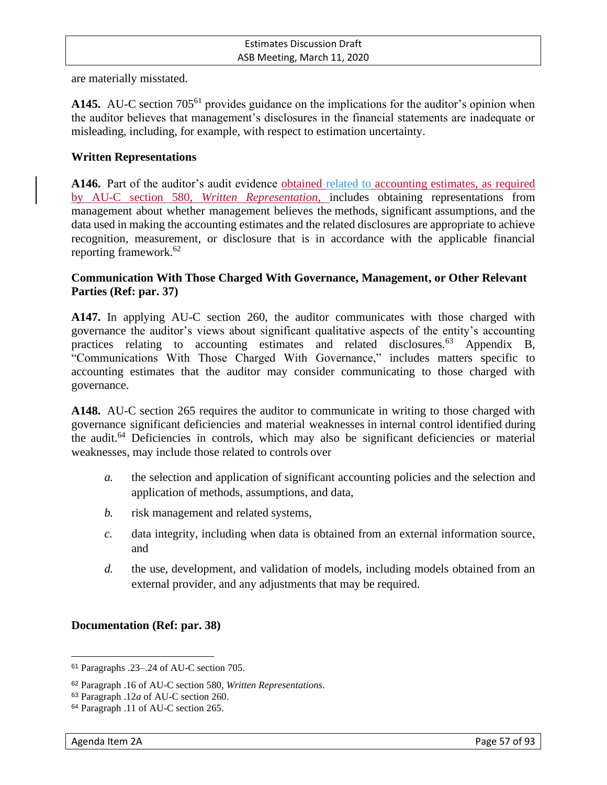are materially misstated.

<span id="page-56-0"></span>A145. AU-C section 705<sup>61</sup> provides guidance on the implications for the auditor's opinion when the auditor believes that management's disclosures in the financial statements are inadequate or misleading, including, for example, with respect to estimation uncertainty.

## **Written Representations**

**A146.** Part of the auditor's audit evidence obtained related to accounting estimates, as required by AU-C section 580, *Written Representation*, includes obtaining representations from management about whether management believes the methods, significant assumptions, and the data used in making the accounting estimates and the related disclosures are appropriate to achieve recognition, measurement, or disclosure that is in accordance with the applicable financial reporting framework.<sup>62</sup>

## **Communication With Those Charged With Governance, Management, or Other Relevant Parties (Ref: par. [37\)](#page-13-1)**

<span id="page-56-1"></span>**A147.** In applying AU-C section 260, the auditor communicates with those charged with governance the auditor's views about significant qualitative aspects of the entity's accounting practices relating to accounting estimates and related disclosures.<sup>63</sup> Appendix B, "Communications With Those Charged With Governance," includes matters specific to accounting estimates that the auditor may consider communicating to those charged with governance.

**A148.** AU-C section 265 requires the auditor to communicate in writing to those charged with governance significant deficiencies and material weaknesses in internal control identified during the audit.<sup>64</sup> Deficiencies in controls, which may also be significant deficiencies or material weaknesses, may include those related to controls over

- *a.* the selection and application of significant accounting policies and the selection and application of methods, assumptions, and data,
- *b.* risk management and related systems,
- *c.* data integrity, including when data is obtained from an external information source, and
- *d.* the use, development, and validation of models, including models obtained from an external provider, and any adjustments that may be required.

**Documentation (Ref: par. [38\)](#page-13-2)**

<sup>61</sup> Paragraphs .23–.24 of AU-C section 705.

<sup>62</sup> Paragraph .16 of AU-C section 580, *Written Representations*.

<sup>63</sup> Paragraph .12*a* of AU-C section 260.

<sup>64</sup> Paragraph .11 of AU-C section 265.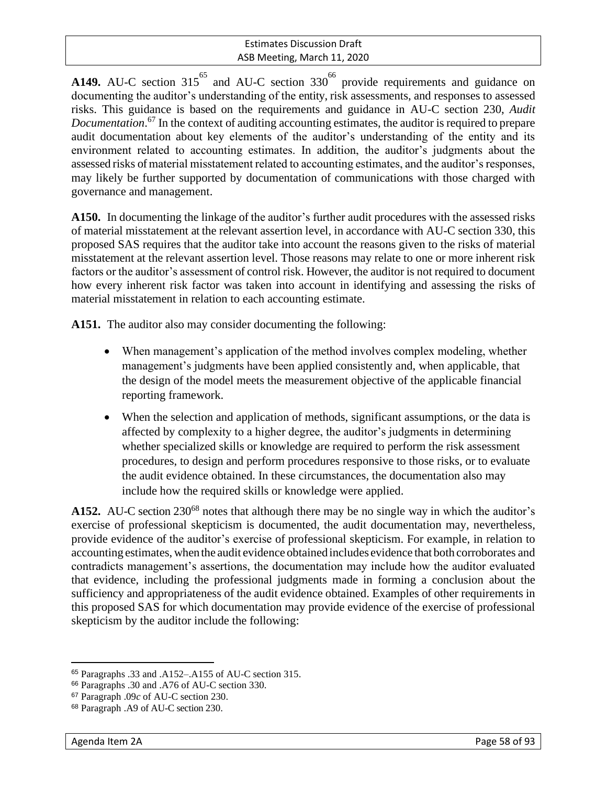A149. AU-C section 315<sup>65</sup> and AU-C section 330<sup>66</sup> provide requirements and guidance on documenting the auditor's understanding of the entity, risk assessments, and responses to assessed risks. This guidance is based on the requirements and guidance in AU-C section 230, *Audit Documentation*.<sup>67</sup> In the context of auditing accounting estimates, the auditor is required to prepare audit documentation about key elements of the auditor's understanding of the entity and its environment related to accounting estimates. In addition, the auditor's judgments about the assessed risks of material misstatement related to accounting estimates, and the auditor's responses, may likely be further supported by documentation of communications with those charged with governance and management.

**A150.** In documenting the linkage of the auditor's further audit procedures with the assessed risks of material misstatement at the relevant assertion level, in accordance with AU-C section 330, this proposed SAS requires that the auditor take into account the reasons given to the risks of material misstatement at the relevant assertion level. Those reasons may relate to one or more inherent risk factors or the auditor's assessment of control risk. However, the auditor is not required to document how every inherent risk factor was taken into account in identifying and assessing the risks of material misstatement in relation to each accounting estimate.

**A151.** The auditor also may consider documenting the following:

- When management's application of the method involves complex modeling, whether management's judgments have been applied consistently and, when applicable, that the design of the model meets the measurement objective of the applicable financial reporting framework.
- When the selection and application of methods, significant assumptions, or the data is affected by complexity to a higher degree, the auditor's judgments in determining whether specialized skills or knowledge are required to perform the risk assessment procedures, to design and perform procedures responsive to those risks, or to evaluate the audit evidence obtained. In these circumstances, the documentation also may include how the required skills or knowledge were applied.

A152. AU-C section 230<sup>68</sup> notes that although there may be no single way in which the auditor's exercise of professional skepticism is documented, the audit documentation may, nevertheless, provide evidence of the auditor's exercise of professional skepticism. For example, in relation to accounting estimates, when the audit evidence obtained includes evidence that both corroborates and contradicts management's assertions, the documentation may include how the auditor evaluated that evidence, including the professional judgments made in forming a conclusion about the sufficiency and appropriateness of the audit evidence obtained. Examples of other requirements in this proposed SAS for which documentation may provide evidence of the exercise of professional skepticism by the auditor include the following:

<sup>65</sup> Paragraphs .33 and .A152–.A155 of AU-C section 315.

<sup>66</sup> Paragraphs .30 and .A76 of AU-C section 330.

<sup>67</sup> Paragraph .09*c* of AU-C section 230.

<sup>68</sup> Paragraph .A9 of AU-C section 230.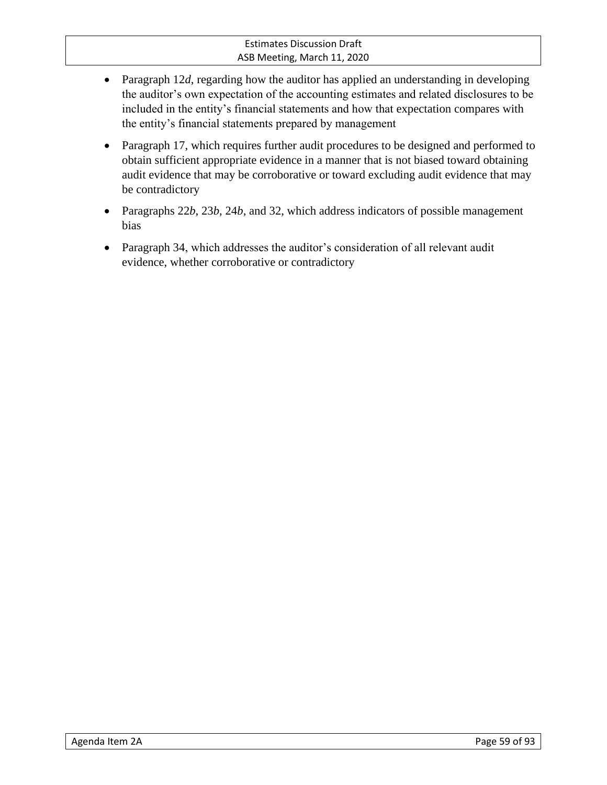- Paragraph [12](#page-5-0)*d*, regarding how the auditor has applied an understanding in developing the auditor's own expectation of the accounting estimates and related disclosures to be included in the entity's financial statements and how that expectation compares with the entity's financial statements prepared by management
- Paragraph [17,](#page-7-2) which requires further audit procedures to be designed and performed to obtain sufficient appropriate evidence in a manner that is not biased toward obtaining audit evidence that may be corroborative or toward excluding audit evidence that may be contradictory
- Paragraphs [22](#page-9-1)*b*, [23](#page-10-0)*b*, [24](#page-10-1)*b*, and [32,](#page-12-1) which address indicators of possible management bias
- Paragraph [34,](#page-12-0) which addresses the auditor's consideration of all relevant audit evidence, whether corroborative or contradictory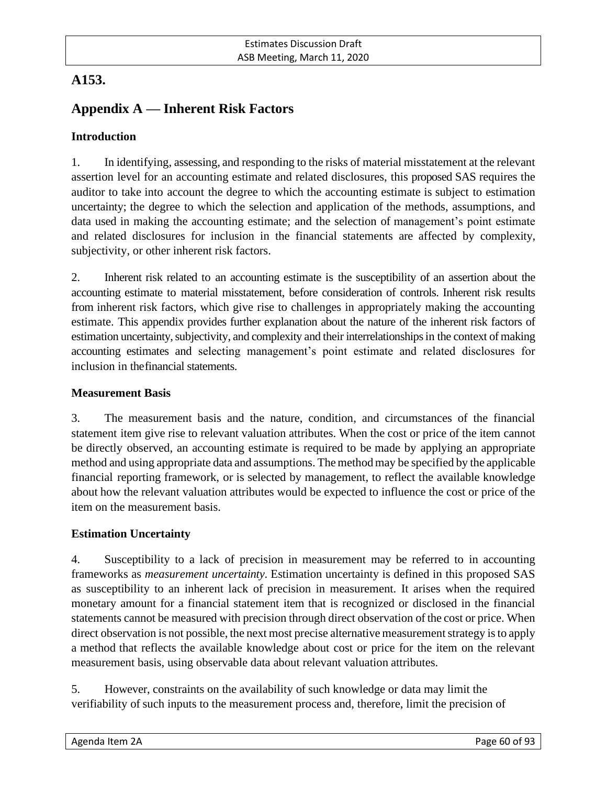# **A153.**

# **Appendix A — Inherent Risk Factors**

# **Introduction**

1. In identifying, assessing, and responding to the risks of material misstatement at the relevant assertion level for an accounting estimate and related disclosures, this proposed SAS requires the auditor to take into account the degree to which the accounting estimate is subject to estimation uncertainty; the degree to which the selection and application of the methods, assumptions, and data used in making the accounting estimate; and the selection of management's point estimate and related disclosures for inclusion in the financial statements are affected by complexity, subjectivity, or other inherent risk factors.

2. Inherent risk related to an accounting estimate is the susceptibility of an assertion about the accounting estimate to material misstatement, before consideration of controls. Inherent risk results from inherent risk factors, which give rise to challenges in appropriately making the accounting estimate. This appendix provides further explanation about the nature of the inherent risk factors of estimation uncertainty, subjectivity, and complexity and their interrelationshipsin the context of making accounting estimates and selecting management's point estimate and related disclosures for inclusion in thefinancial statements.

# **Measurement Basis**

3. The measurement basis and the nature, condition, and circumstances of the financial statement item give rise to relevant valuation attributes. When the cost or price of the item cannot be directly observed, an accounting estimate is required to be made by applying an appropriate method and using appropriate data and assumptions. Themethodmay be specified by the applicable financial reporting framework, or is selected by management, to reflect the available knowledge about how the relevant valuation attributes would be expected to influence the cost or price of the item on the measurement basis.

# **Estimation Uncertainty**

4. Susceptibility to a lack of precision in measurement may be referred to in accounting frameworks as *measurement uncertainty*. Estimation uncertainty is defined in this proposed SAS as susceptibility to an inherent lack of precision in measurement. It arises when the required monetary amount for a financial statement item that is recognized or disclosed in the financial statements cannot be measured with precision through direct observation of the cost or price. When direct observation is not possible, the next most precise alternative measurement strategy is to apply a method that reflects the available knowledge about cost or price for the item on the relevant measurement basis, using observable data about relevant valuation attributes.

5. However, constraints on the availability of such knowledge or data may limit the verifiability of such inputs to the measurement process and, therefore, limit the precision of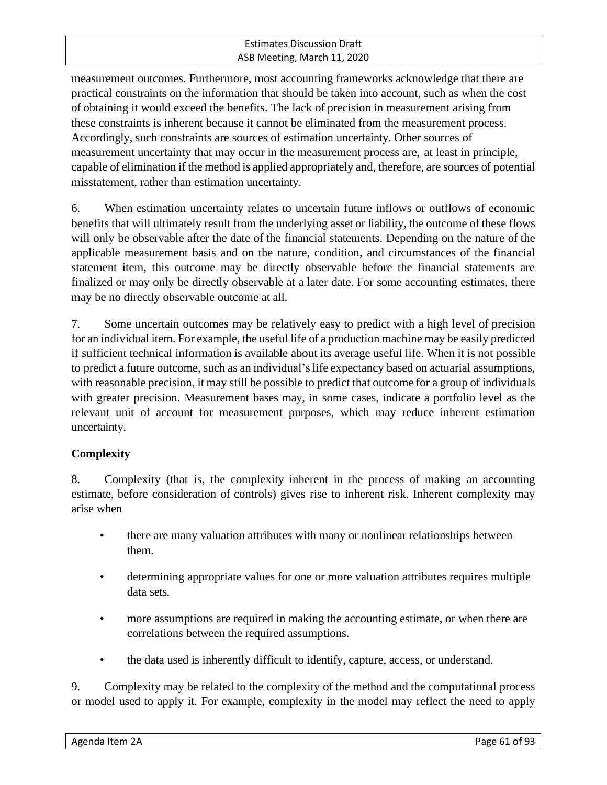measurement outcomes. Furthermore, most accounting frameworks acknowledge that there are practical constraints on the information that should be taken into account, such as when the cost of obtaining it would exceed the benefits. The lack of precision in measurement arising from these constraints is inherent because it cannot be eliminated from the measurement process. Accordingly, such constraints are sources of estimation uncertainty. Other sources of measurement uncertainty that may occur in the measurement process are, at least in principle, capable of elimination if the method is applied appropriately and, therefore, are sources of potential misstatement, rather than estimation uncertainty.

6. When estimation uncertainty relates to uncertain future inflows or outflows of economic benefits that will ultimately result from the underlying asset or liability, the outcome of these flows will only be observable after the date of the financial statements. Depending on the nature of the applicable measurement basis and on the nature, condition, and circumstances of the financial statement item, this outcome may be directly observable before the financial statements are finalized or may only be directly observable at a later date. For some accounting estimates, there may be no directly observable outcome at all.

7. Some uncertain outcomes may be relatively easy to predict with a high level of precision for an individual item. For example, the useful life of a production machine may be easily predicted if sufficient technical information is available about its average useful life. When it is not possible to predict a future outcome, such as an individual'slife expectancy based on actuarial assumptions, with reasonable precision, it may still be possible to predict that outcome for a group of individuals with greater precision. Measurement bases may, in some cases, indicate a portfolio level as the relevant unit of account for measurement purposes, which may reduce inherent estimation uncertainty.

# **Complexity**

8. Complexity (that is, the complexity inherent in the process of making an accounting estimate, before consideration of controls) gives rise to inherent risk. Inherent complexity may arise when

- there are many valuation attributes with many or nonlinear relationships between them.
- determining appropriate values for one or more valuation attributes requires multiple data sets.
- more assumptions are required in making the accounting estimate, or when there are correlations between the required assumptions.
- the data used is inherently difficult to identify, capture, access, or understand.

9. Complexity may be related to the complexity of the method and the computational process or model used to apply it. For example, complexity in the model may reflect the need to apply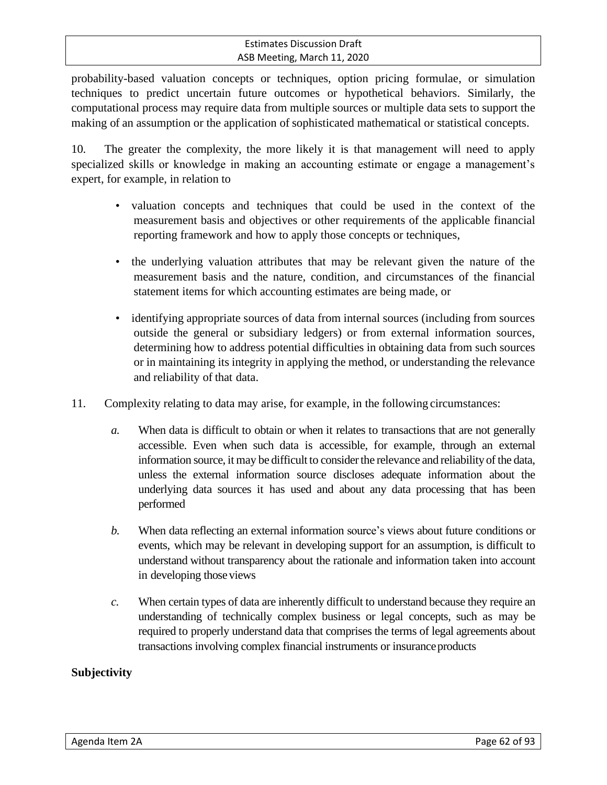probability-based valuation concepts or techniques, option pricing formulae, or simulation techniques to predict uncertain future outcomes or hypothetical behaviors. Similarly, the computational process may require data from multiple sources or multiple data sets to support the making of an assumption or the application of sophisticated mathematical or statistical concepts.

10. The greater the complexity, the more likely it is that management will need to apply specialized skills or knowledge in making an accounting estimate or engage a management's expert, for example, in relation to

- valuation concepts and techniques that could be used in the context of the measurement basis and objectives or other requirements of the applicable financial reporting framework and how to apply those concepts or techniques,
- the underlying valuation attributes that may be relevant given the nature of the measurement basis and the nature, condition, and circumstances of the financial statement items for which accounting estimates are being made, or
- identifying appropriate sources of data from internal sources (including from sources outside the general or subsidiary ledgers) or from external information sources, determining how to address potential difficulties in obtaining data from such sources or in maintaining its integrity in applying the method, or understanding the relevance and reliability of that data.
- 11. Complexity relating to data may arise, for example, in the following circumstances:
	- *a.* When data is difficult to obtain or when it relates to transactions that are not generally accessible. Even when such data is accessible, for example, through an external information source, it may be difficult to consider the relevance and reliability of the data, unless the external information source discloses adequate information about the underlying data sources it has used and about any data processing that has been performed
	- *b.* When data reflecting an external information source's views about future conditions or events, which may be relevant in developing support for an assumption, is difficult to understand without transparency about the rationale and information taken into account in developing thoseviews
	- *c.* When certain types of data are inherently difficult to understand because they require an understanding of technically complex business or legal concepts, such as may be required to properly understand data that comprises the terms of legal agreements about transactions involving complex financial instruments or insuranceproducts

# **Subjectivity**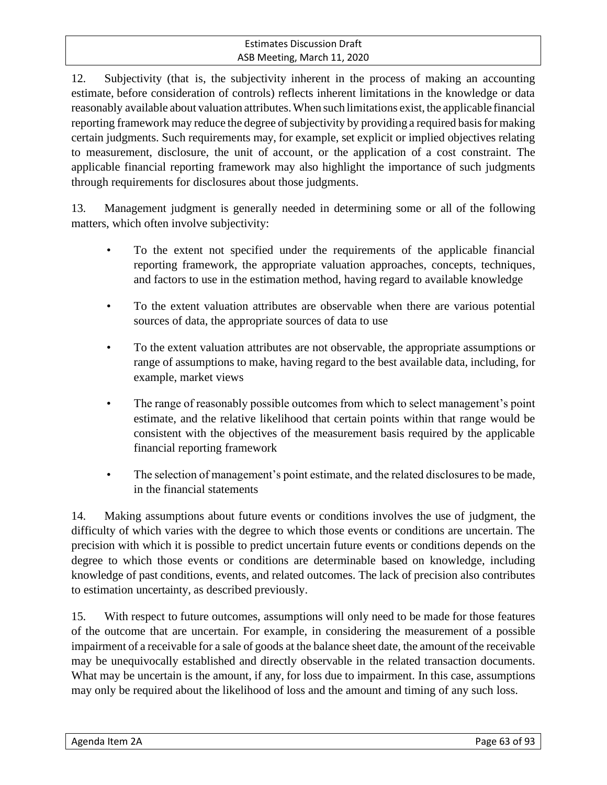12. Subjectivity (that is, the subjectivity inherent in the process of making an accounting estimate, before consideration of controls) reflects inherent limitations in the knowledge or data reasonably available about valuation attributes.When such limitations exist, the applicable financial reporting framework may reduce the degree of subjectivity by providing a required basis for making certain judgments. Such requirements may, for example, set explicit or implied objectives relating to measurement, disclosure, the unit of account, or the application of a cost constraint. The applicable financial reporting framework may also highlight the importance of such judgments through requirements for disclosures about those judgments.

13. Management judgment is generally needed in determining some or all of the following matters, which often involve subjectivity:

- To the extent not specified under the requirements of the applicable financial reporting framework, the appropriate valuation approaches, concepts, techniques, and factors to use in the estimation method, having regard to available knowledge
- To the extent valuation attributes are observable when there are various potential sources of data, the appropriate sources of data to use
- To the extent valuation attributes are not observable, the appropriate assumptions or range of assumptions to make, having regard to the best available data, including, for example, market views
- The range of reasonably possible outcomes from which to select management's point estimate, and the relative likelihood that certain points within that range would be consistent with the objectives of the measurement basis required by the applicable financial reporting framework
- The selection of management's point estimate, and the related disclosures to be made, in the financial statements

14. Making assumptions about future events or conditions involves the use of judgment, the difficulty of which varies with the degree to which those events or conditions are uncertain. The precision with which it is possible to predict uncertain future events or conditions depends on the degree to which those events or conditions are determinable based on knowledge, including knowledge of past conditions, events, and related outcomes. The lack of precision also contributes to estimation uncertainty, as described previously.

15. With respect to future outcomes, assumptions will only need to be made for those features of the outcome that are uncertain. For example, in considering the measurement of a possible impairment of a receivable for a sale of goods at the balance sheet date, the amount of the receivable may be unequivocally established and directly observable in the related transaction documents. What may be uncertain is the amount, if any, for loss due to impairment. In this case, assumptions may only be required about the likelihood of loss and the amount and timing of any such loss.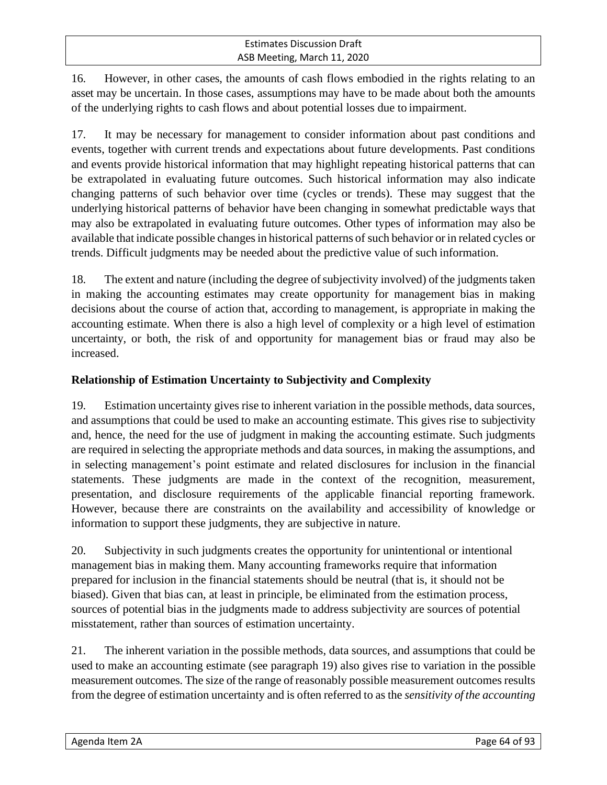16. However, in other cases, the amounts of cash flows embodied in the rights relating to an asset may be uncertain. In those cases, assumptions may have to be made about both the amounts of the underlying rights to cash flows and about potential losses due to impairment.

17. It may be necessary for management to consider information about past conditions and events, together with current trends and expectations about future developments. Past conditions and events provide historical information that may highlight repeating historical patterns that can be extrapolated in evaluating future outcomes. Such historical information may also indicate changing patterns of such behavior over time (cycles or trends). These may suggest that the underlying historical patterns of behavior have been changing in somewhat predictable ways that may also be extrapolated in evaluating future outcomes. Other types of information may also be available that indicate possible changesin historical patterns of such behavior or in related cycles or trends. Difficult judgments may be needed about the predictive value of such information.

18. The extent and nature (including the degree of subjectivity involved) of the judgments taken in making the accounting estimates may create opportunity for management bias in making decisions about the course of action that, according to management, is appropriate in making the accounting estimate. When there is also a high level of complexity or a high level of estimation uncertainty, or both, the risk of and opportunity for management bias or fraud may also be increased.

# **Relationship of Estimation Uncertainty to Subjectivity and Complexity**

19. Estimation uncertainty gives rise to inherent variation in the possible methods, data sources, and assumptions that could be used to make an accounting estimate. This gives rise to subjectivity and, hence, the need for the use of judgment in making the accounting estimate. Such judgments are required in selecting the appropriate methods and data sources, in making the assumptions, and in selecting management's point estimate and related disclosures for inclusion in the financial statements. These judgments are made in the context of the recognition, measurement, presentation, and disclosure requirements of the applicable financial reporting framework. However, because there are constraints on the availability and accessibility of knowledge or information to support these judgments, they are subjective in nature.

20. Subjectivity in such judgments creates the opportunity for unintentional or intentional management bias in making them. Many accounting frameworks require that information prepared for inclusion in the financial statements should be neutral (that is, it should not be biased). Given that bias can, at least in principle, be eliminated from the estimation process, sources of potential bias in the judgments made to address subjectivity are sources of potential misstatement, rather than sources of estimation uncertainty.

21. The inherent variation in the possible methods, data sources, and assumptions that could be used to make an accounting estimate (see paragraph 19) also gives rise to variation in the possible measurement outcomes. The size of the range of reasonably possible measurement outcomes results from the degree of estimation uncertainty and is often referred to as the *sensitivity of the accounting*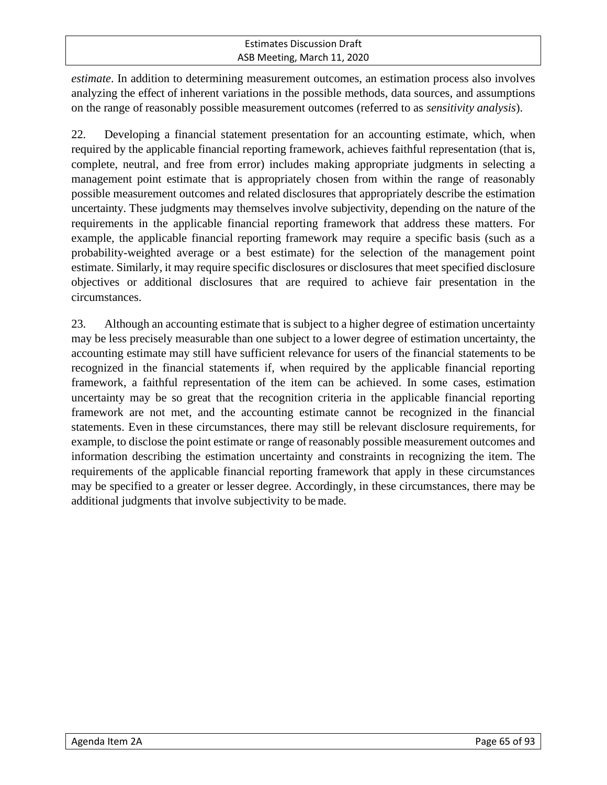*estimate*. In addition to determining measurement outcomes, an estimation process also involves analyzing the effect of inherent variations in the possible methods, data sources, and assumptions on the range of reasonably possible measurement outcomes (referred to as *sensitivity analysis*).

22. Developing a financial statement presentation for an accounting estimate, which, when required by the applicable financial reporting framework, achieves faithful representation (that is, complete, neutral, and free from error) includes making appropriate judgments in selecting a management point estimate that is appropriately chosen from within the range of reasonably possible measurement outcomes and related disclosures that appropriately describe the estimation uncertainty. These judgments may themselves involve subjectivity, depending on the nature of the requirements in the applicable financial reporting framework that address these matters. For example, the applicable financial reporting framework may require a specific basis (such as a probability-weighted average or a best estimate) for the selection of the management point estimate. Similarly, it may require specific disclosures or disclosures that meet specified disclosure objectives or additional disclosures that are required to achieve fair presentation in the circumstances.

23. Although an accounting estimate that is subject to a higher degree of estimation uncertainty may be less precisely measurable than one subject to a lower degree of estimation uncertainty, the accounting estimate may still have sufficient relevance for users of the financial statements to be recognized in the financial statements if, when required by the applicable financial reporting framework, a faithful representation of the item can be achieved. In some cases, estimation uncertainty may be so great that the recognition criteria in the applicable financial reporting framework are not met, and the accounting estimate cannot be recognized in the financial statements. Even in these circumstances, there may still be relevant disclosure requirements, for example, to disclose the point estimate or range of reasonably possible measurement outcomes and information describing the estimation uncertainty and constraints in recognizing the item. The requirements of the applicable financial reporting framework that apply in these circumstances may be specified to a greater or lesser degree. Accordingly, in these circumstances, there may be additional judgments that involve subjectivity to be made.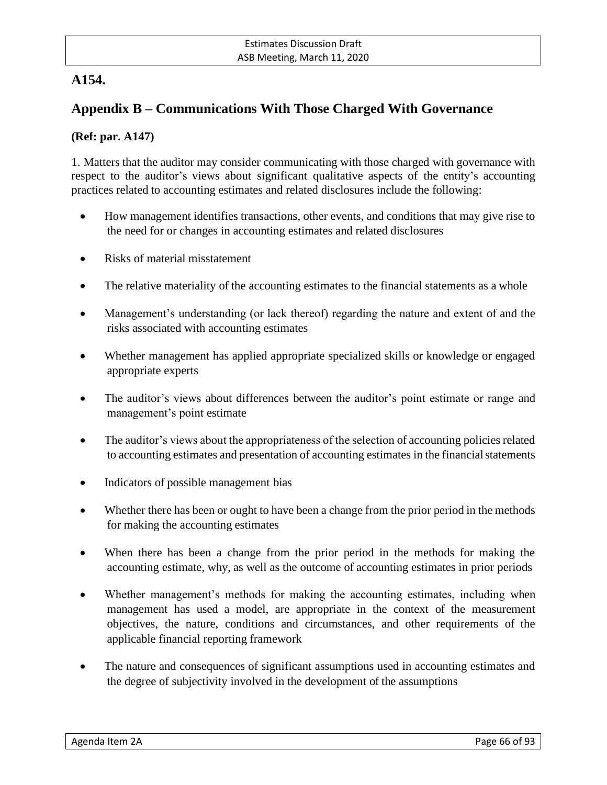# **A154.**

# **Appendix B – Communications With Those Charged With Governance**

# **(Ref: par. [A147\)](#page-56-1)**

1. Matters that the auditor may consider communicating with those charged with governance with respect to the auditor's views about significant qualitative aspects of the entity's accounting practices related to accounting estimates and related disclosures include the following:

- How management identifies transactions, other events, and conditions that may give rise to the need for or changes in accounting estimates and related disclosures
- Risks of material misstatement
- The relative materiality of the accounting estimates to the financial statements as a whole
- Management's understanding (or lack thereof) regarding the nature and extent of and the risks associated with accounting estimates
- Whether management has applied appropriate specialized skills or knowledge or engaged appropriate experts
- The auditor's views about differences between the auditor's point estimate or range and management's point estimate
- The auditor's views about the appropriateness of the selection of accounting policies related to accounting estimates and presentation of accounting estimates in the financialstatements
- Indicators of possible management bias
- Whether there has been or ought to have been a change from the prior period in the methods for making the accounting estimates
- When there has been a change from the prior period in the methods for making the accounting estimate, why, as well as the outcome of accounting estimates in prior periods
- Whether management's methods for making the accounting estimates, including when management has used a model, are appropriate in the context of the measurement objectives, the nature, conditions and circumstances, and other requirements of the applicable financial reporting framework
- The nature and consequences of significant assumptions used in accounting estimates and the degree of subjectivity involved in the development of the assumptions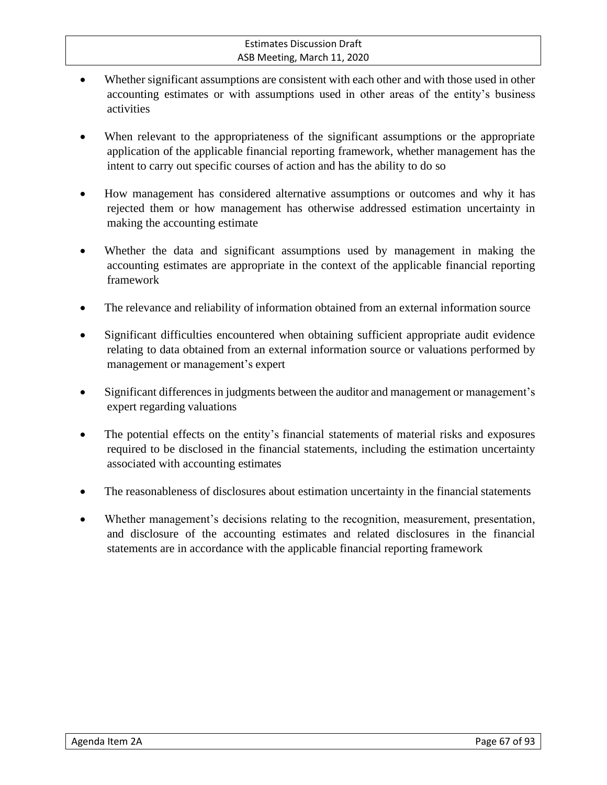- Whether significant assumptions are consistent with each other and with those used in other accounting estimates or with assumptions used in other areas of the entity's business activities
- When relevant to the appropriateness of the significant assumptions or the appropriate application of the applicable financial reporting framework, whether management has the intent to carry out specific courses of action and has the ability to do so
- How management has considered alternative assumptions or outcomes and why it has rejected them or how management has otherwise addressed estimation uncertainty in making the accounting estimate
- Whether the data and significant assumptions used by management in making the accounting estimates are appropriate in the context of the applicable financial reporting framework
- The relevance and reliability of information obtained from an external information source
- Significant difficulties encountered when obtaining sufficient appropriate audit evidence relating to data obtained from an external information source or valuations performed by management or management's expert
- Significant differences in judgments between the auditor and management or management's expert regarding valuations
- The potential effects on the entity's financial statements of material risks and exposures required to be disclosed in the financial statements, including the estimation uncertainty associated with accounting estimates
- The reasonableness of disclosures about estimation uncertainty in the financial statements
- Whether management's decisions relating to the recognition, measurement, presentation, and disclosure of the accounting estimates and related disclosures in the financial statements are in accordance with the applicable financial reporting framework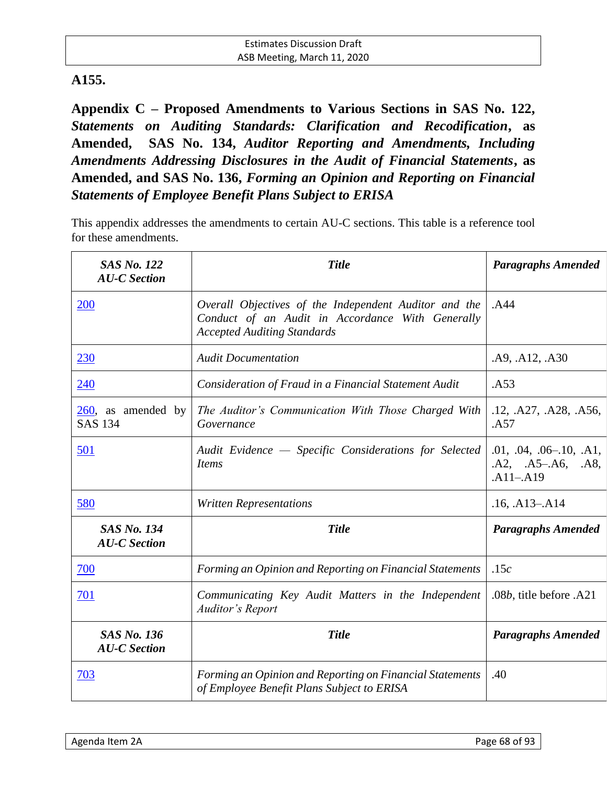# **A155.**

**Appendix C – Proposed Amendments to Various Sections in SAS No. 122,**  *Statements on Auditing Standards: Clarification and Recodification***, as Amended, SAS No. 134,** *Auditor Reporting and Amendments, Including Amendments Addressing Disclosures in the Audit of Financial Statements***, as Amended, and SAS No. 136,** *Forming an Opinion and Reporting on Financial Statements of Employee Benefit Plans Subject to ERISA*

This appendix addresses the amendments to certain AU-C sections. This table is a reference tool for these amendments.

| <b>SAS No. 122</b><br><b>AU-C</b> Section         | <b>Title</b>                                                                                                                                    | <b>Paragraphs Amended</b>                                        |
|---------------------------------------------------|-------------------------------------------------------------------------------------------------------------------------------------------------|------------------------------------------------------------------|
| 200                                               | Overall Objectives of the Independent Auditor and the<br>Conduct of an Audit in Accordance With Generally<br><b>Accepted Auditing Standards</b> | .A44                                                             |
| 230                                               | <b>Audit Documentation</b>                                                                                                                      | .A9, .A12, .A30                                                  |
| 240                                               | Consideration of Fraud in a Financial Statement Audit                                                                                           | .A53                                                             |
| $\frac{260}{ }$ , as amended by<br><b>SAS 134</b> | The Auditor's Communication With Those Charged With<br>Governance                                                                               | .12, .A27, .A28, .A56,<br>.A57                                   |
| <u>501</u>                                        | Audit Evidence — Specific Considerations for Selected<br><i>Items</i>                                                                           | $.01, .04, .06 - .10, .A1,$<br>$.A2, A5-.A6, A8,$<br>$A11 - A19$ |
| 580                                               | <b>Written Representations</b>                                                                                                                  | $.16, .A13 - .A14$                                               |
| <b>SAS No. 134</b><br><b>AU-C</b> Section         | <b>Title</b>                                                                                                                                    | <b>Paragraphs Amended</b>                                        |
| 700                                               | Forming an Opinion and Reporting on Financial Statements                                                                                        | .15c                                                             |
| 701                                               | Communicating Key Audit Matters in the Independent<br><b>Auditor's Report</b>                                                                   | .08b, title before .A21                                          |
| <b>SAS No. 136</b><br><b>AU-C</b> Section         | <b>Title</b>                                                                                                                                    | <b>Paragraphs Amended</b>                                        |
| 703                                               | Forming an Opinion and Reporting on Financial Statements<br>of Employee Benefit Plans Subject to ERISA                                          | .40                                                              |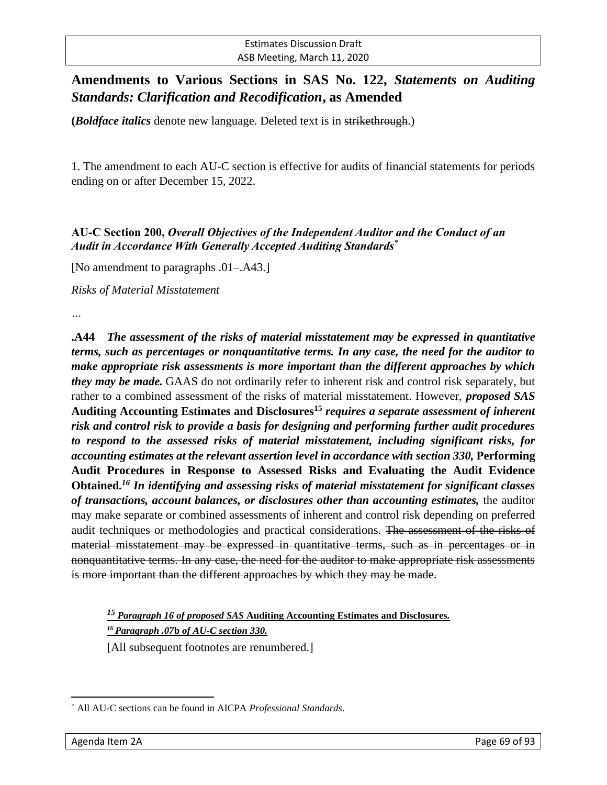**Amendments to Various Sections in SAS No. 122,** *Statements on Auditing Standards: Clarification and Recodification***, as Amended**

**(***Boldface italics* denote new language. Deleted text is in strikethrough.)

1. The amendment to each AU-C section is effective for audits of financial statements for periods ending on or after December 15, 2022.

# <span id="page-68-0"></span>**AU-C Section 200,** *Overall Objectives of the Independent Auditor and the Conduct of an Audit in Accordance With Generally Accepted Auditing Standards\**

[No amendment to paragraphs .01–.A43.]

*Risks of Material Misstatement* 

*…*

**.A44** *The assessment of the risks of material misstatement may be expressed in quantitative terms, such as percentages or nonquantitative terms. In any case, the need for the auditor to make appropriate risk assessments is more important than the different approaches by which they may be made.* GAAS do not ordinarily refer to inherent risk and control risk separately, but rather to a combined assessment of the risks of material misstatement. However, *proposed SAS*  **Auditing Accounting Estimates and Disclosures<sup>15</sup>** *requires a separate assessment of inherent risk and control risk to provide a basis for designing and performing further audit procedures to respond to the assessed risks of material misstatement, including significant risks, for accounting estimates at the relevant assertion level in accordance with section 330,* **Performing Audit Procedures in Response to Assessed Risks and Evaluating the Audit Evidence Obtained***. <sup>16</sup> In identifying and assessing risks of material misstatement for significant classes of transactions, account balances, or disclosures other than accounting estimates,* the auditor may make separate or combined assessments of inherent and control risk depending on preferred audit techniques or methodologies and practical considerations. The assessment of the risks of material misstatement may be expressed in quantitative terms, such as in percentages or in nonquantitative terms. In any case, the need for the auditor to make appropriate risk assessments is more important than the different approaches by which they may be made.

*<sup>15</sup> Paragraph 16 of proposed SAS* **Auditing Accounting Estimates and Disclosures***. <sup>16</sup> Paragraph .07***b** *of AU-C section 330.*

[All subsequent footnotes are renumbered.]

<sup>\*</sup> All AU-C sections can be found in AICPA *Professional Standards*.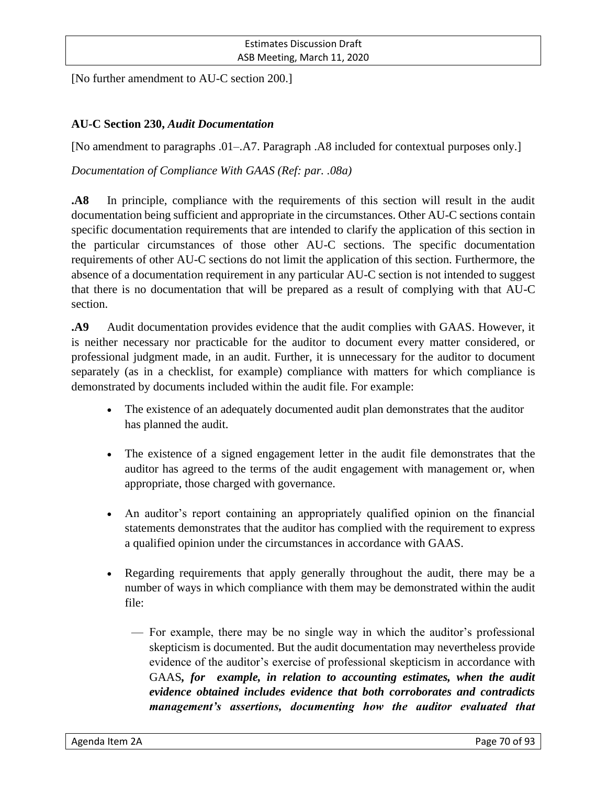[No further amendment to AU-C section 200.]

## <span id="page-69-0"></span>**AU-C Section 230,** *Audit Documentation*

[No amendment to paragraphs .01–.A7. Paragraph .A8 included for contextual purposes only.]

*Documentation of Compliance With GAAS (Ref: par. .08a)*

**.A8** In principle, compliance with the requirements of this section will result in the audit documentation being sufficient and appropriate in the circumstances. Other AU-C sections contain specific documentation requirements that are intended to clarify the application of this section in the particular circumstances of those other AU-C sections. The specific documentation requirements of other AU-C sections do not limit the application of this section. Furthermore, the absence of a documentation requirement in any particular AU-C section is not intended to suggest that there is no documentation that will be prepared as a result of complying with that AU-C section.

**.A9** Audit documentation provides evidence that the audit complies with GAAS. However, it is neither necessary nor practicable for the auditor to document every matter considered, or professional judgment made, in an audit. Further, it is unnecessary for the auditor to document separately (as in a checklist, for example) compliance with matters for which compliance is demonstrated by documents included within the audit file. For example:

- The existence of an adequately documented audit plan demonstrates that the auditor has planned the audit.
- The existence of a signed engagement letter in the audit file demonstrates that the auditor has agreed to the terms of the audit engagement with management or, when appropriate, those charged with governance.
- An auditor's report containing an appropriately qualified opinion on the financial statements demonstrates that the auditor has complied with the requirement to express a qualified opinion under the circumstances in accordance with GAAS.
- Regarding requirements that apply generally throughout the audit, there may be a number of ways in which compliance with them may be demonstrated within the audit file:
	- For example, there may be no single way in which the auditor's professional skepticism is documented. But the audit documentation may nevertheless provide evidence of the auditor's exercise of professional skepticism in accordance with GAAS*, for example, in relation to accounting estimates, when the audit evidence obtained includes evidence that both corroborates and contradicts management's assertions, documenting how the auditor evaluated that*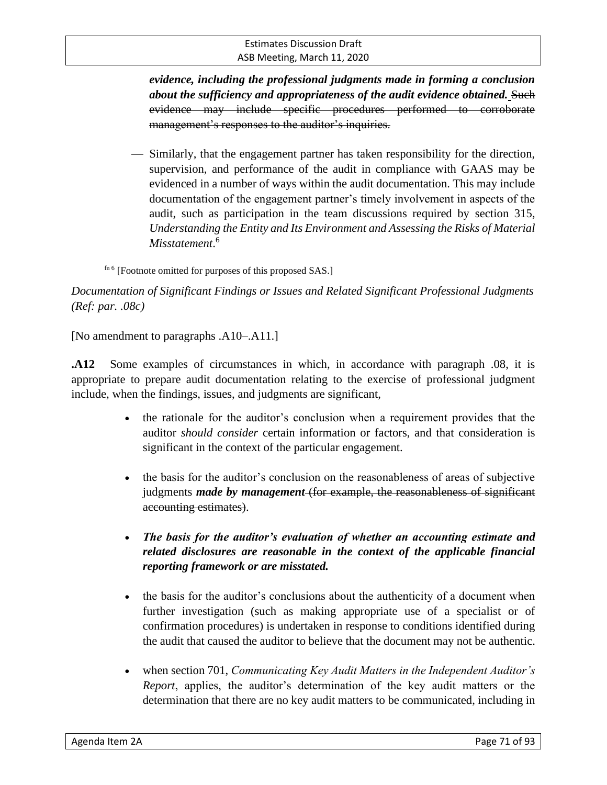*evidence, including the professional judgments made in forming a conclusion about the sufficiency and appropriateness of the audit evidence obtained.* Such evidence may include specific procedures performed to corroborate management's responses to the auditor's inquiries.

— Similarly, that the engagement partner has taken responsibility for the direction, supervision, and performance of the audit in compliance with GAAS may be evidenced in a number of ways within the audit documentation. This may include documentation of the engagement partner's timely involvement in aspects of the audit, such as participation in the team discussions required by section 315, *Understanding the Entity and Its Environment and Assessing the Risks of Material Misstatement*. 6

fn 6 [Footnote omitted for purposes of this proposed SAS.]

*Documentation of Significant Findings or Issues and Related Significant Professional Judgments (Ref: par. .08c)*

[No amendment to paragraphs .A10–.A11.]

**.A12** Some examples of circumstances in which, in accordance with paragraph .08, it is appropriate to prepare audit documentation relating to the exercise of professional judgment include, when the findings, issues, and judgments are significant,

- the rationale for the auditor's conclusion when a requirement provides that the auditor *should consider* certain information or factors, and that consideration is significant in the context of the particular engagement.
- the basis for the auditor's conclusion on the reasonableness of areas of subjective judgments *made by management* (for example, the reasonableness of significant accounting estimates).
- *The basis for the auditor's evaluation of whether an accounting estimate and related disclosures are reasonable in the context of the applicable financial reporting framework or are misstated.*
- the basis for the auditor's conclusions about the authenticity of a document when further investigation (such as making appropriate use of a specialist or of confirmation procedures) is undertaken in response to conditions identified during the audit that caused the auditor to believe that the document may not be authentic.
- when section 701, *Communicating Key Audit Matters in the Independent Auditor's Report*, applies, the auditor's determination of the key audit matters or the determination that there are no key audit matters to be communicated, including in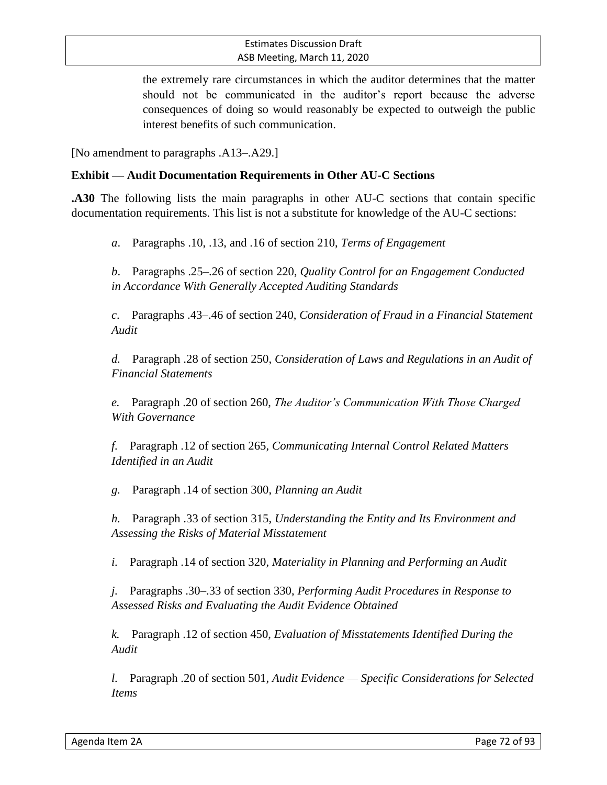the extremely rare circumstances in which the auditor determines that the matter should not be communicated in the auditor's report because the adverse consequences of doing so would reasonably be expected to outweigh the public interest benefits of such communication.

[No amendment to paragraphs .A13–.A29.]

## **Exhibit — Audit Documentation Requirements in Other AU-C Sections**

**.A30** The following lists the main paragraphs in other AU-C sections that contain specific documentation requirements. This list is not a substitute for knowledge of the AU-C sections:

*a*. Paragraphs .10, .13, and .16 of section 210, *Terms of Engagement*

*b*. Paragraphs .25–.26 of section 220, *Quality Control for an Engagement Conducted in Accordance With Generally Accepted Auditing Standards*

*c*. Paragraphs .43–.46 of section 240, *Consideration of Fraud in a Financial Statement Audit*

*d.* Paragraph .28 of section 250, *Consideration of Laws and Regulations in an Audit of Financial Statements*

*e.* Paragraph .20 of section 260, *The Auditor's Communication With Those Charged With Governance*

*f.* Paragraph .12 of section 265, *Communicating Internal Control Related Matters Identified in an Audit*

*g.* Paragraph .14 of section 300, *Planning an Audit*

*h.* Paragraph .33 of section 315, *Understanding the Entity and Its Environment and Assessing the Risks of Material Misstatement*

*i.* Paragraph .14 of section 320, *Materiality in Planning and Performing an Audit*

*j.* Paragraphs .30–.33 of section 330, *Performing Audit Procedures in Response to Assessed Risks and Evaluating the Audit Evidence Obtained*

*k.* Paragraph .12 of section 450, *Evaluation of Misstatements Identified During the Audit*

*l.* Paragraph .20 of section 501, *Audit Evidence — Specific Considerations for Selected Items*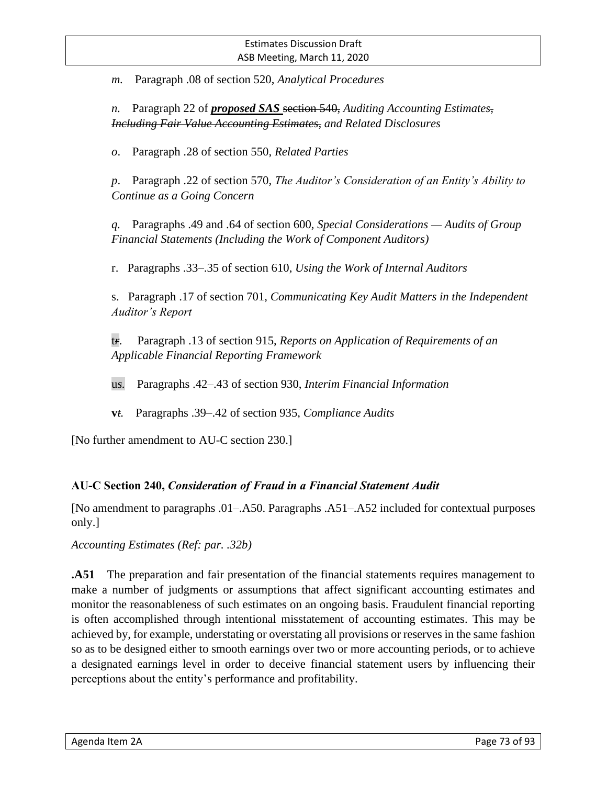*m.* Paragraph .08 of section 520, *Analytical Procedures*

*n.* Paragraph 22 of *proposed SAS* section 540, *Auditing Accounting Estimates, Including Fair Value Accounting Estimates, and Related Disclosures*

*o*. Paragraph .28 of section 550, *Related Parties*

*p*. Paragraph .22 of section 570, *The Auditor's Consideration of an Entity's Ability to Continue as a Going Concern*

*q.* Paragraphs .49 and .64 of section 600, *Special Considerations — Audits of Group Financial Statements (Including the Work of Component Auditors)*

r. Paragraphs .33–.35 of section 610, *Using the Work of Internal Auditors*

s. Paragraph .17 of section 701, *Communicating Key Audit Matters in the Independent Auditor's Report* 

t*r.* Paragraph .13 of section 915, *Reports on Application of Requirements of an Applicable Financial Reporting Framework*

u*s.* Paragraphs .42–.43 of section 930, *Interim Financial Information*

**v***t.* Paragraphs .39–.42 of section 935, *Compliance Audits*

[No further amendment to AU-C section 230.]

# **AU-C Section 240,** *Consideration of Fraud in a Financial Statement Audit*

[No amendment to paragraphs .01–.A50. Paragraphs .A51–.A52 included for contextual purposes only.]

*Accounting Estimates (Ref: par. .32b)*

**.A51** The preparation and fair presentation of the financial statements requires management to make a number of judgments or assumptions that affect significant accounting estimates and monitor the reasonableness of such estimates on an ongoing basis. Fraudulent financial reporting is often accomplished through intentional misstatement of accounting estimates. This may be achieved by, for example, understating or overstating all provisions or reserves in the same fashion so as to be designed either to smooth earnings over two or more accounting periods, or to achieve a designated earnings level in order to deceive financial statement users by influencing their perceptions about the entity's performance and profitability.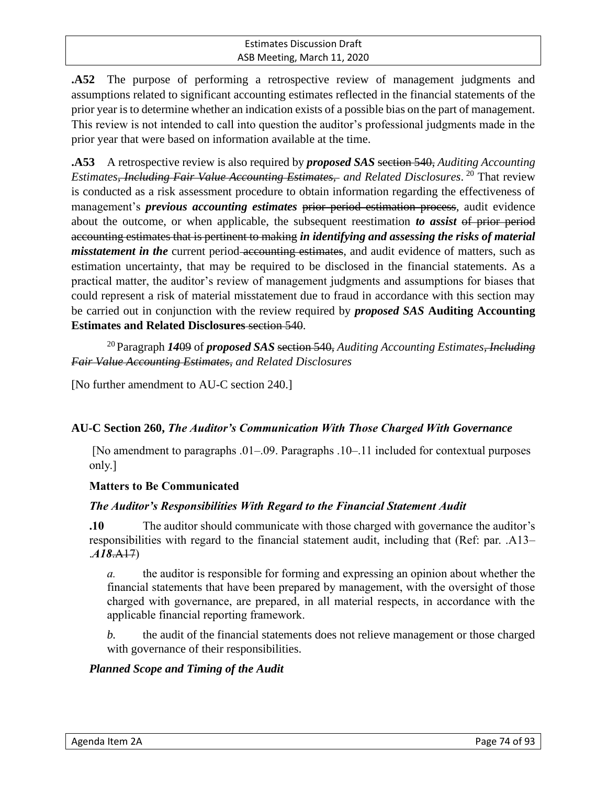**.A52** The purpose of performing a retrospective review of management judgments and assumptions related to significant accounting estimates reflected in the financial statements of the prior year is to determine whether an indication exists of a possible bias on the part of management. This review is not intended to call into question the auditor's professional judgments made in the prior year that were based on information available at the time.

**.A53** A retrospective review is also required by *proposed SAS* section 540, *Auditing Accounting Estimates, Including Fair Value Accounting Estimates, and Related Disclosures*. <sup>20</sup> That review is conducted as a risk assessment procedure to obtain information regarding the effectiveness of management's *previous accounting estimates* prior period estimation process, audit evidence about the outcome, or when applicable, the subsequent reestimation *to assist* of prior period accounting estimates that is pertinent to making *in identifying and assessing the risks of material misstatement in the* current period-accounting estimates, and audit evidence of matters, such as estimation uncertainty, that may be required to be disclosed in the financial statements. As a practical matter, the auditor's review of management judgments and assumptions for biases that could represent a risk of material misstatement due to fraud in accordance with this section may be carried out in conjunction with the review required by *proposed SAS* **Auditing Accounting Estimates and Related Disclosures** section 540.

<sup>20</sup>Paragraph *14*09 of *proposed SAS* section 540, *Auditing Accounting Estimates, Including Fair Value Accounting Estimates, and Related Disclosures*

[No further amendment to AU-C section 240.]

# **AU-C Section 260,** *The Auditor's Communication With Those Charged With Governance*

[No amendment to paragraphs .01–.09. Paragraphs .10–.11 included for contextual purposes only.]

# **Matters to Be Communicated**

# *The Auditor's Responsibilities With Regard to the Financial Statement Audit*

**.10** The auditor should communicate with those charged with governance the auditor's responsibilities with regard to the financial statement audit, including that (Ref: par. .A13– .*A18*.A17)

*a.* the auditor is responsible for forming and expressing an opinion about whether the financial statements that have been prepared by management, with the oversight of those charged with governance, are prepared, in all material respects, in accordance with the applicable financial reporting framework.

*b.* the audit of the financial statements does not relieve management or those charged with governance of their responsibilities.

# *Planned Scope and Timing of the Audit*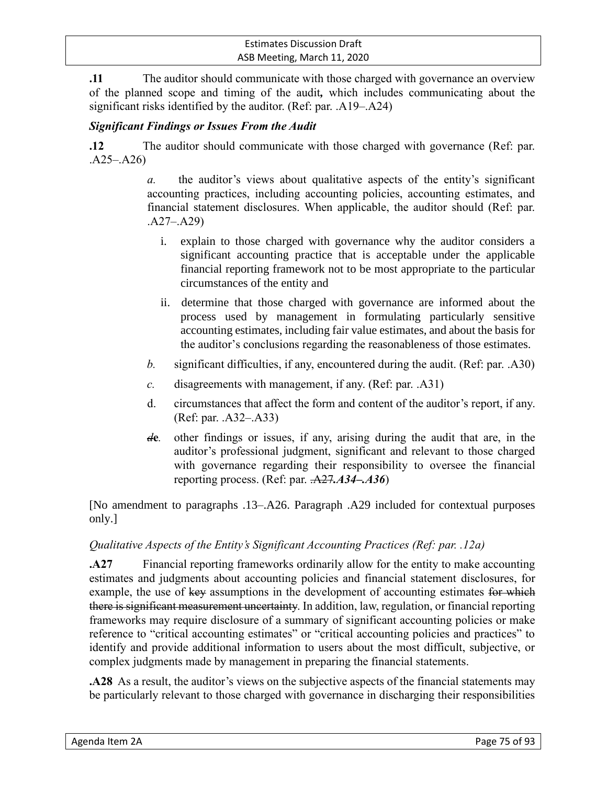**.11** The auditor should communicate with those charged with governance an overview of the planned scope and timing of the audit*,* which includes communicating about the significant risks identified by the auditor. (Ref: par. .A19–.A24)

# *Significant Findings or Issues From the Audit*

**.12** The auditor should communicate with those charged with governance (Ref: par.  $A25 - A26$ 

> *a.* the auditor's views about qualitative aspects of the entity's significant accounting practices, including accounting policies, accounting estimates, and financial statement disclosures. When applicable, the auditor should (Ref: par. .A27–.A29)

- i. explain to those charged with governance why the auditor considers a significant accounting practice that is acceptable under the applicable financial reporting framework not to be most appropriate to the particular circumstances of the entity and
- ii. determine that those charged with governance are informed about the process used by management in formulating particularly sensitive accounting estimates, including fair value estimates, and about the basis for the auditor's conclusions regarding the reasonableness of those estimates.
- *b.* significant difficulties, if any, encountered during the audit. (Ref: par. .A30)
- *c.* disagreements with management, if any. (Ref: par. .A31)
- d. circumstances that affect the form and content of the auditor's report, if any. (Ref: par. .A32–.A33)
- *d***e***.* other findings or issues, if any, arising during the audit that are, in the auditor's professional judgment, significant and relevant to those charged with governance regarding their responsibility to oversee the financial reporting process. (Ref: par. .A27*.A34–.A36*)

[No amendment to paragraphs .13–.A26. Paragraph .A29 included for contextual purposes only.]

# *Qualitative Aspects of the Entity's Significant Accounting Practices (Ref: par. .12a)*

**.A27** Financial reporting frameworks ordinarily allow for the entity to make accounting estimates and judgments about accounting policies and financial statement disclosures, for example, the use of key assumptions in the development of accounting estimates for which there is significant measurement uncertainty. In addition, law, regulation, or financial reporting frameworks may require disclosure of a summary of significant accounting policies or make reference to "critical accounting estimates" or "critical accounting policies and practices" to identify and provide additional information to users about the most difficult, subjective, or complex judgments made by management in preparing the financial statements.

**.A28** As a result, the auditor's views on the subjective aspects of the financial statements may be particularly relevant to those charged with governance in discharging their responsibilities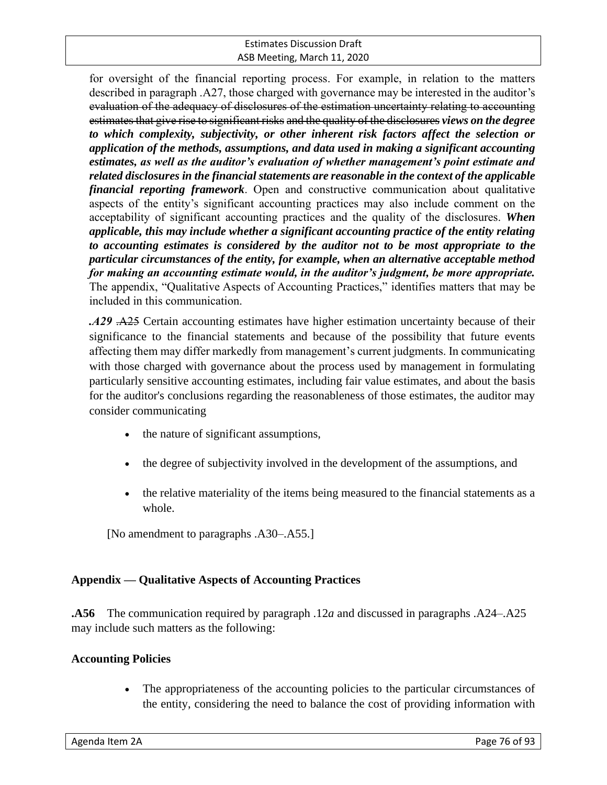for oversight of the financial reporting process. For example, in relation to the matters described in paragraph .A27, those charged with governance may be interested in the auditor's evaluation of the adequacy of disclosures of the estimation uncertainty relating to accounting estimates that give rise to significant risks and the quality of the disclosures *views on the degree to which complexity, subjectivity, or other inherent risk factors affect the selection or application of the methods, assumptions, and data used in making a significant accounting estimates, as well as the auditor's evaluation of whether management's point estimate and related disclosures in the financial statements are reasonable in the context of the applicable financial reporting framework*. Open and constructive communication about qualitative aspects of the entity's significant accounting practices may also include comment on the acceptability of significant accounting practices and the quality of the disclosures. *When applicable, this may include whether a significant accounting practice of the entity relating to accounting estimates is considered by the auditor not to be most appropriate to the particular circumstances of the entity, for example, when an alternative acceptable method for making an accounting estimate would, in the auditor's judgment, be more appropriate.* The appendix, "Qualitative Aspects of Accounting Practices," identifies matters that may be included in this communication.

*.A29* .A25 Certain accounting estimates have higher estimation uncertainty because of their significance to the financial statements and because of the possibility that future events affecting them may differ markedly from management's current judgments. In communicating with those charged with governance about the process used by management in formulating particularly sensitive accounting estimates, including fair value estimates, and about the basis for the auditor's conclusions regarding the reasonableness of those estimates, the auditor may consider communicating

- the nature of significant assumptions,
- the degree of subjectivity involved in the development of the assumptions, and
- the relative materiality of the items being measured to the financial statements as a whole.

[No amendment to paragraphs .A30–.A55.]

# **Appendix — Qualitative Aspects of Accounting Practices**

**.A56** The communication required by paragraph .12*a* and discussed in paragraphs .A24–.A25 may include such matters as the following:

### **Accounting Policies**

• The appropriateness of the accounting policies to the particular circumstances of the entity, considering the need to balance the cost of providing information with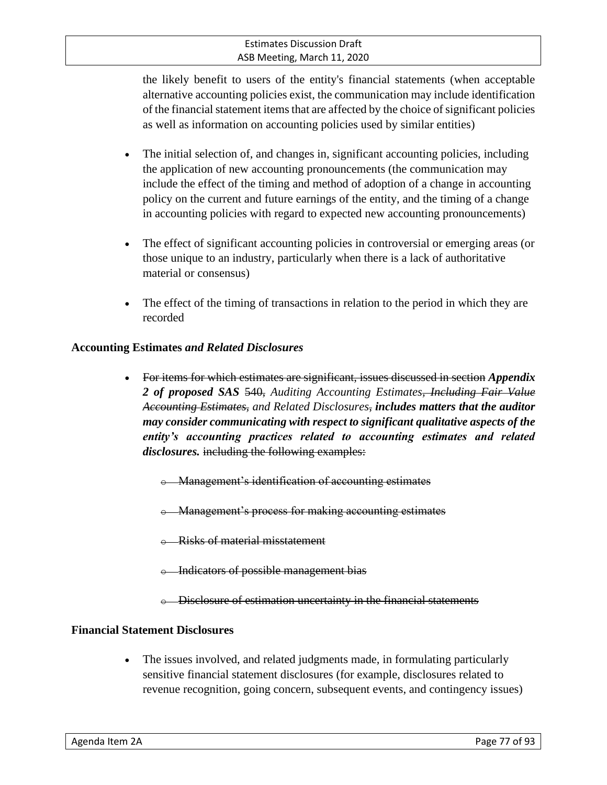the likely benefit to users of the entity's financial statements (when acceptable alternative accounting policies exist, the communication may include identification of the financial statement items that are affected by the choice of significant policies as well as information on accounting policies used by similar entities)

- The initial selection of, and changes in, significant accounting policies, including the application of new accounting pronouncements (the communication may include the effect of the timing and method of adoption of a change in accounting policy on the current and future earnings of the entity, and the timing of a change in accounting policies with regard to expected new accounting pronouncements)
- The effect of significant accounting policies in controversial or emerging areas (or those unique to an industry, particularly when there is a lack of authoritative material or consensus)
- The effect of the timing of transactions in relation to the period in which they are recorded

## **Accounting Estimates** *and Related Disclosures*

- For items for which estimates are significant, issues discussed in section *Appendix 2 of proposed SAS* 540, *Auditing Accounting Estimates, Including Fair Value Accounting Estimates, and Related Disclosures*, *includes matters that the auditor may consider communicating with respect to significant qualitative aspects of the entity's accounting practices related to accounting estimates and related disclosures.* including the following examples:
	- o Management's identification of accounting estimates
	- o Management's process for making accounting estimates
	- o Risks of material misstatement
	- o Indicators of possible management bias
	- o Disclosure of estimation uncertainty in the financial statements

### **Financial Statement Disclosures**

• The issues involved, and related judgments made, in formulating particularly sensitive financial statement disclosures (for example, disclosures related to revenue recognition, going concern, subsequent events, and contingency issues)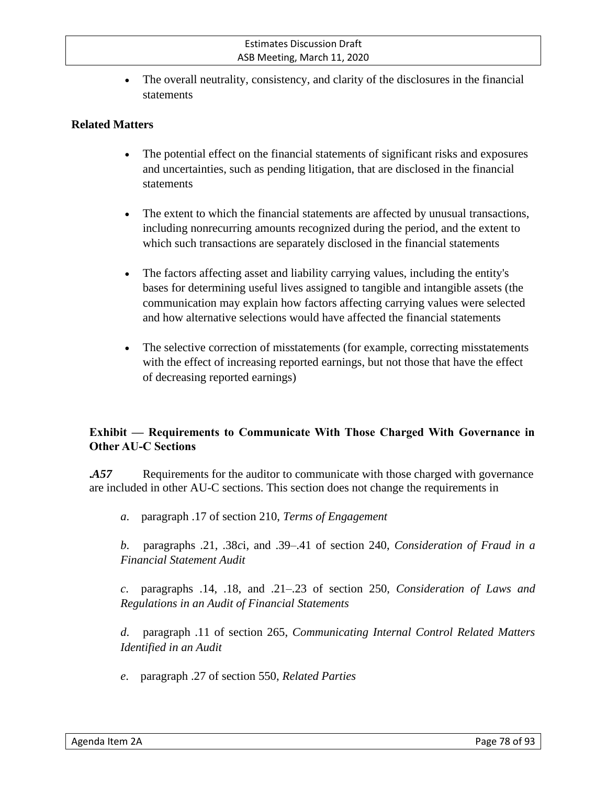• The overall neutrality, consistency, and clarity of the disclosures in the financial statements

### **Related Matters**

- The potential effect on the financial statements of significant risks and exposures and uncertainties, such as pending litigation, that are disclosed in the financial statements
- The extent to which the financial statements are affected by unusual transactions, including nonrecurring amounts recognized during the period, and the extent to which such transactions are separately disclosed in the financial statements
- The factors affecting asset and liability carrying values, including the entity's bases for determining useful lives assigned to tangible and intangible assets (the communication may explain how factors affecting carrying values were selected and how alternative selections would have affected the financial statements
- The selective correction of misstatements (for example, correcting misstatements with the effect of increasing reported earnings, but not those that have the effect of decreasing reported earnings)

# **Exhibit — Requirements to Communicate With Those Charged With Governance in Other AU-C Sections**

**.***A57* Requirements for the auditor to communicate with those charged with governance are included in other AU-C sections. This section does not change the requirements in

*a*. paragraph .17 of section 210, *Terms of Engagement*

*b*. paragraphs .21, .38*c*i, and .39–.41 of section 240, *Consideration of Fraud in a Financial Statement Audit*

*c*. paragraphs .14, .18, and .21–.23 of section 250, *Consideration of Laws and Regulations in an Audit of Financial Statements*

*d*. paragraph .11 of section 265, *Communicating Internal Control Related Matters Identified in an Audit*

*e*. paragraph .27 of section 550, *Related Parties*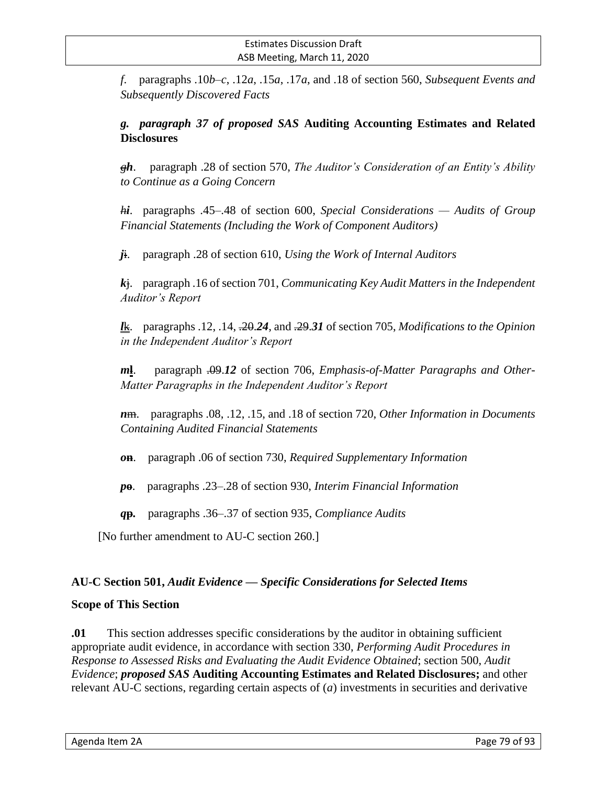*f*. paragraphs .10*b*–*c*, .12*a*, .15*a*, .17*a*, and .18 of section 560, *Subsequent Events and Subsequently Discovered Facts*

# *g. paragraph 37 of proposed SAS* **Auditing Accounting Estimates and Related Disclosures**

*gh*. paragraph .28 of section 570, *The Auditor's Consideration of an Entity's Ability to Continue as a Going Concern*

*hi*. paragraphs .45–.48 of section 600, *Special Considerations — Audits of Group Financial Statements (Including the Work of Component Auditors)*

*j*i. paragraph .28 of section 610, *Using the Work of Internal Auditors*

*k*j. paragraph .16 of section 701, *Communicating Key Audit Matters in the Independent Auditor's Report*

*l*k. paragraphs .12, .14, .20.*24*, and .29.*31* of section 705, *Modifications to the Opinion in the Independent Auditor's Report*

*m***l**. paragraph  $\theta$ . 0.12 of section 706, *Emphasis-of-Matter Paragraphs and Other-Matter Paragraphs in the Independent Auditor's Report*

*n*m. paragraphs .08, .12, .15, and .18 of section 720, *Other Information in Documents Containing Audited Financial Statements*

*o***n**. paragraph .06 of section 730, *Required Supplementary Information*

*p***o**. paragraphs .23–.28 of section 930, *Interim Financial Information*

*q***p***.* paragraphs .36–.37 of section 935, *Compliance Audits*

[No further amendment to AU-C section 260.]

# **AU-C Section 501,** *Audit Evidence — Specific Considerations for Selected Items*

# **Scope of This Section**

**.01** This section addresses specific considerations by the auditor in obtaining sufficient appropriate audit evidence, in accordance with section 330, *Performing Audit Procedures in Response to Assessed Risks and Evaluating the Audit Evidence Obtained*; section 500, *Audit Evidence*; *proposed SAS* **Auditing Accounting Estimates and Related Disclosures;** and other relevant AU-C sections, regarding certain aspects of (*a*) investments in securities and derivative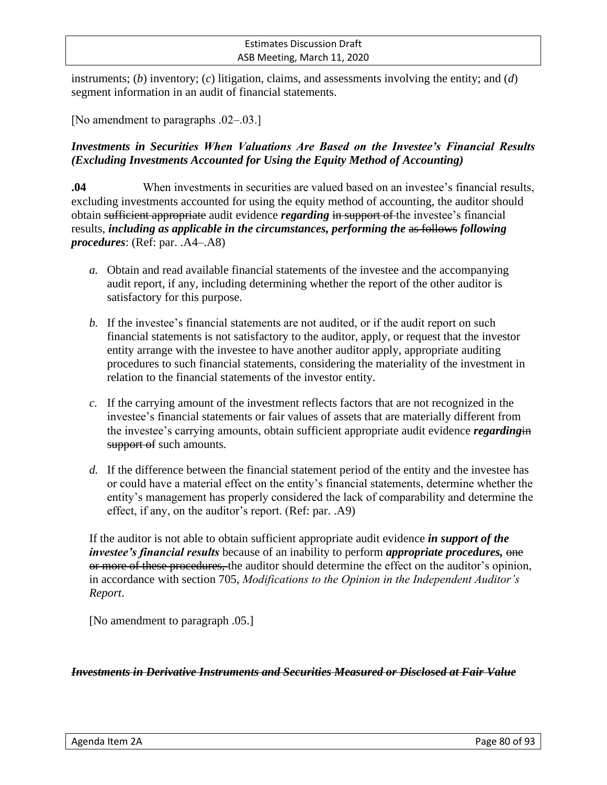instruments; (*b*) inventory; (*c*) litigation, claims, and assessments involving the entity; and (*d*) segment information in an audit of financial statements.

[No amendment to paragraphs .02–.03.]

# *Investments in Securities When Valuations Are Based on the Investee's Financial Results (Excluding Investments Accounted for Using the Equity Method of Accounting)*

**.04** When investments in securities are valued based on an investee's financial results, excluding investments accounted for using the equity method of accounting, the auditor should obtain sufficient appropriate audit evidence *regarding* in support of the investee's financial results, *including as applicable in the circumstances, performing the* as *follows following procedures*: (Ref: par. .A4–.A8)

- *a.* Obtain and read available financial statements of the investee and the accompanying audit report, if any, including determining whether the report of the other auditor is satisfactory for this purpose.
- *b.* If the investee's financial statements are not audited, or if the audit report on such financial statements is not satisfactory to the auditor, apply, or request that the investor entity arrange with the investee to have another auditor apply, appropriate auditing procedures to such financial statements, considering the materiality of the investment in relation to the financial statements of the investor entity.
- *c.* If the carrying amount of the investment reflects factors that are not recognized in the investee's financial statements or fair values of assets that are materially different from the investee's carrying amounts, obtain sufficient appropriate audit evidence *regarding*in support of such amounts*.*
- *d.* If the difference between the financial statement period of the entity and the investee has or could have a material effect on the entity's financial statements, determine whether the entity's management has properly considered the lack of comparability and determine the effect, if any, on the auditor's report. (Ref: par. .A9)

If the auditor is not able to obtain sufficient appropriate audit evidence *in support of the investee's financial results* because of an inability to perform *appropriate procedures,* one or more of these procedures, the auditor should determine the effect on the auditor's opinion, in accordance with section 705, *Modifications to the Opinion in the Independent Auditor's Report*.

[No amendment to paragraph .05.]

### *Investments in Derivative Instruments and Securities Measured or Disclosed at Fair Value*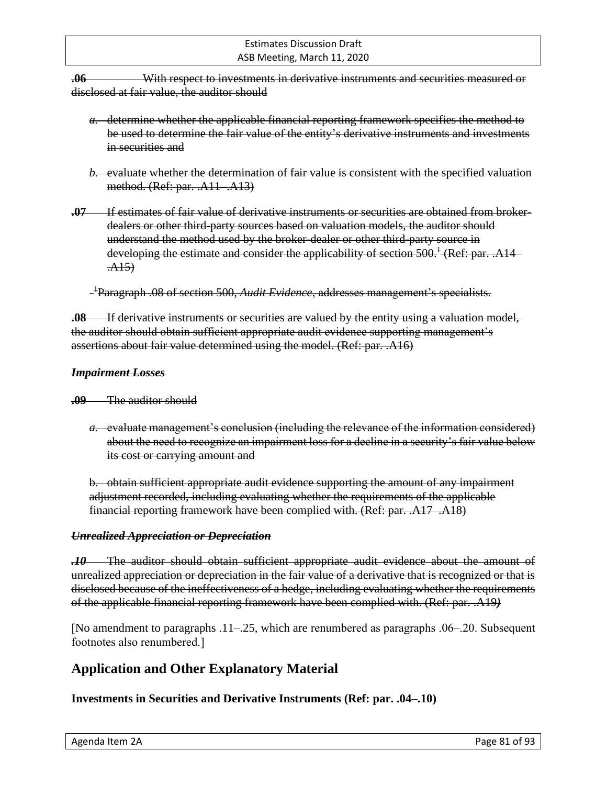**.06** With respect to investments in derivative instruments and securities measured or disclosed at fair value, the auditor should

- *a.* determine whether the applicable financial reporting framework specifies the method to be used to determine the fair value of the entity's derivative instruments and investments in securities and
- *b.* evaluate whether the determination of fair value is consistent with the specified valuation method. (Ref: par. .A11–.A13)
- **.07** If estimates of fair value of derivative instruments or securities are obtained from brokerdealers or other third-party sources based on valuation models, the auditor should understand the method used by the broker-dealer or other third-party source in developing the estimate and consider the applicability of section 500.<sup>1</sup> (Ref: par. .A14 .A15)

<sup>-1</sup>Paragraph .08 of section 500, *Audit Evidence*, addresses management's specialists.

**.08** If derivative instruments or securities are valued by the entity using a valuation model, the auditor should obtain sufficient appropriate audit evidence supporting management's assertions about fair value determined using the model. (Ref: par. .A16)

#### *Impairment Losses*

**.09** The auditor should

*a.* evaluate management's conclusion (including the relevance of the information considered) about the need to recognize an impairment loss for a decline in a security's fair value below its cost or carrying amount and

b. obtain sufficient appropriate audit evidence supporting the amount of any impairment adjustment recorded, including evaluating whether the requirements of the applicable financial reporting framework have been complied with. (Ref: par. .A17–.A18)

### *Unrealized Appreciation or Depreciation*

*.10* The auditor should obtain sufficient appropriate audit evidence about the amount of unrealized appreciation or depreciation in the fair value of a derivative that is recognized or that is disclosed because of the ineffectiveness of a hedge, including evaluating whether the requirements of the applicable financial reporting framework have been complied with. (Ref: par. .A19*)*

[No amendment to paragraphs .11–.25, which are renumbered as paragraphs .06–.20. Subsequent footnotes also renumbered.]

# **Application and Other Explanatory Material**

**Investments in Securities and Derivative Instruments (Ref: par. .04–.10)**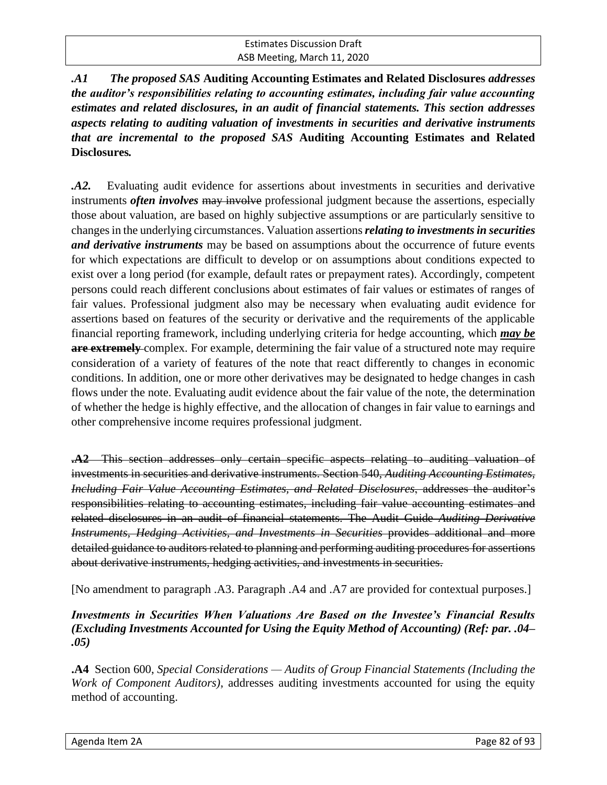*.A1 The proposed SAS* **Auditing Accounting Estimates and Related Disclosures** *addresses the auditor's responsibilities relating to accounting estimates, including fair value accounting estimates and related disclosures, in an audit of financial statements. This section addresses aspects relating to auditing valuation of investments in securities and derivative instruments that are incremental to the proposed SAS* **Auditing Accounting Estimates and Related Disclosures***.* 

*.A2.* Evaluating audit evidence for assertions about investments in securities and derivative instruments *often involves* may involve professional judgment because the assertions, especially those about valuation, are based on highly subjective assumptions or are particularly sensitive to changes in the underlying circumstances. Valuation assertions *relating to investments in securities and derivative instruments* may be based on assumptions about the occurrence of future events for which expectations are difficult to develop or on assumptions about conditions expected to exist over a long period (for example, default rates or prepayment rates). Accordingly, competent persons could reach different conclusions about estimates of fair values or estimates of ranges of fair values. Professional judgment also may be necessary when evaluating audit evidence for assertions based on features of the security or derivative and the requirements of the applicable financial reporting framework, including underlying criteria for hedge accounting, which *may be*  **are extremely** complex. For example, determining the fair value of a structured note may require consideration of a variety of features of the note that react differently to changes in economic conditions. In addition, one or more other derivatives may be designated to hedge changes in cash flows under the note. Evaluating audit evidence about the fair value of the note, the determination of whether the hedge is highly effective, and the allocation of changes in fair value to earnings and other comprehensive income requires professional judgment.

**.A2** This section addresses only certain specific aspects relating to auditing valuation of investments in securities and derivative instruments. Section 540, *Auditing Accounting Estimates, Including Fair Value Accounting Estimates, and Related Disclosures*, addresses the auditor's responsibilities relating to accounting estimates, including fair value accounting estimates and related disclosures in an audit of financial statements. The Audit Guide *Auditing Derivative Instruments, Hedging Activities, and Investments in Securities* provides additional and more detailed guidance to auditors related to planning and performing auditing procedures for assertions about derivative instruments, hedging activities, and investments in securities.

[No amendment to paragraph .A3. Paragraph .A4 and .A7 are provided for contextual purposes.]

*Investments in Securities When Valuations Are Based on the Investee's Financial Results (Excluding Investments Accounted for Using the Equity Method of Accounting) (Ref: par. .04– .05)*

**.A4** Section 600, *Special Considerations — Audits of Group Financial Statements (Including the Work of Component Auditors)*, addresses auditing investments accounted for using the equity method of accounting.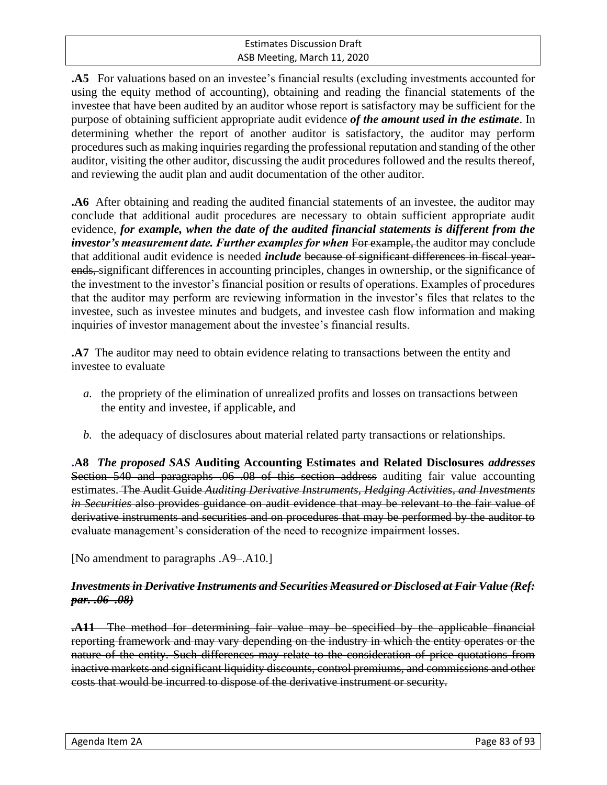**.A5** For valuations based on an investee's financial results (excluding investments accounted for using the equity method of accounting), obtaining and reading the financial statements of the investee that have been audited by an auditor whose report is satisfactory may be sufficient for the purpose of obtaining sufficient appropriate audit evidence *of the amount used in the estimate*. In determining whether the report of another auditor is satisfactory, the auditor may perform procedures such as making inquiries regarding the professional reputation and standing of the other auditor, visiting the other auditor, discussing the audit procedures followed and the results thereof, and reviewing the audit plan and audit documentation of the other auditor.

**.A6** After obtaining and reading the audited financial statements of an investee, the auditor may conclude that additional audit procedures are necessary to obtain sufficient appropriate audit evidence, *for example, when the date of the audited financial statements is different from the investor's measurement date. Further examples for when* For example, the auditor may conclude that additional audit evidence is needed *include* because of significant differences in fiscal yearends, significant differences in accounting principles, changes in ownership, or the significance of the investment to the investor's financial position or results of operations. Examples of procedures that the auditor may perform are reviewing information in the investor's files that relates to the investee, such as investee minutes and budgets, and investee cash flow information and making inquiries of investor management about the investee's financial results.

**.A7** The auditor may need to obtain evidence relating to transactions between the entity and investee to evaluate

- *a.* the propriety of the elimination of unrealized profits and losses on transactions between the entity and investee, if applicable, and
- *b.* the adequacy of disclosures about material related party transactions or relationships.

**.A8** *The proposed SAS* **Auditing Accounting Estimates and Related Disclosures** *addresses*  Section 540 and paragraphs .06 .08 of this section address auditing fair value accounting estimates. The Audit Guide *Auditing Derivative Instruments, Hedging Activities, and Investments in Securities* also provides guidance on audit evidence that may be relevant to the fair value of derivative instruments and securities and on procedures that may be performed by the auditor to evaluate management's consideration of the need to recognize impairment losses.

[No amendment to paragraphs .A9–.A10.]

# *Investments in Derivative Instruments and Securities Measured or Disclosed at Fair Value (Ref: par. .06–.08)*

**.A11** The method for determining fair value may be specified by the applicable financial reporting framework and may vary depending on the industry in which the entity operates or the nature of the entity. Such differences may relate to the consideration of price quotations from inactive markets and significant liquidity discounts, control premiums, and commissions and other costs that would be incurred to dispose of the derivative instrument or security.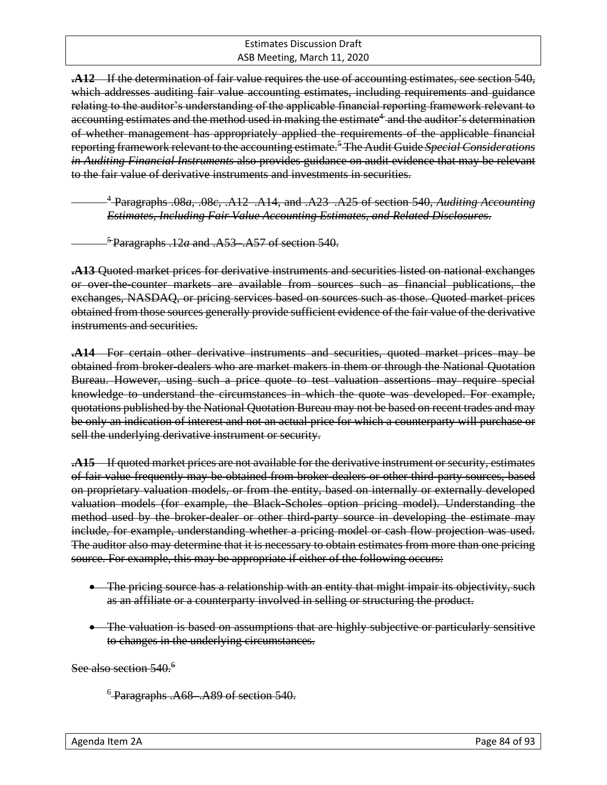**.A12** If the determination of fair value requires the use of accounting estimates, see section 540, which addresses auditing fair value accounting estimates, including requirements and guidance relating to the auditor's understanding of the applicable financial reporting framework relevant to accounting estimates and the method used in making the estimate<sup>4</sup> and the auditor's determination of whether management has appropriately applied the requirements of the applicable financial reporting framework relevant to the accounting estimate.<sup>5</sup> The Audit Guide *Special Considerations in Auditing Financial Instruments* also provides guidance on audit evidence that may be relevant to the fair value of derivative instruments and investments in securities.

<sup>4</sup> Paragraphs .08*a*, .08*c*, .A12–.A14, and .A23–.A25 of section 540, *Auditing Accounting Estimates, Including Fair Value Accounting Estimates, and Related Disclosures*.

<sup>5</sup>Paragraphs .12*a* and .A53–.A57 of section 540.

**.A13** Quoted market prices for derivative instruments and securities listed on national exchanges or over-the-counter markets are available from sources such as financial publications, the exchanges, NASDAQ, or pricing services based on sources such as those. Quoted market prices obtained from those sources generally provide sufficient evidence of the fair value of the derivative instruments and securities.

**.A14** For certain other derivative instruments and securities, quoted market prices may be obtained from broker-dealers who are market makers in them or through the National Quotation Bureau. However, using such a price quote to test valuation assertions may require special knowledge to understand the circumstances in which the quote was developed. For example, quotations published by the National Quotation Bureau may not be based on recent trades and may be only an indication of interest and not an actual price for which a counterparty will purchase or sell the underlying derivative instrument or security.

**.A15** If quoted market prices are not available for the derivative instrument or security, estimates of fair value frequently may be obtained from broker-dealers or other third-party sources, based on proprietary valuation models, or from the entity, based on internally or externally developed valuation models (for example, the Black-Scholes option pricing model). Understanding the method used by the broker dealer or other third-party source in developing the estimate may include, for example, understanding whether a pricing model or cash flow projection was used. The auditor also may determine that it is necessary to obtain estimates from more than one pricing source. For example, this may be appropriate if either of the following occurs:

- The pricing source has a relationship with an entity that might impair its objectivity, such as an affiliate or a counterparty involved in selling or structuring the product.
- The valuation is based on assumptions that are highly subjective or particularly sensitive to changes in the underlying circumstances.

See also section 540.<sup>6</sup>

 $6$  Paragraphs .A68 .A89 of section 540.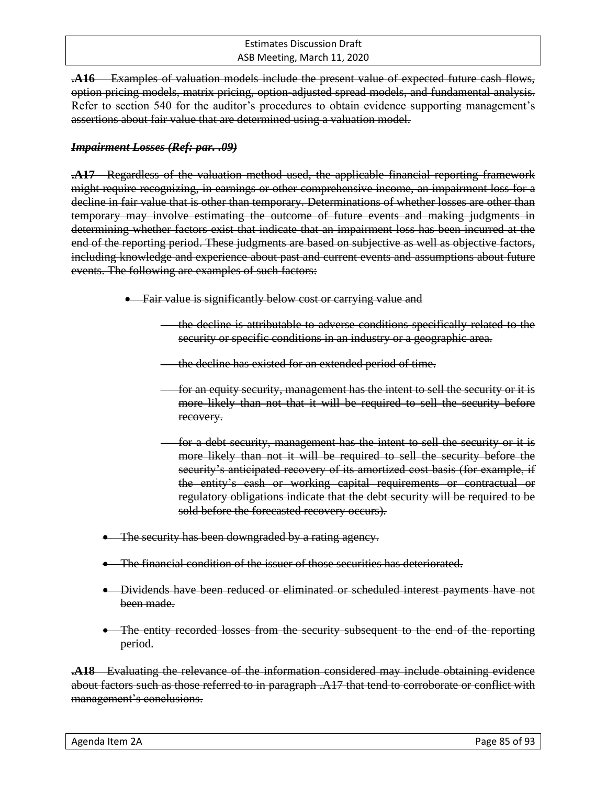**.A16** Examples of valuation models include the present value of expected future cash flows, option pricing models, matrix pricing, option-adjusted spread models, and fundamental analysis. Refer to section 540 for the auditor's procedures to obtain evidence supporting management's assertions about fair value that are determined using a valuation model.

### *Impairment Losses (Ref: par. .09)*

**.A17** Regardless of the valuation method used, the applicable financial reporting framework might require recognizing, in earnings or other comprehensive income, an impairment loss for a decline in fair value that is other than temporary. Determinations of whether losses are other than temporary may involve estimating the outcome of future events and making judgments in determining whether factors exist that indicate that an impairment loss has been incurred at the end of the reporting period. These judgments are based on subjective as well as objective factors, including knowledge and experience about past and current events and assumptions about future events. The following are examples of such factors:

- Fair value is significantly below cost or carrying value and
	- the decline is attributable to adverse conditions specifically related to the security or specific conditions in an industry or a geographic area.
	- the decline has existed for an extended period of time.
	- for an equity security, management has the intent to sell the security or it is more likely than not that it will be required to sell the security before recovery.
	- for a debt security, management has the intent to sell the security or it is more likely than not it will be required to sell the security before the security's anticipated recovery of its amortized cost basis (for example, if the entity's cash or working capital requirements or contractual or regulatory obligations indicate that the debt security will be required to be sold before the forecasted recovery occurs).
- The security has been downgraded by a rating agency.
- The financial condition of the issuer of those securities has deteriorated.
- Dividends have been reduced or eliminated or scheduled interest payments have not been made.
- The entity recorded losses from the security subsequent to the end of the reporting period.

**.A18** Evaluating the relevance of the information considered may include obtaining evidence about factors such as those referred to in paragraph .A17 that tend to corroborate or conflict with management's conclusions.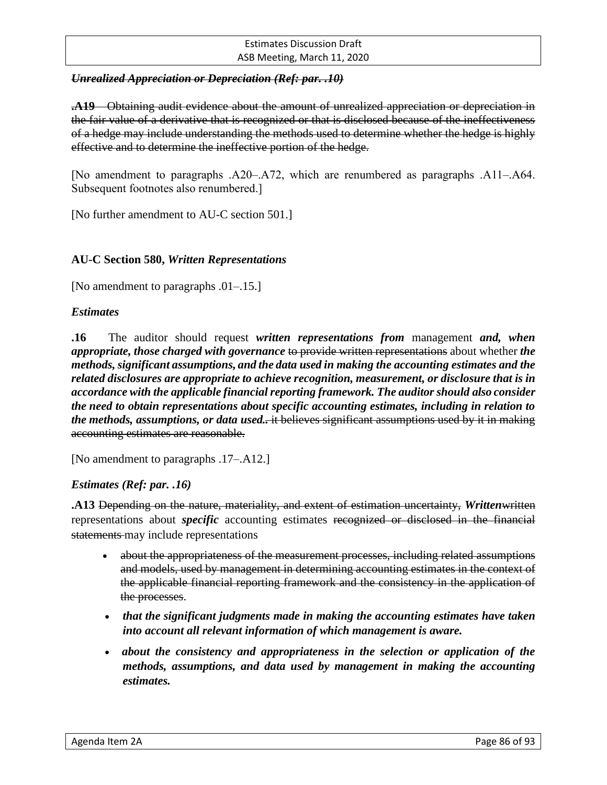## *Unrealized Appreciation or Depreciation (Ref: par. .10)*

**.A19** Obtaining audit evidence about the amount of unrealized appreciation or depreciation in the fair value of a derivative that is recognized or that is disclosed because of the ineffectiveness of a hedge may include understanding the methods used to determine whether the hedge is highly effective and to determine the ineffective portion of the hedge.

[No amendment to paragraphs .A20–.A72, which are renumbered as paragraphs .A11–.A64. Subsequent footnotes also renumbered.]

[No further amendment to AU-C section 501.]

## **AU-C Section 580,** *Written Representations*

[No amendment to paragraphs .01–.15.]

### *Estimates*

**.16** The auditor should request *written representations from* management *and, when appropriate, those charged with governance* to provide written representations about whether *the methods,significant assumptions, and the data used in making the accounting estimates and the related disclosures are appropriate to achieve recognition, measurement, or disclosure that is in accordance with the applicable financial reporting framework. The auditor should also consider the need to obtain representations about specific accounting estimates, including in relation to the methods, assumptions, or data used..* it believes significant assumptions used by it in making accounting estimates are reasonable.

[No amendment to paragraphs .17–.A12.]

### *Estimates (Ref: par. .16)*

**.A13** Depending on the nature, materiality, and extent of estimation uncertainty, *Written*written representations about *specific* accounting estimates recognized or disclosed in the financial statements may include representations

- about the appropriateness of the measurement processes, including related assumptions and models, used by management in determining accounting estimates in the context of the applicable financial reporting framework and the consistency in the application of the processes.
- *that the significant judgments made in making the accounting estimates have taken into account all relevant information of which management is aware.*
- *about the consistency and appropriateness in the selection or application of the methods, assumptions, and data used by management in making the accounting estimates.*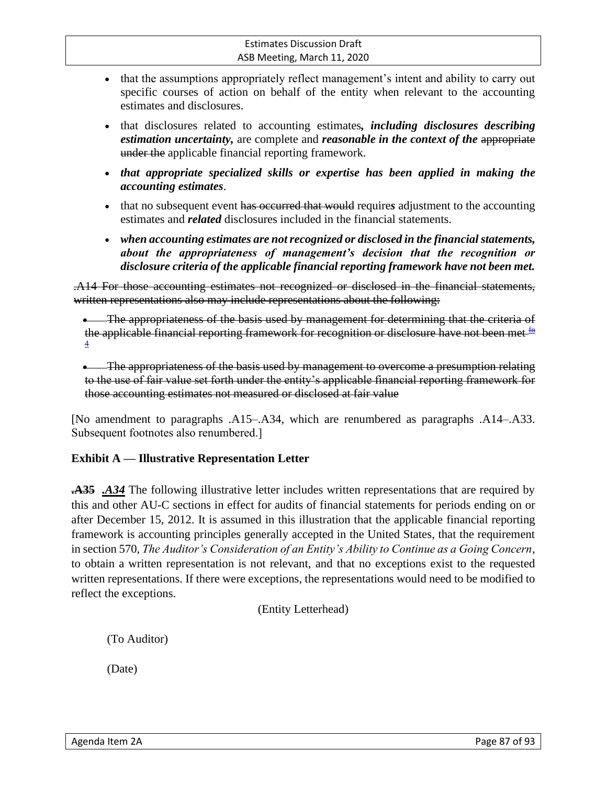- that the assumptions appropriately reflect management's intent and ability to carry out specific courses of action on behalf of the entity when relevant to the accounting estimates and disclosures.
- that disclosures related to accounting estimates*, including disclosures describing estimation uncertainty,* are complete and *reasonable in the context of the appropriate* under the applicable financial reporting framework.
- *that appropriate specialized skills or expertise has been applied in making the accounting estimates*.
- that no subsequent event has occurred that would require adjustment to the accounting estimates and *related* disclosures included in the financial statements.
- *when accounting estimates are not recognized or disclosed in the financial statements, about the appropriateness of management's decision that the recognition or disclosure criteria of the applicable financial reporting framework have not been met.*

.A14 For those accounting estimates not recognized or disclosed in the financial statements, written representations also may include representations about the following:

• The appropriateness of the basis used by management for determining that the criteria of the applicable financial reporting framework for recognition or disclosure have not been met  $^{\text{fn}}$ [4](https://publication.cpa2biz.com/content/link/ps/ad_580_requirements#ftn.ad_580_fn4)

• The appropriateness of the basis used by management to overcome a presumption relating to the use of fair value set forth under the entity's applicable financial reporting framework for those accounting estimates not measured or disclosed at fair value

[No amendment to paragraphs .A15–.A34, which are renumbered as paragraphs .A14–.A33. Subsequent footnotes also renumbered.]

# **Exhibit A — Illustrative Representation Letter**

**.A35** *.A34* The following illustrative letter includes written representations that are required by this and other AU-C sections in effect for audits of financial statements for periods ending on or after December 15, 2012. It is assumed in this illustration that the applicable financial reporting framework is accounting principles generally accepted in the United States, that the requirement in section 570, *The Auditor's Consideration of an Entity's Ability to Continue as a Going Concern*, to obtain a written representation is not relevant, and that no exceptions exist to the requested written representations. If there were exceptions, the representations would need to be modified to reflect the exceptions.

(Entity Letterhead)

(To Auditor)

(Date)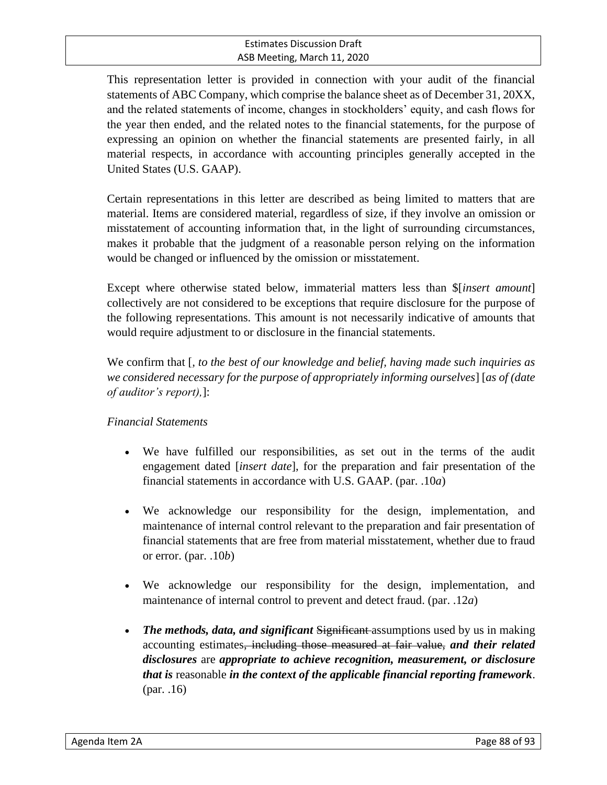This representation letter is provided in connection with your audit of the financial statements of ABC Company, which comprise the balance sheet as of December 31, 20XX, and the related statements of income, changes in stockholders' equity, and cash flows for the year then ended, and the related notes to the financial statements, for the purpose of expressing an opinion on whether the financial statements are presented fairly, in all material respects, in accordance with accounting principles generally accepted in the United States (U.S. GAAP).

Certain representations in this letter are described as being limited to matters that are material. Items are considered material, regardless of size, if they involve an omission or misstatement of accounting information that, in the light of surrounding circumstances, makes it probable that the judgment of a reasonable person relying on the information would be changed or influenced by the omission or misstatement.

Except where otherwise stated below, immaterial matters less than \$[*insert amount*] collectively are not considered to be exceptions that require disclosure for the purpose of the following representations. This amount is not necessarily indicative of amounts that would require adjustment to or disclosure in the financial statements.

We confirm that [*, to the best of our knowledge and belief, having made such inquiries as we considered necessary for the purpose of appropriately informing ourselves*] [*as of (date of auditor's report),*]:

# *Financial Statements*

- We have fulfilled our responsibilities, as set out in the terms of the audit engagement dated [*insert date*], for the preparation and fair presentation of the financial statements in accordance with U.S. GAAP. (par. .10*a*)
- We acknowledge our responsibility for the design, implementation, and maintenance of internal control relevant to the preparation and fair presentation of financial statements that are free from material misstatement, whether due to fraud or error. (par. .10*b*)
- We acknowledge our responsibility for the design, implementation, and maintenance of internal control to prevent and detect fraud. (par. .12*a*)
- *The methods, data, and significant Significant* assumptions used by us in making accounting estimates, including those measured at fair value, *and their related disclosures* are *appropriate to achieve recognition, measurement, or disclosure that is* reasonable *in the context of the applicable financial reporting framework*. (par. .16)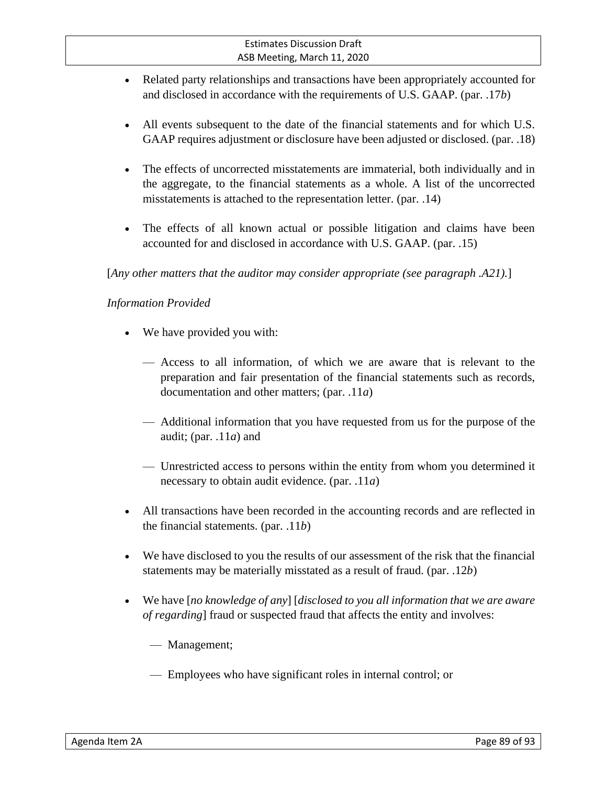- Related party relationships and transactions have been appropriately accounted for and disclosed in accordance with the requirements of U.S. GAAP. (par. .17*b*)
- All events subsequent to the date of the financial statements and for which U.S. GAAP requires adjustment or disclosure have been adjusted or disclosed. (par. .18)
- The effects of uncorrected misstatements are immaterial, both individually and in the aggregate, to the financial statements as a whole. A list of the uncorrected misstatements is attached to the representation letter. (par. .14)
- The effects of all known actual or possible litigation and claims have been accounted for and disclosed in accordance with U.S. GAAP. (par. .15)

[*Any other matters that the auditor may consider appropriate (see paragraph .A21).*]

## *Information Provided*

- We have provided you with:
	- Access to all information, of which we are aware that is relevant to the preparation and fair presentation of the financial statements such as records, documentation and other matters; (par. .11*a*)
	- Additional information that you have requested from us for the purpose of the audit; (par. .11*a*) and
	- Unrestricted access to persons within the entity from whom you determined it necessary to obtain audit evidence. (par. .11*a*)
- All transactions have been recorded in the accounting records and are reflected in the financial statements. (par. .11*b*)
- We have disclosed to you the results of our assessment of the risk that the financial statements may be materially misstated as a result of fraud. (par. .12*b*)
- We have [*no knowledge of any*] [*disclosed to you all information that we are aware of regarding*] fraud or suspected fraud that affects the entity and involves:
	- Management;
	- Employees who have significant roles in internal control; or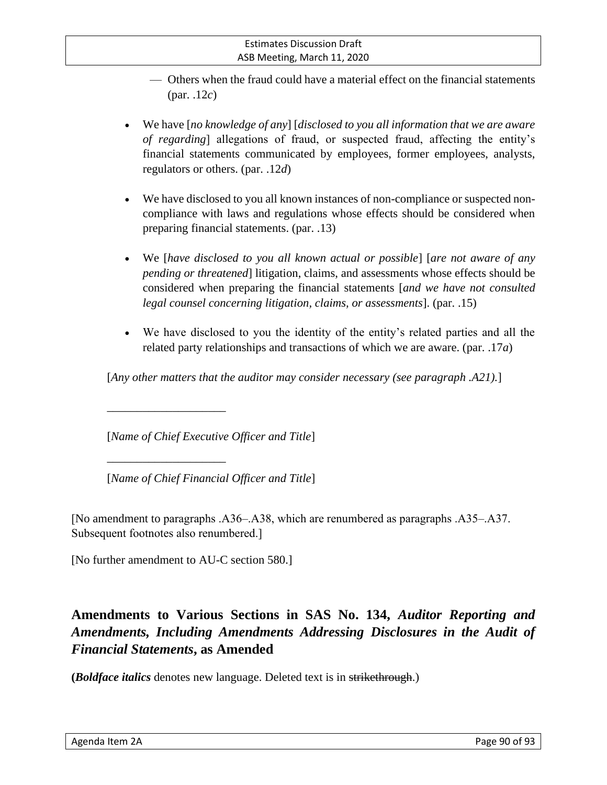- Others when the fraud could have a material effect on the financial statements (par. .12*c*)
- We have [*no knowledge of any*] [*disclosed to you all information that we are aware of regarding*] allegations of fraud, or suspected fraud, affecting the entity's financial statements communicated by employees, former employees, analysts, regulators or others. (par. .12*d*)
- We have disclosed to you all known instances of non-compliance or suspected noncompliance with laws and regulations whose effects should be considered when preparing financial statements. (par. .13)
- We [*have disclosed to you all known actual or possible*] [*are not aware of any pending or threatened*] litigation, claims, and assessments whose effects should be considered when preparing the financial statements [*and we have not consulted legal counsel concerning litigation, claims, or assessments*]. (par. .15)
- We have disclosed to you the identity of the entity's related parties and all the related party relationships and transactions of which we are aware. (par. .17*a*)

[*Any other matters that the auditor may consider necessary (see paragraph .A21).*]

[*Name of Chief Executive Officer and Title*]

[*Name of Chief Financial Officer and Title*]

[No amendment to paragraphs .A36–.A38, which are renumbered as paragraphs .A35–.A37. Subsequent footnotes also renumbered.]

[No further amendment to AU-C section 580.]

\_\_\_\_\_\_\_\_\_\_\_\_\_\_\_\_\_\_\_\_

\_\_\_\_\_\_\_\_\_\_\_\_\_\_\_\_\_\_\_\_

# **Amendments to Various Sections in SAS No. 134,** *Auditor Reporting and Amendments, Including Amendments Addressing Disclosures in the Audit of Financial Statements***, as Amended**

**(***Boldface italics* denotes new language. Deleted text is in strikethrough.)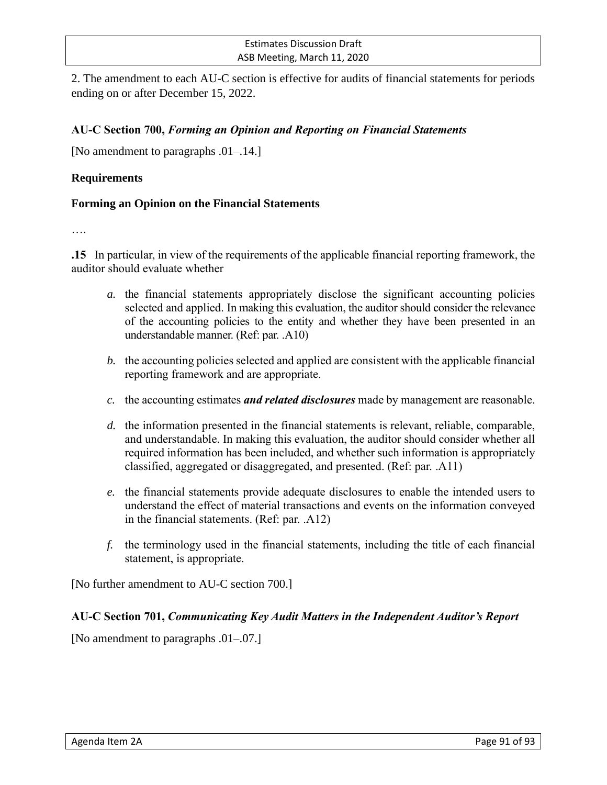2. The amendment to each AU-C section is effective for audits of financial statements for periods ending on or after December 15, 2022.

### **AU-C Section 700,** *Forming an Opinion and Reporting on Financial Statements*

[No amendment to paragraphs .01–.14.]

#### **Requirements**

#### **Forming an Opinion on the Financial Statements**

….

**.15** In particular, in view of the requirements of the applicable financial reporting framework, the auditor should evaluate whether

- *a.* the financial statements appropriately disclose the significant accounting policies selected and applied. In making this evaluation, the auditor should consider the relevance of the accounting policies to the entity and whether they have been presented in an understandable manner. (Ref: par. .A10)
- *b.* the accounting policies selected and applied are consistent with the applicable financial reporting framework and are appropriate.
- *c.* the accounting estimates *and related disclosures* made by management are reasonable.
- *d.* the information presented in the financial statements is relevant, reliable, comparable, and understandable. In making this evaluation, the auditor should consider whether all required information has been included, and whether such information is appropriately classified, aggregated or disaggregated, and presented. (Ref: par. .A11)
- *e.* the financial statements provide adequate disclosures to enable the intended users to understand the effect of material transactions and events on the information conveyed in the financial statements. (Ref: par. .A12)
- *f.* the terminology used in the financial statements, including the title of each financial statement, is appropriate.

[No further amendment to AU-C section 700.]

### **AU-C Section 701,** *Communicating Key Audit Matters in the Independent Auditor's Report*

[No amendment to paragraphs .01–.07.]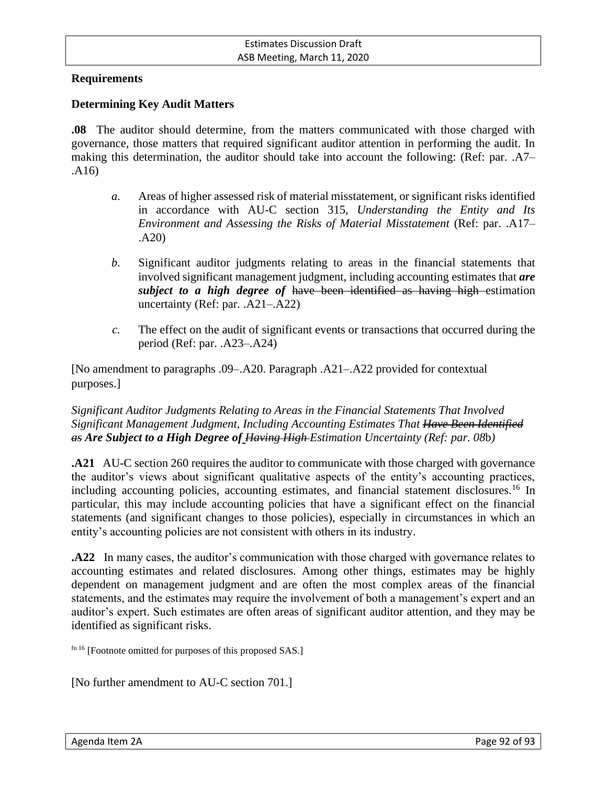## **Requirements**

## **Determining Key Audit Matters**

<span id="page-91-0"></span>**.08** The auditor should determine, from the matters communicated with those charged with governance, those matters that required significant auditor attention in performing the audit. In making this determination, the auditor should take into account the following: (Ref: par. .A7– .A16)

- *a.* Areas of higher assessed risk of material misstatement, or significant risks identified in accordance with AU-C section 315, *Understanding the Entity and Its Environment and Assessing the Risks of Material Misstatement* (Ref: par. .A17– .A20)
- <span id="page-91-1"></span>*b.* Significant auditor judgments relating to areas in the financial statements that involved significant management judgment, including accounting estimates that *are subject to a high degree of* have been identified as having high estimation uncertainty (Ref: par. .A21–.A22)
- *c.* The effect on the audit of significant events or transactions that occurred during the period (Ref: par. .A23–.A24)

[No amendment to paragraphs .09–.A20. Paragraph .A21–.A22 provided for contextual purposes.]

# *Significant Auditor Judgments Relating to Areas in the Financial Statements That Involved Significant Management Judgment, Including Accounting Estimates That Have Been Identified as Are Subject to a High Degree of Having High Estimation Uncertainty (Ref: par. [08](#page-91-0)*[b](#page-91-1)*)*

**.A21** AU-C section 260 requires the auditor to communicate with those charged with governance the auditor's views about significant qualitative aspects of the entity's accounting practices, including accounting policies, accounting estimates, and financial statement disclosures.<sup>16</sup> In particular, this may include accounting policies that have a significant effect on the financial statements (and significant changes to those policies), especially in circumstances in which an entity's accounting policies are not consistent with others in its industry.

**.A22** In many cases, the auditor's communication with those charged with governance relates to accounting estimates and related disclosures. Among other things, estimates may be highly dependent on management judgment and are often the most complex areas of the financial statements, and the estimates may require the involvement of both a management's expert and an auditor's expert. Such estimates are often areas of significant auditor attention, and they may be identified as significant risks.

fn 16 [Footnote omitted for purposes of this proposed SAS.]

[No further amendment to AU-C section 701.]